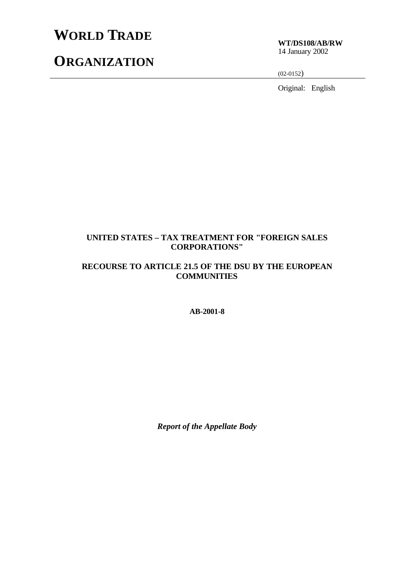# **WORLD TRADE**

# **ORGANIZATION**

**WT/DS108/AB/RW** 14 January 2002

(02-0152)

Original: English

# **UNITED STATES – TAX TREATMENT FOR "FOREIGN SALES CORPORATIONS"**

# **RECOURSE TO ARTICLE 21.5 OF THE DSU BY THE EUROPEAN COMMUNITIES**

**AB-2001-8**

*Report of the Appellate Body*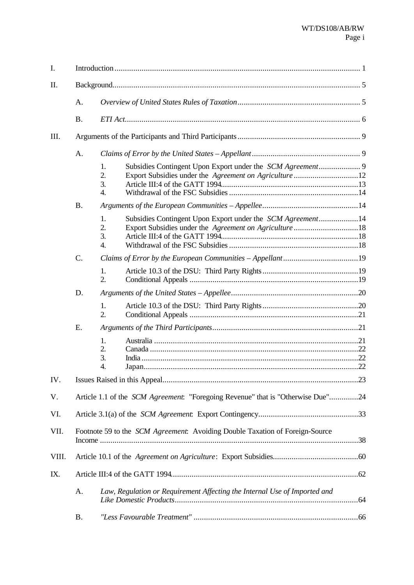| I.    |                                                                                         |                                                                                    |  |  |
|-------|-----------------------------------------------------------------------------------------|------------------------------------------------------------------------------------|--|--|
| Π.    |                                                                                         |                                                                                    |  |  |
|       | A.                                                                                      |                                                                                    |  |  |
|       | <b>B.</b>                                                                               |                                                                                    |  |  |
| III.  |                                                                                         |                                                                                    |  |  |
|       | A.                                                                                      |                                                                                    |  |  |
|       |                                                                                         | 1.<br>2.<br>Export Subsidies under the Agreement on Agriculture12<br>3.<br>4.      |  |  |
|       | <b>B.</b>                                                                               |                                                                                    |  |  |
|       |                                                                                         | Subsidies Contingent Upon Export under the SCM Agreement14<br>1.<br>2.<br>3.<br>4. |  |  |
|       | $\mathcal{C}$ .                                                                         |                                                                                    |  |  |
|       |                                                                                         | 1.<br>2.                                                                           |  |  |
|       | D.                                                                                      |                                                                                    |  |  |
|       |                                                                                         | 1.<br>2.                                                                           |  |  |
|       | Ε.                                                                                      |                                                                                    |  |  |
|       |                                                                                         | 1.<br>2.<br>3.<br>4.                                                               |  |  |
| IV.   |                                                                                         |                                                                                    |  |  |
| V.    | Article 1.1 of the <i>SCM Agreement</i> : "Foregoing Revenue" that is "Otherwise Due"24 |                                                                                    |  |  |
| VI.   |                                                                                         |                                                                                    |  |  |
| VII.  | Footnote 59 to the SCM Agreement: Avoiding Double Taxation of Foreign-Source            |                                                                                    |  |  |
| VIII. |                                                                                         |                                                                                    |  |  |
| IX.   |                                                                                         |                                                                                    |  |  |
|       | A.                                                                                      | Law, Regulation or Requirement Affecting the Internal Use of Imported and          |  |  |
|       | <b>B.</b>                                                                               |                                                                                    |  |  |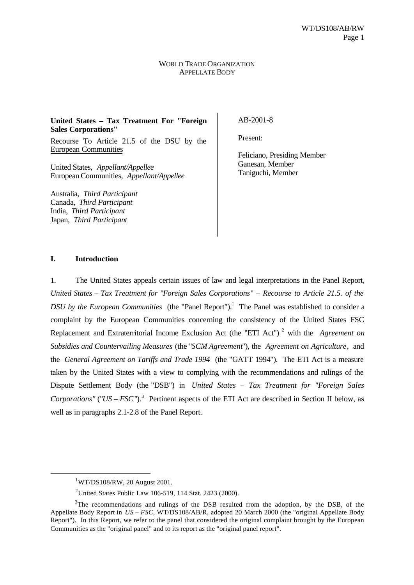#### WORLD TRADE ORGANIZATION APPELLATE BODY

**United States – Tax Treatment For "Foreign Sales Corporations"**

Recourse To Article 21.5 of the DSU by the European Communities

United States, *Appellant/Appellee* European Communities, *Appellant/Appellee*

Australia, *Third Participant* Canada, *Third Participant* India, *Third Participant* Japan, *Third Participant*

AB-2001-8

Present:

Feliciano, Presiding Member Ganesan, Member Taniguchi, Member

#### **I. Introduction**

1. The United States appeals certain issues of law and legal interpretations in the Panel Report, *United States – Tax Treatment for* "*Foreign Sales Corporations*" *– Recourse to Article 21.5. of the* DSU by the European Communities (the "Panel Report").<sup>1</sup> The Panel was established to consider a complaint by the European Communities concerning the consistency of the United States FSC Replacement and Extraterritorial Income Exclusion Act (the "ETI Act")<sup>2</sup> with the *Agreement on Subsidies and Countervailing Measures* (the "*SCM Agreement*"), the *Agreement on Agriculture*, and the *General Agreement on Tariffs and Trade 1994* (the "GATT 1994"). The ETI Act is a measure taken by the United States with a view to complying with the recommendations and rulings of the Dispute Settlement Body (the "DSB") in *United States – Tax Treatment for "Foreign Sales Corporations"* (" $US - FSC$ ").<sup>3</sup> Pertinent aspects of the ETI Act are described in Section II below, as well as in paragraphs 2.1-2.8 of the Panel Report.

<sup>1</sup>WT/DS108/RW, 20 August 2001.

<sup>&</sup>lt;sup>2</sup>United States Public Law 106-519, 114 Stat. 2423 (2000).

 $3$ The recommendations and rulings of the DSB resulted from the adoption, by the DSB, of the Appellate Body Report in *US – FSC*, WT/DS108/AB/R, adopted 20 March 2000 (the "original Appellate Body Report"). In this Report, we refer to the panel that considered the original complaint brought by the European Communities as the "original panel" and to its report as the "original panel report".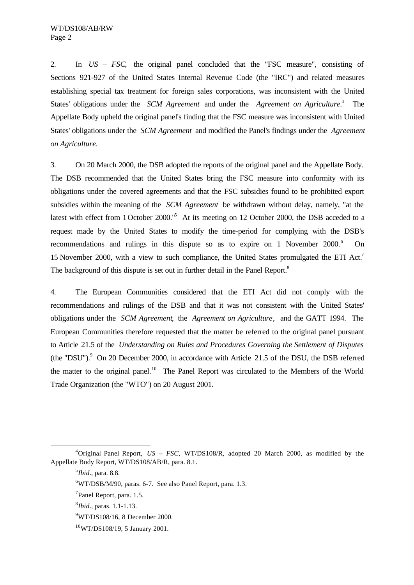2. In *US – FSC*, the original panel concluded that the "FSC measure", consisting of Sections 921-927 of the United States Internal Revenue Code (the "IRC") and related measures establishing special tax treatment for foreign sales corporations, was inconsistent with the United States' obligations under the *SCM Agreement* and under the *Agreement on Agriculture*. 4 The Appellate Body upheld the original panel's finding that the FSC measure was inconsistent with United States' obligations under the *SCM Agreement* and modified the Panel's findings under the *Agreement on Agriculture*.

3. On 20 March 2000, the DSB adopted the reports of the original panel and the Appellate Body. The DSB recommended that the United States bring the FSC measure into conformity with its obligations under the covered agreements and that the FSC subsidies found to be prohibited export subsidies within the meaning of the *SCM Agreement* be withdrawn without delay, namely, "at the latest with effect from 1 October 2000.<sup>15</sup> At its meeting on 12 October 2000, the DSB acceded to a request made by the United States to modify the time-period for complying with the DSB's recommendations and rulings in this dispute so as to expire on 1 November  $2000$ .<sup>6</sup> On 15 November 2000, with a view to such compliance, the United States promulgated the ETI Act.<sup>7</sup> The background of this dispute is set out in further detail in the Panel Report.<sup>8</sup>

4. The European Communities considered that the ETI Act did not comply with the recommendations and rulings of the DSB and that it was not consistent with the United States' obligations under the *SCM Agreement*, the *Agreement on Agriculture*, and the GATT 1994. The European Communities therefore requested that the matter be referred to the original panel pursuant to Article 21.5 of the *Understanding on Rules and Procedures Governing the Settlement of Disputes* (the "DSU").<sup>9</sup> On 20 December 2000, in accordance with Article 21.5 of the DSU, the DSB referred the matter to the original panel.<sup>10</sup> The Panel Report was circulated to the Members of the World Trade Organization (the "WTO") on 20 August 2001.

<sup>4</sup>Original Panel Report, *US – FSC*, WT/DS108/R, adopted 20 March 2000, as modified by the Appellate Body Report, WT/DS108/AB/R, para. 8.1.

<sup>5</sup> *Ibid*., para. 8.8.

 ${}^{6}$ WT/DSB/M/90, paras. 6-7. See also Panel Report, para. 1.3.

<sup>&</sup>lt;sup>7</sup>Panel Report, para. 1.5.

<sup>8</sup> *Ibid*., paras. 1.1-1.13.

 $9$ WT/DS108/16, 8 December 2000.

<sup>10</sup>WT/DS108/19, 5 January 2001.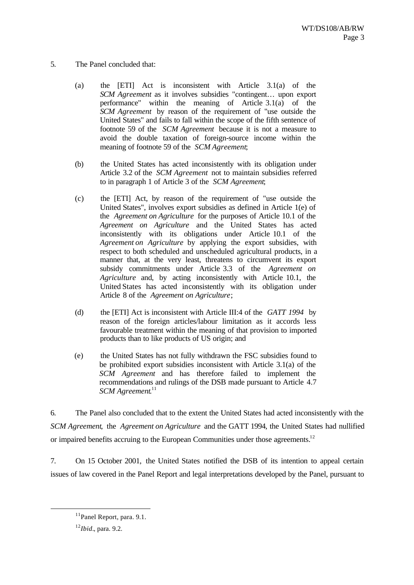- 5. The Panel concluded that:
	- (a) the [ETI] Act is inconsistent with Article 3.1(a) of the *SCM Agreement* as it involves subsidies "contingent… upon export performance" within the meaning of Article 3.1(a) of the *SCM Agreement* by reason of the requirement of "use outside the United States" and fails to fall within the scope of the fifth sentence of footnote 59 of the *SCM Agreement* because it is not a measure to avoid the double taxation of foreign-source income within the meaning of footnote 59 of the *SCM Agreement*;
	- (b) the United States has acted inconsistently with its obligation under Article 3.2 of the *SCM Agreement* not to maintain subsidies referred to in paragraph 1 of Article 3 of the *SCM Agreement*;
	- (c) the [ETI] Act, by reason of the requirement of "use outside the United States", involves export subsidies as defined in Article 1(e) of the *Agreement on Agriculture* for the purposes of Article 10.1 of the *Agreement on Agriculture* and the United States has acted inconsistently with its obligations under Article 10.1 of the *Agreement on Agriculture* by applying the export subsidies, with respect to both scheduled and unscheduled agricultural products, in a manner that, at the very least, threatens to circumvent its export subsidy commitments under Article 3.3 of the *Agreement on Agriculture* and, by acting inconsistently with Article 10.1, the United States has acted inconsistently with its obligation under Article 8 of the *Agreement on Agriculture*;
	- (d) the [ETI] Act is inconsistent with Article III:4 of the *GATT 1994* by reason of the foreign articles/labour limitation as it accords less favourable treatment within the meaning of that provision to imported products than to like products of US origin; and
	- (e) the United States has not fully withdrawn the FSC subsidies found to be prohibited export subsidies inconsistent with Article 3.1(a) of the *SCM Agreement* and has therefore failed to implement the recommendations and rulings of the DSB made pursuant to Article 4.7 *SCM Agreement.* 11

6. The Panel also concluded that to the extent the United States had acted inconsistently with the *SCM Agreement*, the *Agreement on Agriculture* and the GATT 1994, the United States had nullified or impaired benefits accruing to the European Communities under those agreements.<sup>12</sup>

7. On 15 October 2001, the United States notified the DSB of its intention to appeal certain issues of law covered in the Panel Report and legal interpretations developed by the Panel, pursuant to

<sup>&</sup>lt;sup>11</sup>Panel Report, para. 9.1.

<sup>12</sup>*Ibid.*, para. 9.2.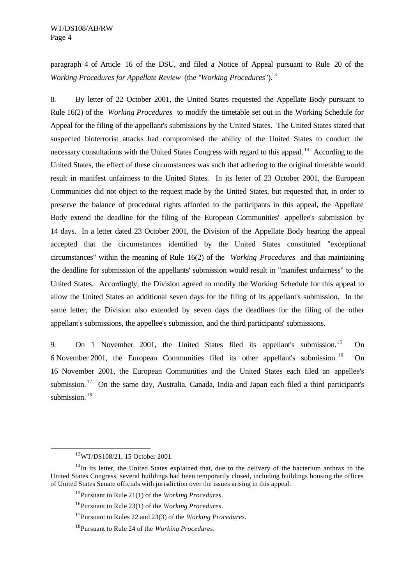paragraph 4 of Article 16 of the DSU, and filed a Notice of Appeal pursuant to Rule 20 of the *Working Procedures for Appellate Review* (the "*Working Procedures*").<sup>13</sup>

8. By letter of 22 October 2001, the United States requested the Appellate Body pursuant to Rule 16(2) of the *Working Procedures* to modify the timetable set out in the Working Schedule for Appeal for the filing of the appellant's submissions by the United States. The United States stated that suspected bioterrorist attacks had compromised the ability of the United States to conduct the necessary consultations with the United States Congress with regard to this appeal.<sup>14</sup> According to the United States, the effect of these circumstances was such that adhering to the original timetable would result in manifest unfairness to the United States. In its letter of 23 October 2001, the European Communities did not object to the request made by the United States, but requested that, in order to preserve the balance of procedural rights afforded to the participants in this appeal, the Appellate Body extend the deadline for the filing of the European Communities' appellee's submission by 14 days. In a letter dated 23 October 2001, the Division of the Appellate Body hearing the appeal accepted that the circumstances identified by the United States constituted "exceptional circumstances" within the meaning of Rule 16(2) of the *Working Procedures* and that maintaining the deadline for submission of the appellants' submission would result in "manifest unfairness" to the United States. Accordingly, the Division agreed to modify the Working Schedule for this appeal to allow the United States an additional seven days for the filing of its appellant's submission. In the same letter, the Division also extended by seven days the deadlines for the filing of the other appellant's submissions, the appellee's submission, and the third participants' submissions.

9. On 1 November 2001, the United States filed its appellant's submission.<sup>15</sup> On 6 November 2001, the European Communities filed its other appellant's submission. <sup>16</sup> On 16 November 2001, the European Communities and the United States each filed an appellee's submission.<sup>17</sup> On the same day, Australia, Canada, India and Japan each filed a third participant's submission.<sup>18</sup>

l

<sup>15</sup>Pursuant to Rule 21(1) of the *Working Procedures*.

<sup>13</sup>WT/DS108/21, 15 October 2001.

<sup>&</sup>lt;sup>14</sup>In its letter, the United States explained that, due to the delivery of the bacterium anthrax to the United States Congress, several buildings had been temporarily closed, including buildings housing the offices of United States Senate officials with jurisdiction over the issues arising in this appeal.

<sup>16</sup>Pursuant to Rule 23(1) of the *Working Procedures*.

<sup>17</sup>Pursuant to Rules 22 and 23(3) of the *Working Procedures*.

<sup>18</sup>Pursuant to Rule 24 of the *Working Procedures*.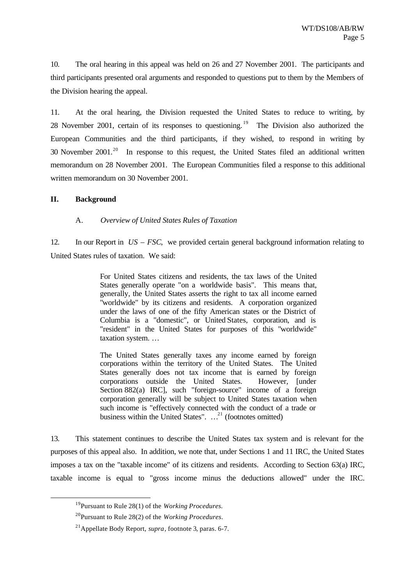10. The oral hearing in this appeal was held on 26 and 27 November 2001. The participants and third participants presented oral arguments and responded to questions put to them by the Members of the Division hearing the appeal.

11. At the oral hearing, the Division requested the United States to reduce to writing, by 28 November 2001, certain of its responses to questioning.<sup>19</sup> The Division also authorized the European Communities and the third participants, if they wished, to respond in writing by 30 November  $2001.<sup>20</sup>$  In response to this request, the United States filed an additional written memorandum on 28 November 2001. The European Communities filed a response to this additional written memorandum on 30 November 2001.

### **II. Background**

l

### A. *Overview of United States Rules of Taxation*

12. In our Report in *US – FSC*, we provided certain general background information relating to United States rules of taxation. We said:

> For United States citizens and residents, the tax laws of the United States generally operate "on a worldwide basis". This means that, generally, the United States asserts the right to tax all income earned "worldwide" by its citizens and residents. A corporation organized under the laws of one of the fifty American states or the District of Columbia is a "domestic", or United States, corporation, and is "resident" in the United States for purposes of this "worldwide" taxation system. …

> The United States generally taxes any income earned by foreign corporations within the territory of the United States. The United States generally does not tax income that is earned by foreign corporations outside the United States. However, [under Section 882(a) IRC], such "foreign-source" income of a foreign corporation generally will be subject to United States taxation when such income is "effectively connected with the conduct of a trade or business within the United States".  $\ldots$ <sup>21</sup> (footnotes omitted)

13. This statement continues to describe the United States tax system and is relevant for the purposes of this appeal also. In addition, we note that, under Sections 1 and 11 IRC, the United States imposes a tax on the "taxable income" of its citizens and residents. According to Section 63(a) IRC, taxable income is equal to "gross income minus the deductions allowed" under the IRC.

<sup>19</sup>Pursuant to Rule 28(1) of the *Working Procedures.*

<sup>20</sup>Pursuant to Rule 28(2) of the *Working Procedures*.

<sup>21</sup>Appellate Body Report, *supra*, footnote 3, paras. 6-7.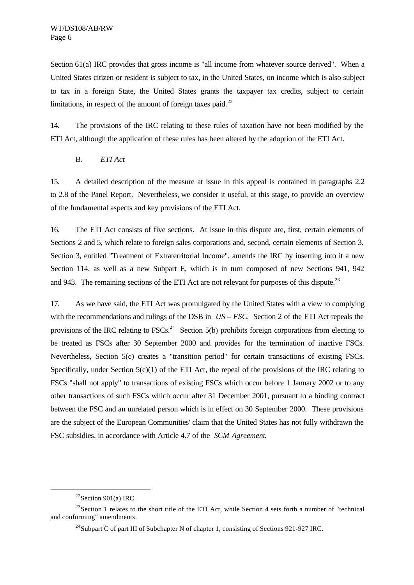Section 61(a) IRC provides that gross income is "all income from whatever source derived". When a United States citizen or resident is subject to tax, in the United States, on income which is also subject to tax in a foreign State, the United States grants the taxpayer tax credits, subject to certain limitations, in respect of the amount of foreign taxes paid. $^{22}$ 

14. The provisions of the IRC relating to these rules of taxation have not been modified by the ETI Act, although the application of these rules has been altered by the adoption of the ETI Act.

B. *ETI Act*

15. A detailed description of the measure at issue in this appeal is contained in paragraphs 2.2 to 2.8 of the Panel Report. Nevertheless, we consider it useful, at this stage, to provide an overview of the fundamental aspects and key provisions of the ETI Act.

16. The ETI Act consists of five sections. At issue in this dispute are, first, certain elements of Sections 2 and 5, which relate to foreign sales corporations and, second, certain elements of Section 3. Section 3, entitled "Treatment of Extraterritorial Income", amends the IRC by inserting into it a new Section 114, as well as a new Subpart E, which is in turn composed of new Sections 941, 942 and 943. The remaining sections of the ETI Act are not relevant for purposes of this dispute.<sup>23</sup>

17. As we have said, the ETI Act was promulgated by the United States with a view to complying with the recommendations and rulings of the DSB in *US – FSC*. Section 2 of the ETI Act repeals the provisions of the IRC relating to  $FSCs<sup>24</sup>$  Section 5(b) prohibits foreign corporations from electing to be treated as FSCs after 30 September 2000 and provides for the termination of inactive FSCs. Nevertheless, Section 5(c) creates a "transition period" for certain transactions of existing FSCs. Specifically, under Section  $5(c)(1)$  of the ETI Act, the repeal of the provisions of the IRC relating to FSCs "shall not apply" to transactions of existing FSCs which occur before 1 January 2002 or to any other transactions of such FSCs which occur after 31 December 2001, pursuant to a binding contract between the FSC and an unrelated person which is in effect on 30 September 2000. These provisions are the subject of the European Communities' claim that the United States has not fully withdrawn the FSC subsidies, in accordance with Article 4.7 of the *SCM Agreement*.

<sup>&</sup>lt;sup>22</sup>Section 901(a) IRC.

 $^{23}$ Section 1 relates to the short title of the ETI Act, while Section 4 sets forth a number of "technical and conforming" amendments.

<sup>&</sup>lt;sup>24</sup>Subpart C of part III of Subchapter N of chapter 1, consisting of Sections 921-927 IRC.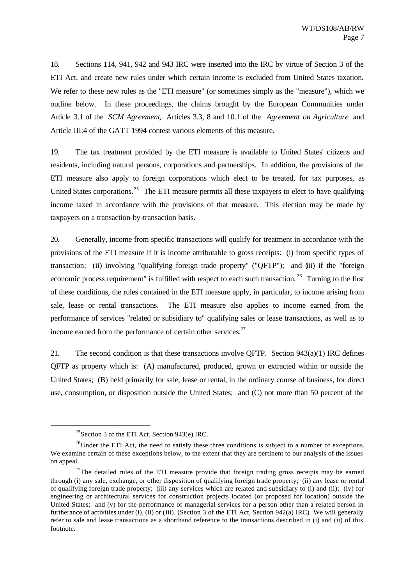18. Sections 114, 941, 942 and 943 IRC were inserted into the IRC by virtue of Section 3 of the ETI Act, and create new rules under which certain income is excluded from United States taxation. We refer to these new rules as the "ETI measure" (or sometimes simply as the "measure"), which we outline below. In these proceedings, the claims brought by the European Communities under Article 3.1 of the *SCM Agreement*, Articles 3.3, 8 and 10.1 of the *Agreement on Agriculture* and Article III:4 of the GATT 1994 contest various elements of this measure.

19. The tax treatment provided by the ETI measure is available to United States' citizens and residents, including natural persons, corporations and partnerships. In addition, the provisions of the ETI measure also apply to foreign corporations which elect to be treated, for tax purposes, as United States corporations.<sup>25</sup> The ETI measure permits all these taxpayers to elect to have qualifying income taxed in accordance with the provisions of that measure. This election may be made by taxpayers on a transaction-by-transaction basis.

20. Generally, income from specific transactions will qualify for treatment in accordance with the provisions of the ETI measure if it is income attributable to gross receipts: (i) from specific types of transaction; (ii) involving "qualifying foreign trade property" ("QFTP"); and (iii) if the "foreign economic process requirement" is fulfilled with respect to each such transaction.<sup>26</sup> Turning to the first of these conditions, the rules contained in the ETI measure apply, in particular, to income arising from sale, lease or rental transactions. The ETI measure also applies to income earned from the performance of services "related or subsidiary to" qualifying sales or lease transactions, as well as to income earned from the performance of certain other services.<sup>27</sup>

21. The second condition is that these transactions involve QFTP. Section 943(a)(1) IRC defines QFTP as property which is: (A) manufactured, produced, grown or extracted within or outside the United States; (B) held primarily for sale, lease or rental, in the ordinary course of business, for direct use, consumption, or disposition outside the United States; and (C) not more than 50 percent of the

<sup>25</sup>Section 3 of the ETI Act, Section 943(e) IRC.

 $^{26}$ Under the ETI Act, the need to satisfy these three conditions is subject to a number of exceptions. We examine certain of these exceptions below, to the extent that they are pertinent to our analysis of the issues on appeal.

 $27$ The detailed rules of the ETI measure provide that foreign trading gross receipts may be earned through (i) any sale, exchange, or other disposition of qualifying foreign trade property; (ii) any lease or rental of qualifying foreign trade property; (iii) any services which are related and subsidiary to (i) and (ii); (iv) for engineering or architectural services for construction projects located (or proposed for location) outside the United States; and (v) for the performance of managerial services for a person other than a related person in furtherance of activities under (i), (ii) or (iii). (Section 3 of the ETI Act, Section 942(a) IRC) We will generally refer to sale and lease transactions as a shorthand reference to the transactions described in (i) and (ii) of this footnote.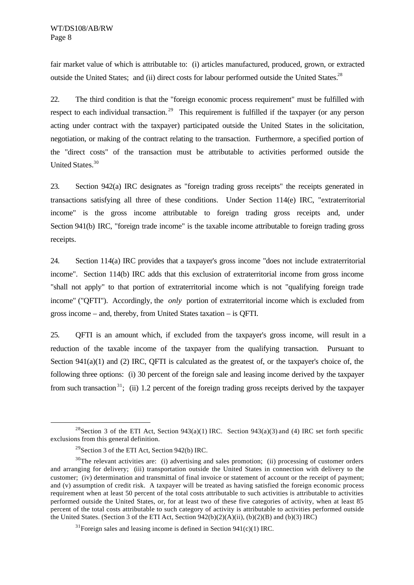fair market value of which is attributable to: (i) articles manufactured, produced, grown, or extracted outside the United States; and (ii) direct costs for labour performed outside the United States.<sup>28</sup>

22. The third condition is that the "foreign economic process requirement" must be fulfilled with respect to each individual transaction.<sup>29</sup> This requirement is fulfilled if the taxpayer (or any person acting under contract with the taxpayer) participated outside the United States in the solicitation, negotiation, or making of the contract relating to the transaction. Furthermore, a specified portion of the "direct costs" of the transaction must be attributable to activities performed outside the United States.<sup>30</sup>

23. Section 942(a) IRC designates as "foreign trading gross receipts" the receipts generated in transactions satisfying all three of these conditions. Under Section 114(e) IRC, "extraterritorial income" is the gross income attributable to foreign trading gross receipts and, under Section 941(b) IRC, "foreign trade income" is the taxable income attributable to foreign trading gross receipts.

24. Section 114(a) IRC provides that a taxpayer's gross income "does not include extraterritorial income". Section 114(b) IRC adds that this exclusion of extraterritorial income from gross income "shall not apply" to that portion of extraterritorial income which is not "qualifying foreign trade income" ("QFTI"). Accordingly, the *only* portion of extraterritorial income which is excluded from gross income – and, thereby, from United States taxation – is QFTI.

25. QFTI is an amount which, if excluded from the taxpayer's gross income, will result in a reduction of the taxable income of the taxpayer from the qualifying transaction. Pursuant to Section 941(a)(1) and (2) IRC, OFTI is calculated as the greatest of, or the taxpayer's choice of, the following three options: (i) 30 percent of the foreign sale and leasing income derived by the taxpayer from such transaction<sup>31</sup>; (ii) 1.2 percent of the foreign trading gross receipts derived by the taxpayer

<sup>&</sup>lt;sup>28</sup>Section 3 of the ETI Act, Section 943(a)(1) IRC. Section 943(a)(3) and (4) IRC set forth specific exclusions from this general definition.

<sup>&</sup>lt;sup>29</sup>Section 3 of the ETI Act, Section 942(b) IRC.

 $30$ The relevant activities are: (i) advertising and sales promotion; (ii) processing of customer orders and arranging for delivery; (iii) transportation outside the United States in connection with delivery to the customer; (iv) determination and transmittal of final invoice or statement of account or the receipt of payment; and (v) assumption of credit risk. A taxpayer will be treated as having satisfied the foreign economic process requirement when at least 50 percent of the total costs attributable to such activities is attributable to activities performed outside the United States, or, for at least two of these five categories of activity, when at least 85 percent of the total costs attributable to such category of activity is attributable to activities performed outside the United States. (Section 3 of the ETI Act, Section  $942(b)(2)(A)(ii)$ ,  $(b)(2)(B)$  and  $(b)(3)$  IRC)

 $31$ Foreign sales and leasing income is defined in Section 941(c)(1) IRC.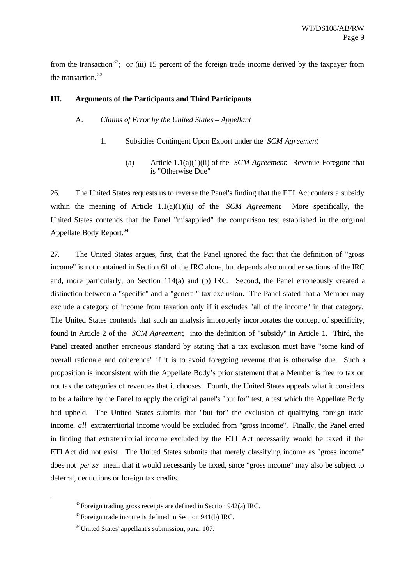from the transaction<sup>32</sup>; or (iii) 15 percent of the foreign trade income derived by the taxpayer from the transaction.<sup>33</sup>

# **III. Arguments of the Participants and Third Participants**

### A. *Claims of Error by the United States – Appellant*

#### 1. Subsidies Contingent Upon Export under the *SCM Agreement*

(a) Article 1.1(a)(1)(ii) of the *SCM Agreement*: Revenue Foregone that is "Otherwise Due"

26. The United States requests us to reverse the Panel's finding that the ETI Act confers a subsidy within the meaning of Article 1.1(a)(1)(ii) of the *SCM Agreement*. More specifically, the United States contends that the Panel "misapplied" the comparison test established in the original Appellate Body Report.<sup>34</sup>

27. The United States argues, first, that the Panel ignored the fact that the definition of "gross income" is not contained in Section 61 of the IRC alone, but depends also on other sections of the IRC and, more particularly, on Section 114(a) and (b) IRC. Second, the Panel erroneously created a distinction between a "specific" and a "general" tax exclusion. The Panel stated that a Member may exclude a category of income from taxation only if it excludes "all of the income" in that category. The United States contends that such an analysis improperly incorporates the concept of specificity, found in Article 2 of the *SCM Agreement*, into the definition of "subsidy" in Article 1. Third, the Panel created another erroneous standard by stating that a tax exclusion must have "some kind of overall rationale and coherence" if it is to avoid foregoing revenue that is otherwise due. Such a proposition is inconsistent with the Appellate Body's prior statement that a Member is free to tax or not tax the categories of revenues that it chooses. Fourth, the United States appeals what it considers to be a failure by the Panel to apply the original panel's "but for" test, a test which the Appellate Body had upheld. The United States submits that "but for" the exclusion of qualifying foreign trade income, *all* extraterritorial income would be excluded from "gross income". Finally, the Panel erred in finding that extraterritorial income excluded by the ETI Act necessarily would be taxed if the ETI Act did not exist. The United States submits that merely classifying income as "gross income" does not *per se* mean that it would necessarily be taxed, since "gross income" may also be subject to deferral, deductions or foreign tax credits.

 $32$ Foreign trading gross receipts are defined in Section 942(a) IRC.

 $33$ Foreign trade income is defined in Section 941(b) IRC.

<sup>34</sup>United States' appellant's submission, para. 107.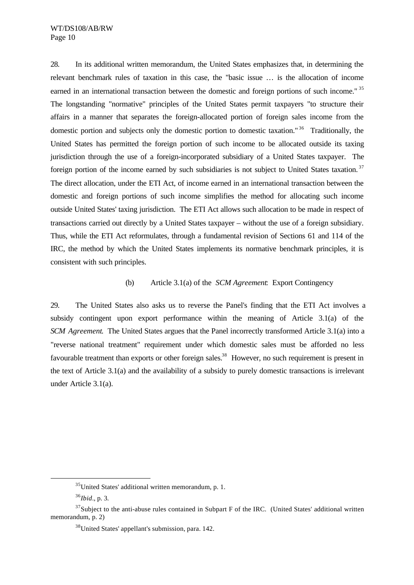28. In its additional written memorandum, the United States emphasizes that, in determining the relevant benchmark rules of taxation in this case, the "basic issue … is the allocation of income earned in an international transaction between the domestic and foreign portions of such income."<sup>35</sup> The longstanding "normative" principles of the United States permit taxpayers "to structure their affairs in a manner that separates the foreign-allocated portion of foreign sales income from the domestic portion and subjects only the domestic portion to domestic taxation."<sup>36</sup> Traditionally, the United States has permitted the foreign portion of such income to be allocated outside its taxing jurisdiction through the use of a foreign-incorporated subsidiary of a United States taxpayer. The foreign portion of the income earned by such subsidiaries is not subject to United States taxation.  $37$ The direct allocation, under the ETI Act, of income earned in an international transaction between the domestic and foreign portions of such income simplifies the method for allocating such income outside United States' taxing jurisdiction. The ETI Act allows such allocation to be made in respect of transactions carried out directly by a United States taxpayer – without the use of a foreign subsidiary. Thus, while the ETI Act reformulates, through a fundamental revision of Sections 61 and 114 of the IRC, the method by which the United States implements its normative benchmark principles, it is consistent with such principles.

#### (b) Article 3.1(a) of the *SCM Agreement*: Export Contingency

29. The United States also asks us to reverse the Panel's finding that the ETI Act involves a subsidy contingent upon export performance within the meaning of Article 3.1(a) of the *SCM Agreement*. The United States argues that the Panel incorrectly transformed Article 3.1(a) into a "reverse national treatment" requirement under which domestic sales must be afforded no less favourable treatment than exports or other foreign sales.<sup>38</sup> However, no such requirement is present in the text of Article 3.1(a) and the availability of a subsidy to purely domestic transactions is irrelevant under Article 3.1(a).

 $35$ United States' additional written memorandum, p. 1.

<sup>36</sup>*Ibid*., p. 3.

 $37$ Subject to the anti-abuse rules contained in Subpart F of the IRC. (United States' additional written memorandum, p. 2)

<sup>38</sup>United States' appellant's submission, para. 142.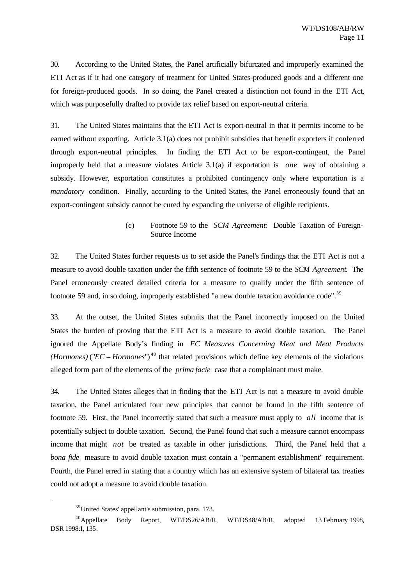30. According to the United States, the Panel artificially bifurcated and improperly examined the ETI Act as if it had one category of treatment for United States-produced goods and a different one for foreign-produced goods. In so doing, the Panel created a distinction not found in the ETI Act, which was purposefully drafted to provide tax relief based on export-neutral criteria.

31. The United States maintains that the ETI Act is export-neutral in that it permits income to be earned without exporting. Article 3.1(a) does not prohibit subsidies that benefit exporters if conferred through export-neutral principles. In finding the ETI Act to be export-contingent, the Panel improperly held that a measure violates Article 3.1(a) if exportation is *one* way of obtaining a subsidy. However, exportation constitutes a prohibited contingency only where exportation is a *mandatory* condition. Finally, according to the United States, the Panel erroneously found that an export-contingent subsidy cannot be cured by expanding the universe of eligible recipients.

# (c) Footnote 59 to the *SCM Agreement*: Double Taxation of Foreign-Source Income

32. The United States further requests us to set aside the Panel's findings that the ETI Act is not a measure to avoid double taxation under the fifth sentence of footnote 59 to the *SCM Agreement*. The Panel erroneously created detailed criteria for a measure to qualify under the fifth sentence of footnote 59 and, in so doing, improperly established "a new double taxation avoidance code".<sup>39</sup>

33. At the outset, the United States submits that the Panel incorrectly imposed on the United States the burden of proving that the ETI Act is a measure to avoid double taxation. The Panel ignored the Appellate Body's finding in *EC Measures Concerning Meat and Meat Products (Hormones)* (" $EC-Hormones$ ")<sup>40</sup> that related provisions which define key elements of the violations alleged form part of the elements of the *prima facie* case that a complainant must make.

34. The United States alleges that in finding that the ETI Act is not a measure to avoid double taxation, the Panel articulated four new principles that cannot be found in the fifth sentence of footnote 59. First, the Panel incorrectly stated that such a measure must apply to *all* income that is potentially subject to double taxation. Second, the Panel found that such a measure cannot encompass income that might *not* be treated as taxable in other jurisdictions. Third, the Panel held that a *bona fide* measure to avoid double taxation must contain a "permanent establishment" requirement. Fourth, the Panel erred in stating that a country which has an extensive system of bilateral tax treaties could not adopt a measure to avoid double taxation.

<sup>39</sup>United States' appellant's submission, para. 173.

<sup>40</sup>Appellate Body Report, WT/DS26/AB/R, WT/DS48/AB/R, adopted 13 February 1998, DSR 1998:I, 135*.*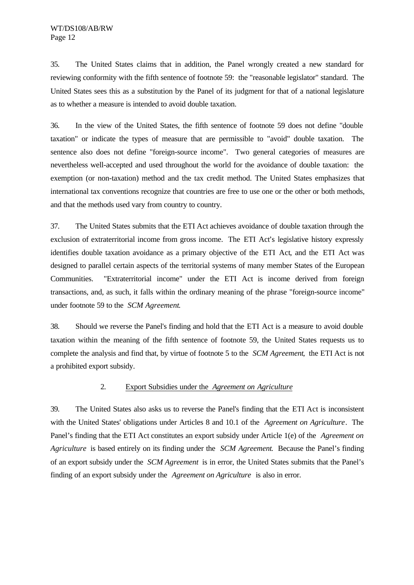35. The United States claims that in addition, the Panel wrongly created a new standard for reviewing conformity with the fifth sentence of footnote 59: the "reasonable legislator" standard. The United States sees this as a substitution by the Panel of its judgment for that of a national legislature as to whether a measure is intended to avoid double taxation.

36. In the view of the United States, the fifth sentence of footnote 59 does not define "double taxation" or indicate the types of measure that are permissible to "avoid" double taxation. The sentence also does not define "foreign-source income". Two general categories of measures are nevertheless well-accepted and used throughout the world for the avoidance of double taxation: the exemption (or non-taxation) method and the tax credit method. The United States emphasizes that international tax conventions recognize that countries are free to use one or the other or both methods, and that the methods used vary from country to country.

37. The United States submits that the ETI Act achieves avoidance of double taxation through the exclusion of extraterritorial income from gross income. The ETI Act's legislative history expressly identifies double taxation avoidance as a primary objective of the ETI Act, and the ETI Act was designed to parallel certain aspects of the territorial systems of many member States of the European Communities. "Extraterritorial income" under the ETI Act is income derived from foreign transactions, and, as such, it falls within the ordinary meaning of the phrase "foreign-source income" under footnote 59 to the *SCM Agreement*.

38. Should we reverse the Panel's finding and hold that the ETI Act is a measure to avoid double taxation within the meaning of the fifth sentence of footnote 59, the United States requests us to complete the analysis and find that, by virtue of footnote 5 to the *SCM Agreement*, the ETI Act is not a prohibited export subsidy.

# 2. Export Subsidies under the *Agreement on Agriculture*

39. The United States also asks us to reverse the Panel's finding that the ETI Act is inconsistent with the United States' obligations under Articles 8 and 10.1 of the *Agreement on Agriculture*. The Panel's finding that the ETI Act constitutes an export subsidy under Article 1(e) of the *Agreement on Agriculture* is based entirely on its finding under the *SCM Agreement*. Because the Panel's finding of an export subsidy under the *SCM Agreement* is in error, the United States submits that the Panel's finding of an export subsidy under the *Agreement on Agriculture* is also in error.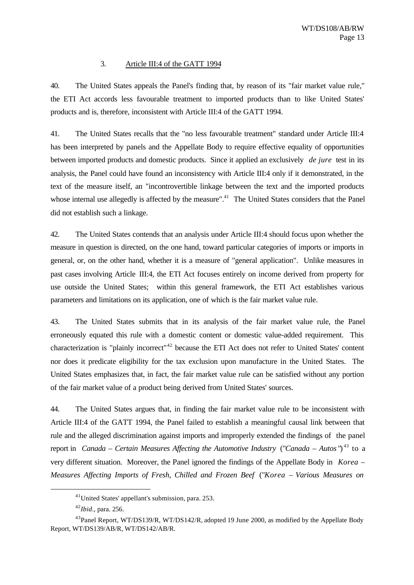# 3. Article III:4 of the GATT 1994

40. The United States appeals the Panel's finding that, by reason of its "fair market value rule," the ETI Act accords less favourable treatment to imported products than to like United States' products and is, therefore, inconsistent with Article III:4 of the GATT 1994.

41. The United States recalls that the "no less favourable treatment" standard under Article III:4 has been interpreted by panels and the Appellate Body to require effective equality of opportunities between imported products and domestic products. Since it applied an exclusively *de jure* test in its analysis, the Panel could have found an inconsistency with Article III:4 only if it demonstrated, in the text of the measure itself, an "incontrovertible linkage between the text and the imported products whose internal use allegedly is affected by the measure".<sup>41</sup> The United States considers that the Panel did not establish such a linkage.

42. The United States contends that an analysis under Article III:4 should focus upon whether the measure in question is directed, on the one hand, toward particular categories of imports or imports in general, or, on the other hand, whether it is a measure of "general application". Unlike measures in past cases involving Article III:4, the ETI Act focuses entirely on income derived from property for use outside the United States; within this general framework, the ETI Act establishes various parameters and limitations on its application, one of which is the fair market value rule.

43. The United States submits that in its analysis of the fair market value rule, the Panel erroneously equated this rule with a domestic content or domestic value-added requirement. This characterization is "plainly incorrect"<sup>42</sup> because the ETI Act does not refer to United States' content nor does it predicate eligibility for the tax exclusion upon manufacture in the United States. The United States emphasizes that, in fact, the fair market value rule can be satisfied without any portion of the fair market value of a product being derived from United States' sources.

44. The United States argues that, in finding the fair market value rule to be inconsistent with Article III:4 of the GATT 1994, the Panel failed to establish a meaningful causal link between that rule and the alleged discrimination against imports and improperly extended the findings of the panel report in *Canada – Certain Measures Affecting the Automotive Industry* ("*Canada – Autos* ")<sup>43</sup> to a very different situation. Moreover, the Panel ignored the findings of the Appellate Body in *Korea – Measures Affecting Imports of Fresh, Chilled and Frozen Beef* ("*Korea – Various Measures on*

<sup>41</sup>United States' appellant's submission, para. 253.

<sup>42</sup>*Ibid*., para. 256.

<sup>&</sup>lt;sup>43</sup>Panel Report, WT/DS139/R, WT/DS142/R, adopted 19 June 2000, as modified by the Appellate Body Report, WT/DS139/AB/R, WT/DS142/AB/R.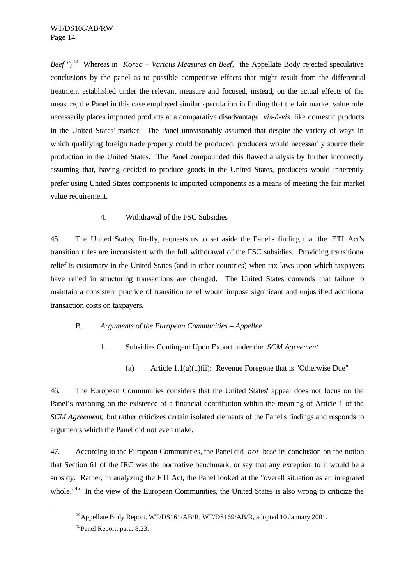*Beef* ").<sup>44</sup> Whereas in *Korea – Various Measures on Beef*, the Appellate Body rejected speculative conclusions by the panel as to possible competitive effects that might result from the differential treatment established under the relevant measure and focused, instead, on the actual effects of the measure, the Panel in this case employed similar speculation in finding that the fair market value rule necessarily places imported products at a comparative disadvantage *vis-à-vis* like domestic products in the United States' market. The Panel unreasonably assumed that despite the variety of ways in which qualifying foreign trade property could be produced, producers would necessarily source their production in the United States. The Panel compounded this flawed analysis by further incorrectly assuming that, having decided to produce goods in the United States, producers would inherently prefer using United States components to imported components as a means of meeting the fair market value requirement.

### 4. Withdrawal of the FSC Subsidies

45. The United States, finally, requests us to set aside the Panel's finding that the ETI Act's transition rules are inconsistent with the full withdrawal of the FSC subsidies. Providing transitional relief is customary in the United States (and in other countries) when tax laws upon which taxpayers have relied in structuring transactions are changed. The United States contends that failure to maintain a consistent practice of transition relief would impose significant and unjustified additional transaction costs on taxpayers.

#### B. *Arguments of the European Communities – Appellee*

#### 1. Subsidies Contingent Upon Export under the *SCM Agreement*

(a) Article  $1.1(a)(1)(ii)$ : Revenue Foregone that is "Otherwise Due"

46. The European Communities considers that the United States' appeal does not focus on the Panel's reasoning on the existence of a financial contribution within the meaning of Article 1 of the *SCM Agreement*, but rather criticizes certain isolated elements of the Panel's findings and responds to arguments which the Panel did not even make.

47. According to the European Communities, the Panel did *not* base its conclusion on the notion that Section 61 of the IRC was the normative benchmark, or say that any exception to it would be a subsidy. Rather, in analyzing the ETI Act, the Panel looked at the "overall situation as an integrated whole."<sup>45</sup> In the view of the European Communities, the United States is also wrong to criticize the

<sup>44</sup>Appellate Body Report, WT/DS161/AB/R, WT/DS169/AB/R, adopted 10 January 2001.

<sup>45</sup>Panel Report, para. 8.23.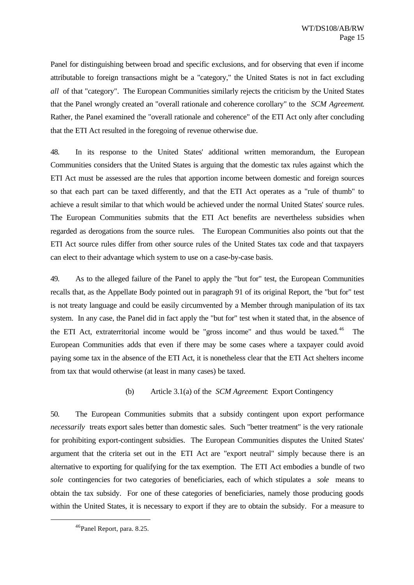Panel for distinguishing between broad and specific exclusions, and for observing that even if income attributable to foreign transactions might be a "category," the United States is not in fact excluding *all* of that "category". The European Communities similarly rejects the criticism by the United States that the Panel wrongly created an "overall rationale and coherence corollary" to the *SCM Agreement*. Rather, the Panel examined the "overall rationale and coherence" of the ETI Act only after concluding that the ETI Act resulted in the foregoing of revenue otherwise due.

48. In its response to the United States' additional written memorandum, the European Communities considers that the United States is arguing that the domestic tax rules against which the ETI Act must be assessed are the rules that apportion income between domestic and foreign sources so that each part can be taxed differently, and that the ETI Act operates as a "rule of thumb" to achieve a result similar to that which would be achieved under the normal United States' source rules. The European Communities submits that the ETI Act benefits are nevertheless subsidies when regarded as derogations from the source rules. The European Communities also points out that the ETI Act source rules differ from other source rules of the United States tax code and that taxpayers can elect to their advantage which system to use on a case-by-case basis.

49. As to the alleged failure of the Panel to apply the "but for" test, the European Communities recalls that, as the Appellate Body pointed out in paragraph 91 of its original Report, the "but for" test is not treaty language and could be easily circumvented by a Member through manipulation of its tax system. In any case, the Panel did in fact apply the "but for" test when it stated that, in the absence of the ETI Act, extraterritorial income would be "gross income" and thus would be taxed. $46$  The European Communities adds that even if there may be some cases where a taxpayer could avoid paying some tax in the absence of the ETI Act, it is nonetheless clear that the ETI Act shelters income from tax that would otherwise (at least in many cases) be taxed.

#### (b) Article 3.1(a) of the *SCM Agreement*: Export Contingency

50. The European Communities submits that a subsidy contingent upon export performance *necessarily* treats export sales better than domestic sales. Such "better treatment" is the very rationale for prohibiting export-contingent subsidies. The European Communities disputes the United States' argument that the criteria set out in the ETI Act are "export neutral" simply because there is an alternative to exporting for qualifying for the tax exemption. The ETI Act embodies a bundle of two *sole* contingencies for two categories of beneficiaries, each of which stipulates a *sole* means to obtain the tax subsidy. For one of these categories of beneficiaries, namely those producing goods within the United States, it is necessary to export if they are to obtain the subsidy. For a measure to

<sup>46</sup>Panel Report, para. 8.25.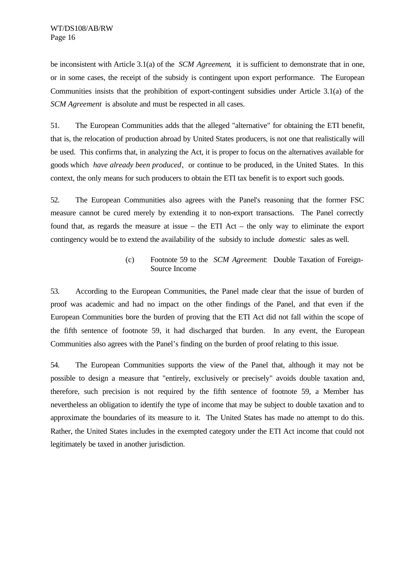be inconsistent with Article 3.1(a) of the *SCM Agreement*, it is sufficient to demonstrate that in one, or in some cases, the receipt of the subsidy is contingent upon export performance. The European Communities insists that the prohibition of export-contingent subsidies under Article 3.1(a) of the *SCM Agreement* is absolute and must be respected in all cases.

51. The European Communities adds that the alleged "alternative" for obtaining the ETI benefit, that is, the relocation of production abroad by United States producers, is not one that realistically will be used. This confirms that, in analyzing the Act, it is proper to focus on the alternatives available for goods which *have already been produced*, or continue to be produced, in the United States. In this context, the only means for such producers to obtain the ETI tax benefit is to export such goods.

52. The European Communities also agrees with the Panel's reasoning that the former FSC measure cannot be cured merely by extending it to non-export transactions. The Panel correctly found that, as regards the measure at issue – the ETI Act – the only way to eliminate the export contingency would be to extend the availability of the subsidy to include *domestic* sales as well.

# (c) Footnote 59 to the *SCM Agreement*: Double Taxation of Foreign-Source Income

53. According to the European Communities, the Panel made clear that the issue of burden of proof was academic and had no impact on the other findings of the Panel, and that even if the European Communities bore the burden of proving that the ETI Act did not fall within the scope of the fifth sentence of footnote 59, it had discharged that burden. In any event, the European Communities also agrees with the Panel's finding on the burden of proof relating to this issue.

54. The European Communities supports the view of the Panel that, although it may not be possible to design a measure that "entirely, exclusively or precisely" avoids double taxation and, therefore, such precision is not required by the fifth sentence of footnote 59, a Member has nevertheless an obligation to identify the type of income that may be subject to double taxation and to approximate the boundaries of its measure to it. The United States has made no attempt to do this. Rather, the United States includes in the exempted category under the ETI Act income that could not legitimately be taxed in another jurisdiction.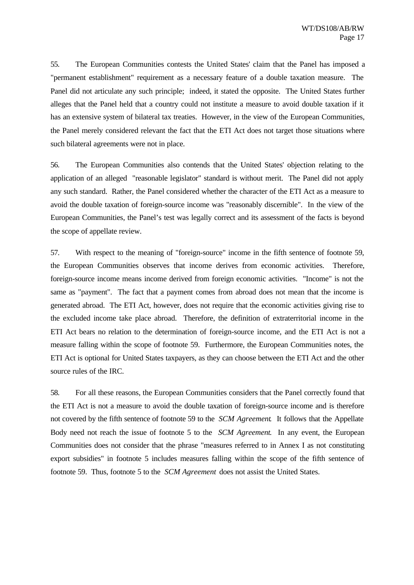55. The European Communities contests the United States' claim that the Panel has imposed a "permanent establishment" requirement as a necessary feature of a double taxation measure. The Panel did not articulate any such principle; indeed, it stated the opposite. The United States further alleges that the Panel held that a country could not institute a measure to avoid double taxation if it has an extensive system of bilateral tax treaties. However, in the view of the European Communities, the Panel merely considered relevant the fact that the ETI Act does not target those situations where such bilateral agreements were not in place.

56. The European Communities also contends that the United States' objection relating to the application of an alleged "reasonable legislator" standard is without merit. The Panel did not apply any such standard. Rather, the Panel considered whether the character of the ETI Act as a measure to avoid the double taxation of foreign-source income was "reasonably discernible". In the view of the European Communities, the Panel's test was legally correct and its assessment of the facts is beyond the scope of appellate review.

57. With respect to the meaning of "foreign-source" income in the fifth sentence of footnote 59, the European Communities observes that income derives from economic activities. Therefore, foreign-source income means income derived from foreign economic activities. "Income" is not the same as "payment". The fact that a payment comes from abroad does not mean that the income is generated abroad. The ETI Act, however, does not require that the economic activities giving rise to the excluded income take place abroad. Therefore, the definition of extraterritorial income in the ETI Act bears no relation to the determination of foreign-source income, and the ETI Act is not a measure falling within the scope of footnote 59. Furthermore, the European Communities notes, the ETI Act is optional for United States taxpayers, as they can choose between the ETI Act and the other source rules of the IRC.

58. For all these reasons, the European Communities considers that the Panel correctly found that the ETI Act is not a measure to avoid the double taxation of foreign-source income and is therefore not covered by the fifth sentence of footnote 59 to the *SCM Agreement*. It follows that the Appellate Body need not reach the issue of footnote 5 to the *SCM Agreement*. In any event, the European Communities does not consider that the phrase "measures referred to in Annex I as not constituting export subsidies" in footnote 5 includes measures falling within the scope of the fifth sentence of footnote 59. Thus, footnote 5 to the *SCM Agreement* does not assist the United States.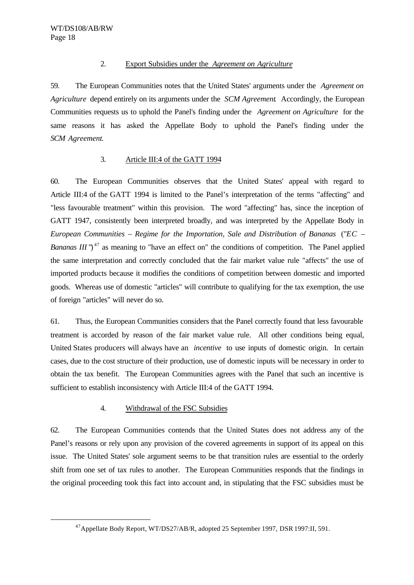l

## 2. Export Subsidies under the *Agreement on Agriculture*

59. The European Communities notes that the United States' arguments under the *Agreement on Agriculture* depend entirely on its arguments under the *SCM Agreement*. Accordingly, the European Communities requests us to uphold the Panel's finding under the *Agreement on Agriculture* for the same reasons it has asked the Appellate Body to uphold the Panel's finding under the *SCM Agreement*.

# 3. Article III:4 of the GATT 1994

60. The European Communities observes that the United States' appeal with regard to Article III:4 of the GATT 1994 is limited to the Panel's interpretation of the terms "affecting" and "less favourable treatment" within this provision. The word "affecting" has, since the inception of GATT 1947, consistently been interpreted broadly, and was interpreted by the Appellate Body in *European Communities – Regime for the Importation, Sale and Distribution of Bananas* ("*EC – Bananas III* ")<sup>47</sup> as meaning to "have an effect on" the conditions of competition. The Panel applied the same interpretation and correctly concluded that the fair market value rule "affects" the use of imported products because it modifies the conditions of competition between domestic and imported goods. Whereas use of domestic "articles" will contribute to qualifying for the tax exemption, the use of foreign "articles" will never do so.

61. Thus, the European Communities considers that the Panel correctly found that less favourable treatment is accorded by reason of the fair market value rule. All other conditions being equal, United States producers will always have an *incentive* to use inputs of domestic origin. In certain cases, due to the cost structure of their production, use of domestic inputs will be necessary in order to obtain the tax benefit. The European Communities agrees with the Panel that such an incentive is sufficient to establish inconsistency with Article III:4 of the GATT 1994.

# 4. Withdrawal of the FSC Subsidies

62. The European Communities contends that the United States does not address any of the Panel's reasons or rely upon any provision of the covered agreements in support of its appeal on this issue. The United States' sole argument seems to be that transition rules are essential to the orderly shift from one set of tax rules to another. The European Communities responds that the findings in the original proceeding took this fact into account and, in stipulating that the FSC subsidies must be

<sup>47</sup>Appellate Body Report, WT/DS27/AB/R, adopted 25 September 1997, DSR 1997:II, 591.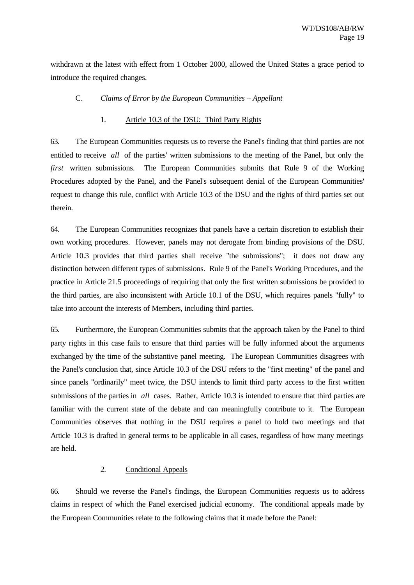withdrawn at the latest with effect from 1 October 2000, allowed the United States a grace period to introduce the required changes.

# C. *Claims of Error by the European Communities – Appellant*

#### 1. Article 10.3 of the DSU: Third Party Rights

63. The European Communities requests us to reverse the Panel's finding that third parties are not entitled to receive *all* of the parties' written submissions to the meeting of the Panel, but only the *first* written submissions. The European Communities submits that Rule 9 of the Working Procedures adopted by the Panel, and the Panel's subsequent denial of the European Communities' request to change this rule, conflict with Article 10.3 of the DSU and the rights of third parties set out therein.

64. The European Communities recognizes that panels have a certain discretion to establish their own working procedures. However, panels may not derogate from binding provisions of the DSU. Article 10.3 provides that third parties shall receive "the submissions"; it does not draw any distinction between different types of submissions. Rule 9 of the Panel's Working Procedures, and the practice in Article 21.5 proceedings of requiring that only the first written submissions be provided to the third parties, are also inconsistent with Article 10.1 of the DSU, which requires panels "fully" to take into account the interests of Members, including third parties.

65. Furthermore, the European Communities submits that the approach taken by the Panel to third party rights in this case fails to ensure that third parties will be fully informed about the arguments exchanged by the time of the substantive panel meeting. The European Communities disagrees with the Panel's conclusion that, since Article 10.3 of the DSU refers to the "first meeting" of the panel and since panels "ordinarily" meet twice, the DSU intends to limit third party access to the first written submissions of the parties in *all* cases. Rather, Article 10.3 is intended to ensure that third parties are familiar with the current state of the debate and can meaningfully contribute to it. The European Communities observes that nothing in the DSU requires a panel to hold two meetings and that Article 10.3 is drafted in general terms to be applicable in all cases, regardless of how many meetings are held.

# 2. Conditional Appeals

66. Should we reverse the Panel's findings, the European Communities requests us to address claims in respect of which the Panel exercised judicial economy. The conditional appeals made by the European Communities relate to the following claims that it made before the Panel: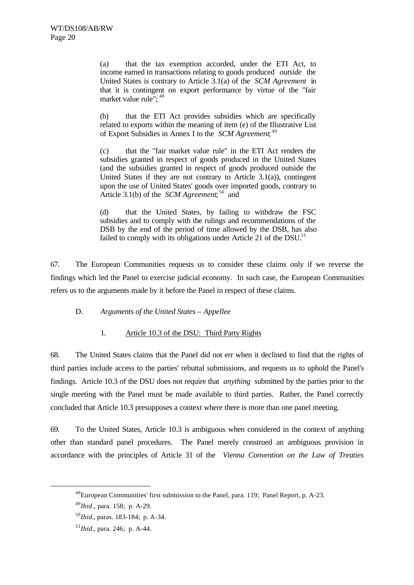(a) that the tax exemption accorded, under the ETI Act, to income earned in transactions relating to goods produced *outside* the United States is contrary to Article 3.1(a) of the *SCM Agreement* in that it is contingent on export performance by virtue of the "fair market value rule"; <sup>48</sup>

(b) that the ETI Act provides subsidies which are specifically related to exports within the meaning of item (e) of the Illustrative List of Export Subsidies in Annex I to the *SCM Agreement*; 49

(c) that the "fair market value rule" in the ETI Act renders the subsidies granted in respect of goods produced in the United States (and the subsidies granted in respect of goods produced outside the United States if they are not contrary to Article 3.1(a)), contingent upon the use of United States' goods over imported goods, contrary to Article 3.1(b) of the *SCM Agreement*;<sup>50</sup> and

(d) that the United States, by failing to withdraw the FSC subsidies and to comply with the rulings and recommendations of the DSB by the end of the period of time allowed by the DSB, has also failed to comply with its obligations under Article 21 of the  $DSU<sup>51</sup>$ 

67. The European Communities requests us to consider these claims only if we reverse the findings which led the Panel to exercise judicial economy. In such case, the European Communities refers us to the arguments made by it before the Panel in respect of these claims.

D. *Arguments of the United States – Appellee*

# 1. Article 10.3 of the DSU: Third Party Rights

68. The United States claims that the Panel did not err when it declined to find that the rights of third parties include access to the parties' rebuttal submissions, and requests us to uphold the Panel's findings. Article 10.3 of the DSU does not require that *anything* submitted by the parties prior to the single meeting with the Panel must be made available to third parties. Rather, the Panel correctly concluded that Article 10.3 presupposes a context where there is more than one panel meeting.

69. To the United States, Article 10.3 is ambiguous when considered in the context of anything other than standard panel procedures. The Panel merely construed an ambiguous provision in accordance with the principles of Article 31 of the *Vienna Convention on the Law of Treaties*

<sup>48</sup>European Communities' first submission to the Panel, para. 119; Panel Report, p. A-23.

<sup>49</sup>*Ibid*., para. 158; p. A-29.

<sup>50</sup>*Ibid.*, paras. 183-184; p. A-34.

<sup>51</sup>*Ibid.*, para. 246; p. A-44.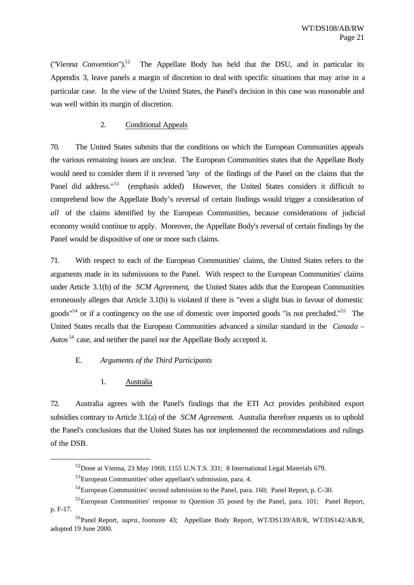("Vienna Convention").<sup>52</sup> The Appellate Body has held that the DSU, and in particular its Appendix 3, leave panels a margin of discretion to deal with specific situations that may arise in a particular case. In the view of the United States, the Panel's decision in this case was reasonable and was well within its margin of discretion.

## 2. Conditional Appeals

70. The United States submits that the conditions on which the European Communities appeals the various remaining issues are unclear. The European Communities states that the Appellate Body would need to consider them if it reversed "*any* of the findings of the Panel on the claims that the Panel did address."<sup>53</sup> (emphasis added) However, the United States considers it difficult to comprehend how the Appellate Body's reversal of certain findings would trigger a consideration of *all* of the claims identified by the European Communities, because considerations of judicial economy would continue to apply. Moreover, the Appellate Body's reversal of certain findings by the Panel would be dispositive of one or more such claims.

71. With respect to each of the European Communities' claims, the United States refers to the arguments made in its submissions to the Panel. With respect to the European Communities' claims under Article 3.1(b) of the *SCM Agreement*, the United States adds that the European Communities erroneously alleges that Article 3.1(b) is violated if there is "even a slight bias in favour of domestic goods<sup>"54</sup> or if a contingency on the use of domestic over imported goods "is not precluded."<sup>55</sup> The United States recalls that the European Communities advanced a similar standard in the *Canada – Autos*<sup>56</sup> case, and neither the panel nor the Appellate Body accepted it.

# E. *Arguments of the Third Participants*

# 1. Australia

l

72. Australia agrees with the Panel's findings that the ETI Act provides prohibited export subsidies contrary to Article 3.1(a) of the *SCM Agreement*. Australia therefore requests us to uphold the Panel's conclusions that the United States has not implemented the recommendations and rulings of the DSB.

<sup>52</sup>Done at Vienna, 23 May 1969, 1155 U.N.T.S. 331; 8 International Legal Materials 679.

<sup>&</sup>lt;sup>53</sup>European Communities' other appellant's submission, para. 4.

<sup>&</sup>lt;sup>54</sup>European Communities' second submission to the Panel, para. 160; Panel Report, p. C-30.

 $55$ European Communities' response to Question 35 posed by the Panel, para. 101; Panel Report, p. F-17.

<sup>56</sup>Panel Report, *supra*, footnote 43; Appellate Body Report, WT/DS139/AB/R, WT/DS142/AB/R, adopted 19 June 2000.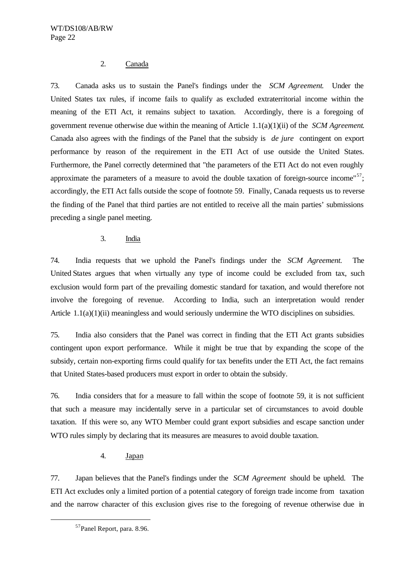### 2. Canada

73. Canada asks us to sustain the Panel's findings under the *SCM Agreement*. Under the United States tax rules, if income fails to qualify as excluded extraterritorial income within the meaning of the ETI Act, it remains subject to taxation. Accordingly, there is a foregoing of government revenue otherwise due within the meaning of Article 1.1(a)(1)(ii) of the *SCM Agreement*. Canada also agrees with the findings of the Panel that the subsidy is *de jure* contingent on export performance by reason of the requirement in the ETI Act of use outside the United States. Furthermore, the Panel correctly determined that "the parameters of the ETI Act do not even roughly approximate the parameters of a measure to avoid the double taxation of foreign-source income"<sup>57</sup>; accordingly, the ETI Act falls outside the scope of footnote 59. Finally, Canada requests us to reverse the finding of the Panel that third parties are not entitled to receive all the main parties' submissions preceding a single panel meeting.

### 3. India

74. India requests that we uphold the Panel's findings under the *SCM Agreement.* The United States argues that when virtually any type of income could be excluded from tax, such exclusion would form part of the prevailing domestic standard for taxation, and would therefore not involve the foregoing of revenue. According to India, such an interpretation would render Article  $1.1(a)(1)(ii)$  meaningless and would seriously undermine the WTO disciplines on subsidies.

75. India also considers that the Panel was correct in finding that the ETI Act grants subsidies contingent upon export performance. While it might be true that by expanding the scope of the subsidy, certain non-exporting firms could qualify for tax benefits under the ETI Act, the fact remains that United States-based producers must export in order to obtain the subsidy.

76. India considers that for a measure to fall within the scope of footnote 59, it is not sufficient that such a measure may incidentally serve in a particular set of circumstances to avoid double taxation. If this were so, any WTO Member could grant export subsidies and escape sanction under WTO rules simply by declaring that its measures are measures to avoid double taxation.

# 4. Japan

77. Japan believes that the Panel's findings under the *SCM Agreement* should be upheld. The ETI Act excludes only a limited portion of a potential category of foreign trade income from taxation and the narrow character of this exclusion gives rise to the foregoing of revenue otherwise due in

<sup>57</sup>Panel Report, para. 8.96.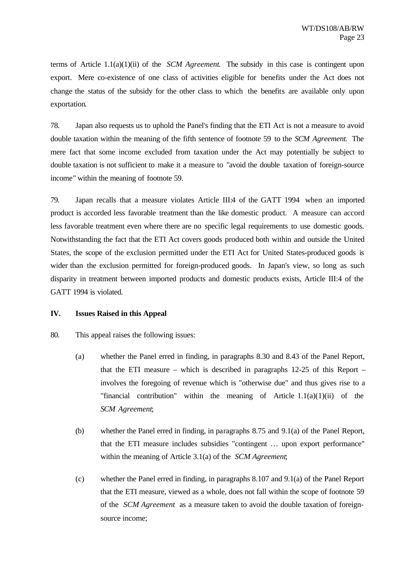terms of Article 1.1(a)(1)(ii) of the *SCM Agreement*. The subsidy in this case is contingent upon export. Mere co-existence of one class of activities eligible for benefits under the Act does not change the status of the subsidy for the other class to which the benefits are available only upon exportation.

78. Japan also requests us to uphold the Panel's finding that the ETI Act is not a measure to avoid double taxation within the meaning of the fifth sentence of footnote 59 to the *SCM Agreement*. The mere fact that some income excluded from taxation under the Act may potentially be subject to double taxation is not sufficient to make it a measure to "avoid the double taxation of foreign-source income" within the meaning of footnote 59.

79. Japan recalls that a measure violates Article III:4 of the GATT 1994 when an imported product is accorded less favorable treatment than the like domestic product. A measure can accord less favorable treatment even where there are no specific legal requirements to use domestic goods. Notwithstanding the fact that the ETI Act covers goods produced both within and outside the United States, the scope of the exclusion permitted under the ETI Act for United States-produced goods is wider than the exclusion permitted for foreign-produced goods. In Japan's view, so long as such disparity in treatment between imported products and domestic products exists, Article III:4 of the GATT 1994 is violated.

#### **IV. Issues Raised in this Appeal**

#### 80. This appeal raises the following issues:

- (a) whether the Panel erred in finding, in paragraphs 8.30 and 8.43 of the Panel Report, that the ETI measure – which is described in paragraphs  $12{\text -}25$  of this Report – involves the foregoing of revenue which is "otherwise due" and thus gives rise to a "financial contribution" within the meaning of Article  $1.1(a)(1)(ii)$  of the *SCM Agreement*;
- (b) whether the Panel erred in finding, in paragraphs 8.75 and 9.1(a) of the Panel Report, that the ETI measure includes subsidies "contingent … upon export performance" within the meaning of Article 3.1(a) of the *SCM Agreement*;
- (c) whether the Panel erred in finding, in paragraphs 8.107 and 9.1(a) of the Panel Report that the ETI measure, viewed as a whole, does not fall within the scope of footnote 59 of the *SCM Agreement* as a measure taken to avoid the double taxation of foreignsource income;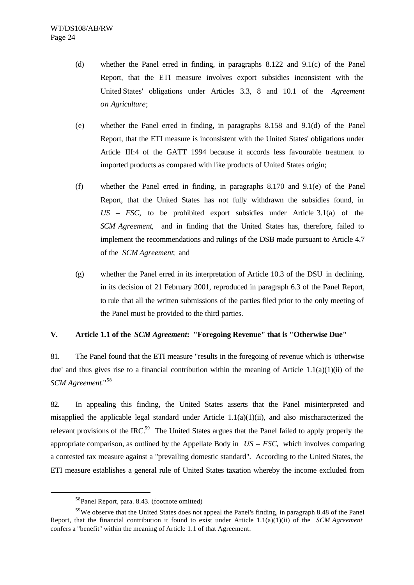- (d) whether the Panel erred in finding, in paragraphs 8.122 and 9.1(c) of the Panel Report, that the ETI measure involves export subsidies inconsistent with the United States' obligations under Articles 3.3, 8 and 10.1 of the *Agreement on Agriculture*;
- (e) whether the Panel erred in finding, in paragraphs 8.158 and 9.1(d) of the Panel Report, that the ETI measure is inconsistent with the United States' obligations under Article III:4 of the GATT 1994 because it accords less favourable treatment to imported products as compared with like products of United States origin;
- (f) whether the Panel erred in finding, in paragraphs 8.170 and 9.1(e) of the Panel Report, that the United States has not fully withdrawn the subsidies found, in *US – FSC,* to be prohibited export subsidies under Article 3.1(a) of the *SCM Agreement*, and in finding that the United States has, therefore, failed to implement the recommendations and rulings of the DSB made pursuant to Article 4.7 of the *SCM Agreement*; and
- (g) whether the Panel erred in its interpretation of Article 10.3 of the DSU in declining, in its decision of 21 February 2001, reproduced in paragraph 6.3 of the Panel Report, to rule that all the written submissions of the parties filed prior to the only meeting of the Panel must be provided to the third parties.

# **V. Article 1.1 of the** *SCM Agreement***: "Foregoing Revenue" that is "Otherwise Due"**

81. The Panel found that the ETI measure "results in the foregoing of revenue which is 'otherwise due' and thus gives rise to a financial contribution within the meaning of Article  $1.1(a)(1)(ii)$  of the *SCM Agreement*."<sup>58</sup>

82. In appealing this finding, the United States asserts that the Panel misinterpreted and misapplied the applicable legal standard under Article 1.1(a)(1)(ii), and also mischaracterized the relevant provisions of the IRC.<sup>59</sup> The United States argues that the Panel failed to apply properly the appropriate comparison, as outlined by the Appellate Body in *US – FSC*, which involves comparing a contested tax measure against a "prevailing domestic standard". According to the United States, the ETI measure establishes a general rule of United States taxation whereby the income excluded from

<sup>58</sup>Panel Report, para. 8.43. (footnote omitted)

<sup>59</sup>We observe that the United States does not appeal the Panel's finding, in paragraph 8.48 of the Panel Report, that the financial contribution it found to exist under Article 1.1(a)(1)(ii) of the *SCM Agreement* confers a "benefit" within the meaning of Article 1.1 of that Agreement.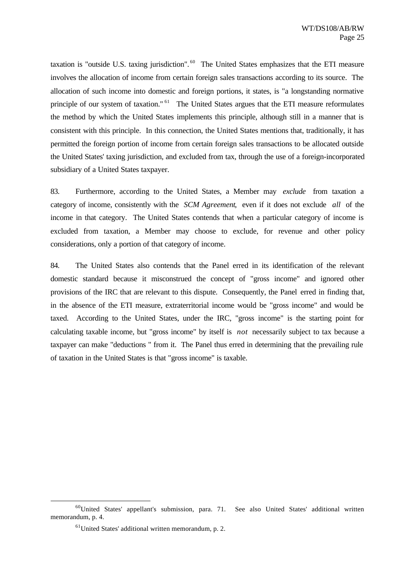taxation is "outside U.S. taxing jurisdiction".<sup>60</sup> The United States emphasizes that the ETI measure involves the allocation of income from certain foreign sales transactions according to its source. The allocation of such income into domestic and foreign portions, it states, is "a longstanding normative principle of our system of taxation." <sup>61</sup> The United States argues that the ETI measure reformulates the method by which the United States implements this principle, although still in a manner that is consistent with this principle. In this connection, the United States mentions that, traditionally, it has permitted the foreign portion of income from certain foreign sales transactions to be allocated outside the United States' taxing jurisdiction, and excluded from tax, through the use of a foreign-incorporated subsidiary of a United States taxpayer.

83. Furthermore, according to the United States, a Member may *exclude* from taxation a category of income, consistently with the *SCM Agreement*, even if it does not exclude *all* of the income in that category. The United States contends that when a particular category of income is excluded from taxation, a Member may choose to exclude, for revenue and other policy considerations, only a portion of that category of income.

84. The United States also contends that the Panel erred in its identification of the relevant domestic standard because it misconstrued the concept of "gross income" and ignored other provisions of the IRC that are relevant to this dispute. Consequently, the Panel erred in finding that, in the absence of the ETI measure, extraterritorial income would be "gross income" and would be taxed. According to the United States, under the IRC, "gross income" is the starting point for calculating taxable income, but "gross income" by itself is *not* necessarily subject to tax because a taxpayer can make "deductions " from it. The Panel thus erred in determining that the prevailing rule of taxation in the United States is that "gross income" is taxable.

<sup>60</sup>United States' appellant's submission, para. 71. See also United States' additional written memorandum, p. 4.

 $<sup>61</sup>$ United States' additional written memorandum, p. 2.</sup>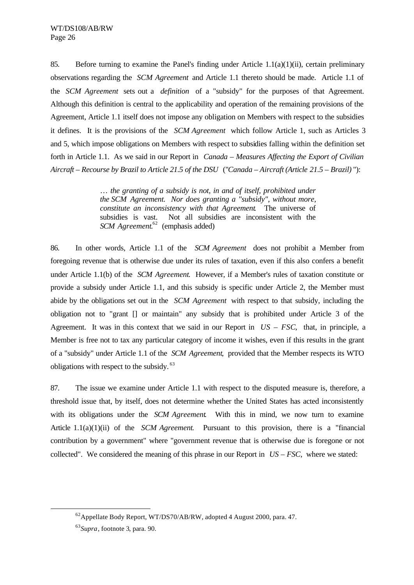85. Before turning to examine the Panel's finding under Article 1.1(a)(1)(ii), certain preliminary observations regarding the *SCM Agreement* and Article 1.1 thereto should be made. Article 1.1 of the *SCM Agreement* sets out a *definition* of a "subsidy" for the purposes of that Agreement. Although this definition is central to the applicability and operation of the remaining provisions of the Agreement, Article 1.1 itself does not impose any obligation on Members with respect to the subsidies it defines. It is the provisions of the *SCM Agreement* which follow Article 1, such as Articles 3 and 5, which impose obligations on Members with respect to subsidies falling within the definition set forth in Article 1.1. As we said in our Report in *Canada – Measures Affecting the Export of Civilian Aircraft – Recourse by Brazil to Article 21.5 of the DSU* ("*Canada – Aircraft (Article 21.5 – Brazil)* "):

> … *the granting of a subsidy is not, in and of itself, prohibited under the SCM Agreement. Nor does granting a "subsidy", without more, constitute an inconsistency with that Agreement*. The universe of subsidies is vast. Not all subsidies are inconsistent with the *SCM Agreement*. <sup>62</sup> (emphasis added)

86. In other words, Article 1.1 of the *SCM Agreement* does not prohibit a Member from foregoing revenue that is otherwise due under its rules of taxation, even if this also confers a benefit under Article 1.1(b) of the *SCM Agreement*. However, if a Member's rules of taxation constitute or provide a subsidy under Article 1.1, and this subsidy is specific under Article 2, the Member must abide by the obligations set out in the *SCM Agreement* with respect to that subsidy, including the obligation not to "grant [] or maintain" any subsidy that is prohibited under Article 3 of the Agreement. It was in this context that we said in our Report in *US – FSC*, that, in principle, a Member is free not to tax any particular category of income it wishes, even if this results in the grant of a "subsidy" under Article 1.1 of the *SCM Agreement*, provided that the Member respects its WTO obligations with respect to the subsidy.<sup>63</sup>

87. The issue we examine under Article 1.1 with respect to the disputed measure is, therefore, a threshold issue that, by itself, does not determine whether the United States has acted inconsistently with its obligations under the *SCM Agreement*. With this in mind, we now turn to examine Article 1.1(a)(1)(ii) of the *SCM Agreement*. Pursuant to this provision, there is a "financial contribution by a government" where "government revenue that is otherwise due is foregone or not collected". We considered the meaning of this phrase in our Report in *US – FSC*, where we stated:

<sup>62</sup>Appellate Body Report, WT/DS70/AB/RW, adopted 4 August 2000, para. 47.

<sup>63</sup>*Supra*, footnote 3, para. 90.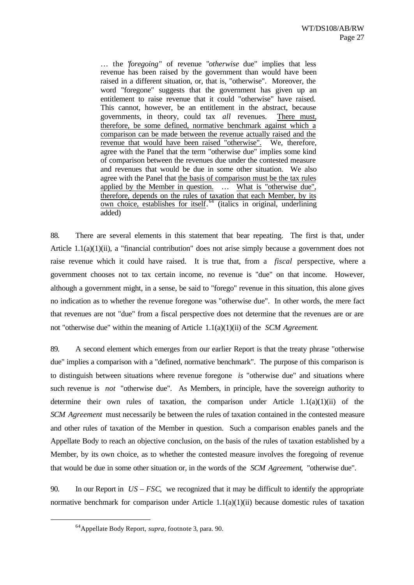… the "*foregoing*" of revenue "*otherwise* due" implies that less revenue has been raised by the government than would have been raised in a different situation, or, that is, "otherwise". Moreover, the word "foregone" suggests that the government has given up an entitlement to raise revenue that it could "otherwise" have raised. This cannot, however, be an entitlement in the abstract, because governments, in theory, could tax *all* revenues. There must, therefore, be some defined, normative benchmark against which a comparison can be made between the revenue actually raised and the revenue that would have been raised "otherwise". We, therefore, agree with the Panel that the term "otherwise due" implies some kind of comparison between the revenues due under the contested measure and revenues that would be due in some other situation. We also agree with the Panel that the basis of comparison must be the tax rules applied by the Member in question. ... What is "otherwise due", therefore, depends on the rules of taxation that each Member, by its own choice, establishes for itself. <sup>64</sup> (italics in original, underlining added)

88. There are several elements in this statement that bear repeating. The first is that, under Article 1.1(a)(1)(ii), a "financial contribution" does not arise simply because a government does not raise revenue which it could have raised. It is true that, from a *fiscal* perspective, where a government chooses not to tax certain income, no revenue is "due" on that income. However, although a government might, in a sense, be said to "forego" revenue in this situation, this alone gives no indication as to whether the revenue foregone was "otherwise due". In other words, the mere fact that revenues are not "due" from a fiscal perspective does not determine that the revenues are or are not "otherwise due" within the meaning of Article 1.1(a)(1)(ii) of the *SCM Agreement*.

89. A second element which emerges from our earlier Report is that the treaty phrase "otherwise due" implies a comparison with a "defined, normative benchmark". The purpose of this comparison is to distinguish between situations where revenue foregone *is* "otherwise due" and situations where such revenue is *not* "otherwise due". As Members, in principle, have the sovereign authority to determine their own rules of taxation, the comparison under Article  $1.1(a)(1)(ii)$  of the *SCM Agreement* must necessarily be between the rules of taxation contained in the contested measure and other rules of taxation of the Member in question. Such a comparison enables panels and the Appellate Body to reach an objective conclusion, on the basis of the rules of taxation established by a Member, by its own choice, as to whether the contested measure involves the foregoing of revenue that would be due in some other situation or, in the words of the *SCM Agreement*, "otherwise due".

90. In our Report in *US – FSC*, we recognized that it may be difficult to identify the appropriate normative benchmark for comparison under Article  $1.1(a)(1)(ii)$  because domestic rules of taxation

<sup>64</sup>Appellate Body Report, *supra,* footnote 3, para. 90.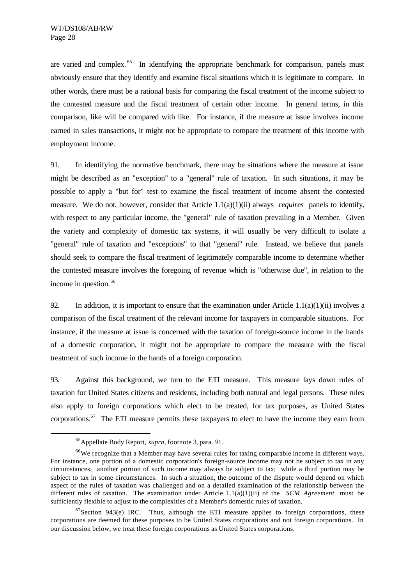are varied and complex.<sup>65</sup> In identifying the appropriate benchmark for comparison, panels must obviously ensure that they identify and examine fiscal situations which it is legitimate to compare. In other words, there must be a rational basis for comparing the fiscal treatment of the income subject to the contested measure and the fiscal treatment of certain other income. In general terms, in this comparison, like will be compared with like. For instance, if the measure at issue involves income earned in sales transactions, it might not be appropriate to compare the treatment of this income with employment income.

91. In identifying the normative benchmark, there may be situations where the measure at issue might be described as an "exception" to a "general" rule of taxation. In such situations, it may be possible to apply a "but for" test to examine the fiscal treatment of income absent the contested measure. We do not, however, consider that Article 1.1(a)(1)(ii) always *requires* panels to identify, with respect to any particular income, the "general" rule of taxation prevailing in a Member. Given the variety and complexity of domestic tax systems, it will usually be very difficult to isolate a "general" rule of taxation and "exceptions" to that "general" rule. Instead, we believe that panels should seek to compare the fiscal treatment of legitimately comparable income to determine whether the contested measure involves the foregoing of revenue which is "otherwise due", in relation to the income in question.<sup>66</sup>

92. In addition, it is important to ensure that the examination under Article  $1.1(a)(1)(ii)$  involves a comparison of the fiscal treatment of the relevant income for taxpayers in comparable situations. For instance, if the measure at issue is concerned with the taxation of foreign-source income in the hands of a domestic corporation, it might not be appropriate to compare the measure with the fiscal treatment of such income in the hands of a foreign corporation.

93. Against this background, we turn to the ETI measure. This measure lays down rules of taxation for United States citizens and residents, including both natural and legal persons. These rules also apply to foreign corporations which elect to be treated, for tax purposes, as United States corporations.<sup>67</sup> The ETI measure permits these taxpayers to elect to have the income they earn from

<sup>65</sup>Appellate Body Report, *supra,* footnote 3, para. 91.

<sup>&</sup>lt;sup>66</sup>We recognize that a Member may have several rules for taxing comparable income in different ways. For instance, one portion of a domestic corporation's foreign-source income may not be subject to tax in any circumstances; another portion of such income may always be subject to tax; while a third portion may be subject to tax in some circumstances. In such a situation, the outcome of the dispute would depend on which aspect of the rules of taxation was challenged and on a detailed examination of the relationship between the different rules of taxation. The examination under Article 1.1(a)(1)(ii) of the *SCM Agreement* must be sufficiently flexible to adjust to the complexities of a Member's domestic rules of taxation.

 $67$ Section 943(e) IRC. Thus, although the ETI measure applies to foreign corporations, these corporations are deemed for these purposes to be United States corporations and not foreign corporations. In our discussion below, we treat these foreign corporations as United States corporations.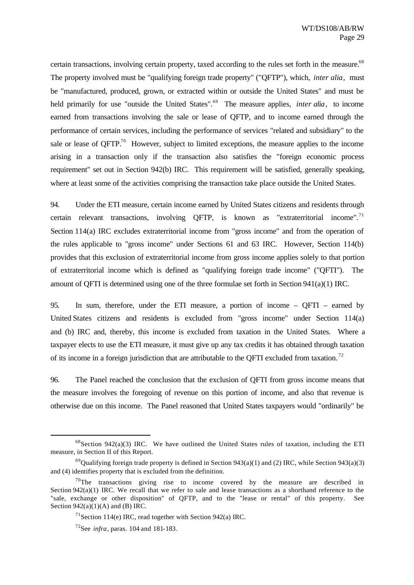certain transactions, involving certain property, taxed according to the rules set forth in the measure.<sup>68</sup> The property involved must be "qualifying foreign trade property" ("QFTP"), which, *inter alia*, must be "manufactured, produced, grown, or extracted within or outside the United States" and must be held primarily for use "outside the United States".<sup>69</sup> The measure applies, *inter alia*, to income earned from transactions involving the sale or lease of QFTP, and to income earned through the performance of certain services, including the performance of services "related and subsidiary" to the sale or lease of  $QFTP<sup>70</sup>$  However, subject to limited exceptions, the measure applies to the income arising in a transaction only if the transaction also satisfies the "foreign economic process requirement" set out in Section 942(b) IRC. This requirement will be satisfied, generally speaking, where at least some of the activities comprising the transaction take place outside the United States.

94. Under the ETI measure, certain income earned by United States citizens and residents through certain relevant transactions, involving OFTP, is known as "extraterritorial income".<sup>71</sup> Section 114(a) IRC excludes extraterritorial income from "gross income" and from the operation of the rules applicable to "gross income" under Sections 61 and 63 IRC. However, Section 114(b) provides that this exclusion of extraterritorial income from gross income applies solely to that portion of extraterritorial income which is defined as "qualifying foreign trade income" ("QFTI"). The amount of QFTI is determined using one of the three formulae set forth in Section 941(a)(1) IRC.

95. In sum, therefore, under the ETI measure, a portion of income – QFTI – earned by United States citizens and residents is excluded from "gross income" under Section 114(a) and (b) IRC and, thereby, this income is excluded from taxation in the United States. Where a taxpayer elects to use the ETI measure, it must give up any tax credits it has obtained through taxation of its income in a foreign jurisdiction that are attributable to the QFTI excluded from taxation.<sup>72</sup>

96. The Panel reached the conclusion that the exclusion of QFTI from gross income means that the measure involves the foregoing of revenue on this portion of income, and also that revenue is otherwise due on this income. The Panel reasoned that United States taxpayers would "ordinarily" be

 $^{68}$ Section 942(a)(3) IRC. We have outlined the United States rules of taxation, including the ETI measure, in Section II of this Report.

<sup>&</sup>lt;sup>69</sup>Qualifying foreign trade property is defined in Section 943(a)(1) and (2) IRC, while Section 943(a)(3) and (4) identifies property that is excluded from the definition.

 $70$ The transactions giving rise to income covered by the measure are described in Section 942(a)(1) IRC. We recall that we refer to sale and lease transactions as a shorthand reference to the "sale, exchange or other disposition" of QFTP, and to the "lease or rental" of this property. See Section  $942(a)(1)(A)$  and (B) IRC.

<sup>&</sup>lt;sup>71</sup>Section 114(e) IRC, read together with Section 942(a) IRC.

<sup>72</sup>See *infra*, paras. 104 and 181-183.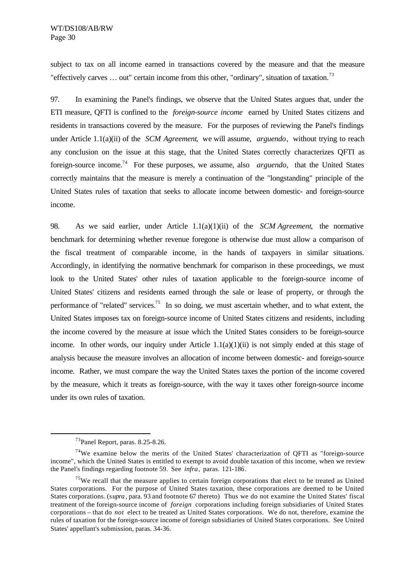subject to tax on all income earned in transactions covered by the measure and that the measure "effectively carves ... out" certain income from this other, "ordinary", situation of taxation.<sup>73</sup>

97. In examining the Panel's findings, we observe that the United States argues that, under the ETI measure, QFTI is confined to the *foreign-source income* earned by United States citizens and residents in transactions covered by the measure. For the purposes of reviewing the Panel's findings under Article 1.1(a)(ii) of the *SCM Agreement*, we will assume, *arguendo*, without trying to reach any conclusion on the issue at this stage, that the United States correctly characterizes QFTI as foreign-source income.<sup>74</sup> For these purposes, we assume, also *arguendo*, that the United States correctly maintains that the measure is merely a continuation of the "longstanding" principle of the United States rules of taxation that seeks to allocate income between domestic- and foreign-source income.

98. As we said earlier, under Article 1.1(a)(1)(ii) of the *SCM Agreement*, the normative benchmark for determining whether revenue foregone is otherwise due must allow a comparison of the fiscal treatment of comparable income, in the hands of taxpayers in similar situations. Accordingly, in identifying the normative benchmark for comparison in these proceedings, we must look to the United States' other rules of taxation applicable to the foreign-source income of United States' citizens and residents earned through the sale or lease of property, or through the performance of "related" services.<sup>75</sup> In so doing, we must ascertain whether, and to what extent, the United States imposes tax on foreign-source income of United States citizens and residents, including the income covered by the measure at issue which the United States considers to be foreign-source income. In other words, our inquiry under Article  $1.1(a)(1)(ii)$  is not simply ended at this stage of analysis because the measure involves an allocation of income between domestic- and foreign-source income. Rather, we must compare the way the United States taxes the portion of the income covered by the measure, which it treats as foreign-source, with the way it taxes other foreign-source income under its own rules of taxation.

<sup>73</sup>Panel Report, paras. 8.25-8.26.

 $74$ We examine below the merits of the United States' characterization of QFTI as "foreign-source" income", which the United States is entitled to exempt to avoid double taxation of this income, when we review the Panel's findings regarding footnote 59. See *infra*, paras. 121-186.

 $75$ We recall that the measure applies to certain foreign corporations that elect to be treated as United States corporations. For the purpose of United States taxation, these corporations are deemed to be United States corporations. (s*upra*, para. 93 and footnote 67 thereto) Thus we do not examine the United States' fiscal treatment of the foreign-source income of *foreign* corporations including foreign subsidiaries of United States corporations – that do *not* elect to be treated as United States corporations. We do not, therefore, examine the rules of taxation for the foreign-source income of foreign subsidiaries of United States corporations. See United States' appellant's submission, paras. 34-36.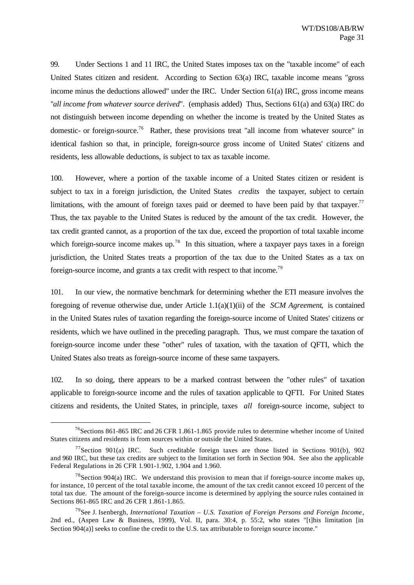99. Under Sections 1 and 11 IRC, the United States imposes tax on the "taxable income" of each United States citizen and resident. According to Section 63(a) IRC, taxable income means "gross income minus the deductions allowed" under the IRC. Under Section  $61(a)$  IRC, gross income means "*all income from whatever source derived*". (emphasis added) Thus, Sections 61(a) and 63(a) IRC do not distinguish between income depending on whether the income is treated by the United States as domestic- or foreign-source.<sup>76</sup> Rather, these provisions treat "all income from whatever source" in identical fashion so that, in principle, foreign-source gross income of United States' citizens and residents, less allowable deductions, is subject to tax as taxable income.

100. However, where a portion of the taxable income of a United States citizen or resident is subject to tax in a foreign jurisdiction, the United States *credits* the taxpayer, subject to certain limitations, with the amount of foreign taxes paid or deemed to have been paid by that taxpayer.<sup>77</sup> Thus, the tax payable to the United States is reduced by the amount of the tax credit. However, the tax credit granted cannot, as a proportion of the tax due, exceed the proportion of total taxable income which foreign-source income makes up.<sup>78</sup> In this situation, where a taxpayer pays taxes in a foreign jurisdiction, the United States treats a proportion of the tax due to the United States as a tax on foreign-source income, and grants a tax credit with respect to that income.<sup>79</sup>

101. In our view, the normative benchmark for determining whether the ETI measure involves the foregoing of revenue otherwise due, under Article 1.1(a)(1)(ii) of the *SCM Agreement*, is contained in the United States rules of taxation regarding the foreign-source income of United States' citizens or residents, which we have outlined in the preceding paragraph. Thus, we must compare the taxation of foreign-source income under these "other" rules of taxation, with the taxation of QFTI, which the United States also treats as foreign-source income of these same taxpayers.

102. In so doing, there appears to be a marked contrast between the "other rules" of taxation applicable to foreign-source income and the rules of taxation applicable to QFTI. For United States citizens and residents, the United States, in principle, taxes *all* foreign-source income, subject to

<sup>76</sup>Sections 861-865 IRC and 26 CFR 1.861-1.865 provide rules to determine whether income of United States citizens and residents is from sources within or outside the United States.

<sup>&</sup>lt;sup>77</sup>Section 901(a) IRC. Such creditable foreign taxes are those listed in Sections 901(b), 902 and 960 IRC, but these tax credits are subject to the limitation set forth in Section 904. See also the applicable Federal Regulations in 26 CFR 1.901-1.902, 1.904 and 1.960.

<sup>&</sup>lt;sup>78</sup>Section 904(a) IRC. We understand this provision to mean that if foreign-source income makes up, for instance, 10 percent of the total taxable income, the amount of the tax credit cannot exceed 10 percent of the total tax due. The amount of the foreign-source income is determined by applying the source rules contained in Sections 861-865 IRC and 26 CFR 1.861-1.865.

<sup>79</sup>See J. Isenbergh, *International Taxation – U.S. Taxation of Foreign Persons and Foreign Income*, 2nd ed., (Aspen Law & Business, 1999), Vol. II, para. 30:4, p. 55:2, who states "[t]his limitation [in Section 904(a)] seeks to confine the credit to the U.S. tax attributable to foreign source income."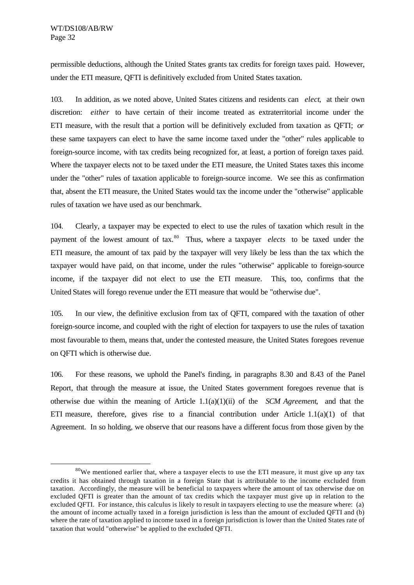l

permissible deductions, although the United States grants tax credits for foreign taxes paid. However, under the ETI measure, QFTI is definitively excluded from United States taxation.

103. In addition, as we noted above, United States citizens and residents can *elect*, at their own discretion: *either* to have certain of their income treated as extraterritorial income under the ETI measure, with the result that a portion will be definitively excluded from taxation as QFTI; *or* these same taxpayers can elect to have the same income taxed under the "other" rules applicable to foreign-source income, with tax credits being recognized for, at least, a portion of foreign taxes paid. Where the taxpayer elects not to be taxed under the ETI measure, the United States taxes this income under the "other" rules of taxation applicable to foreign-source income. We see this as confirmation that, absent the ETI measure, the United States would tax the income under the "otherwise" applicable rules of taxation we have used as our benchmark.

104. Clearly, a taxpayer may be expected to elect to use the rules of taxation which result in the payment of the lowest amount of tax.<sup>80</sup> Thus, where a taxpayer *elects* to be taxed under the ETI measure, the amount of tax paid by the taxpayer will very likely be less than the tax which the taxpayer would have paid, on that income, under the rules "otherwise" applicable to foreign-source income, if the taxpayer did not elect to use the ETI measure. This, too, confirms that the United States will forego revenue under the ETI measure that would be "otherwise due".

105. In our view, the definitive exclusion from tax of QFTI, compared with the taxation of other foreign-source income, and coupled with the right of election for taxpayers to use the rules of taxation most favourable to them, means that, under the contested measure, the United States foregoes revenue on QFTI which is otherwise due.

106. For these reasons, we uphold the Panel's finding, in paragraphs 8.30 and 8.43 of the Panel Report, that through the measure at issue, the United States government foregoes revenue that is otherwise due within the meaning of Article 1.1(a)(1)(ii) of the *SCM Agreement*, and that the ETI measure, therefore, gives rise to a financial contribution under Article  $1.1(a)(1)$  of that Agreement. In so holding, we observe that our reasons have a different focus from those given by the

 $80$ We mentioned earlier that, where a taxpayer elects to use the ETI measure, it must give up any tax credits it has obtained through taxation in a foreign State that is attributable to the income excluded from taxation. Accordingly, the measure will be beneficial to taxpayers where the amount of tax otherwise due on excluded QFTI is greater than the amount of tax credits which the taxpayer must give up in relation to the excluded QFTI. For instance, this calculus is likely to result in taxpayers electing to use the measure where: (a) the amount of income actually taxed in a foreign jurisdiction is less than the amount of excluded QFTI and (b) where the rate of taxation applied to income taxed in a foreign jurisdiction is lower than the United States rate of taxation that would "otherwise" be applied to the excluded QFTI.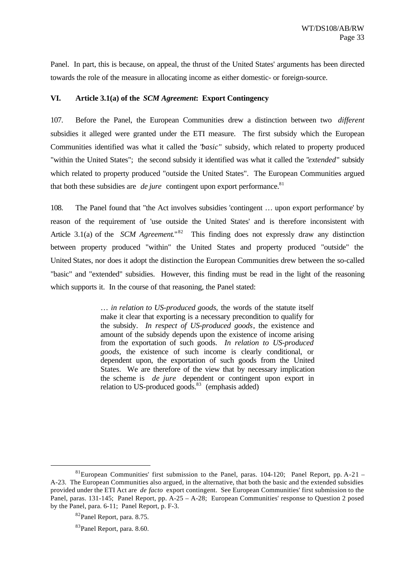Panel. In part, this is because, on appeal, the thrust of the United States' arguments has been directed towards the role of the measure in allocating income as either domestic- or foreign-source.

### **VI. Article 3.1(a) of the** *SCM Agreement***: Export Contingency**

107. Before the Panel, the European Communities drew a distinction between two *different* subsidies it alleged were granted under the ETI measure. The first subsidy which the European Communities identified was what it called the "*basic*" subsidy, which related to property produced "within the United States"; the second subsidy it identified was what it called the "*extended*" subsidy which related to property produced "outside the United States". The European Communities argued that both these subsidies are *de jure* contingent upon export performance.<sup>81</sup>

108. The Panel found that "the Act involves subsidies 'contingent … upon export performance' by reason of the requirement of 'use outside the United States' and is therefore inconsistent with Article 3.1(a) of the *SCM Agreement*.<sup>"82</sup> This finding does not expressly draw any distinction between property produced "within" the United States and property produced "outside" the United States, nor does it adopt the distinction the European Communities drew between the so-called "basic" and "extended" subsidies. However, this finding must be read in the light of the reasoning which supports it. In the course of that reasoning, the Panel stated:

> … *in relation to US-produced goods*, the words of the statute itself make it clear that exporting is a necessary precondition to qualify for the subsidy. *In respect of US-produced goods*, the existence and amount of the subsidy depends upon the existence of income arising from the exportation of such goods. *In relation to US-produced goods*, the existence of such income is clearly conditional, or dependent upon, the exportation of such goods from the United States. We are therefore of the view that by necessary implication the scheme is *de jure* dependent or contingent upon export in relation to US-produced goods. $83$  (emphasis added)

 $81$ European Communities' first submission to the Panel, paras. 104-120; Panel Report, pp. A-21 – A-23. The European Communities also argued, in the alternative, that both the basic and the extended subsidies provided under the ETI Act are *de facto* export contingent. See European Communities' first submission to the Panel, paras. 131-145; Panel Report, pp. A-25 – A-28; European Communities' response to Question 2 posed by the Panel, para. 6-11; Panel Report, p. F-3.

<sup>82</sup>Panel Report, para. 8.75.

<sup>83</sup>Panel Report, para. 8.60.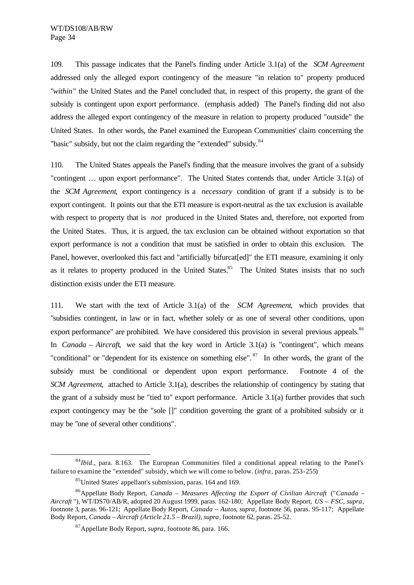109. This passage indicates that the Panel's finding under Article 3.1(a) of the *SCM Agreement* addressed only the alleged export contingency of the measure "in relation to" property produced "*within*" the United States and the Panel concluded that, in respect of this property, the grant of the subsidy is contingent upon export performance. (emphasis added) The Panel's finding did not also address the alleged export contingency of the measure in relation to property produced "outside" the United States. In other words, the Panel examined the European Communities' claim concerning the "basic" subsidy, but not the claim regarding the "extended" subsidy.<sup>84</sup>

110. The United States appeals the Panel's finding that the measure involves the grant of a subsidy "contingent … upon export performance". The United States contends that, under Article 3.1(a) of the *SCM Agreement*, export contingency is a *necessary* condition of grant if a subsidy is to be export contingent. It points out that the ETI measure is export-neutral as the tax exclusion is available with respect to property that is *not* produced in the United States and, therefore, not exported from the United States. Thus, it is argued, the tax exclusion can be obtained without exportation so that export performance is not a condition that must be satisfied in order to obtain this exclusion. The Panel, however, overlooked this fact and "artificially bifurcat[ed]" the ETI measure, examining it only as it relates to property produced in the United States.<sup>85</sup> The United States insists that no such distinction exists under the ETI measure.

111. We start with the text of Article 3.1(a) of the *SCM Agreement*, which provides that "subsidies contingent, in law or in fact, whether solely or as one of several other conditions, upon export performance" are prohibited. We have considered this provision in several previous appeals.<sup>86</sup> In *Canada – Aircraft*, we said that the key word in Article 3.1(a) is "contingent", which means "conditional" or "dependent for its existence on something else". <sup>87</sup> In other words, the grant of the subsidy must be conditional or dependent upon export performance. Footnote 4 of the *SCM Agreement*, attached to Article 3.1(a), describes the relationship of contingency by stating that the grant of a subsidy must be "tied to" export performance. Article 3.1(a) further provides that such export contingency may be the "sole []" condition governing the grant of a prohibited subsidy or it may be "one of several other conditions".

<sup>84</sup>*Ibid*., para. 8.163. The European Communities filed a conditional appeal relating to the Panel's failure to examine the "extended" subsidy, which we will come to below. (*infra*, paras. 253-255)

<sup>85</sup>United States' appellant's submission, paras. 164 and 169.

<sup>86</sup>Appellate Body Report, *Canada – Measures Affecting the Export of Civilian Aircraft* ("*Canada – Aircraft* "), WT/DS70/AB/R, adopted 20 August 1999, paras. 162-180; Appellate Body Report, *US – FSC*, *supra*, footnote 3, paras. 96-121; Appellate Body Report, *Canada – Autos*, *supra*, footnote 56, paras. 95-117; Appellate Body Report, *Canada – Aircraft (Article 21.5 – Brazil)*, *supra*, footnote 62, paras. 25-52.

<sup>87</sup>Appellate Body Report, *supra*, footnote 86, para. 166.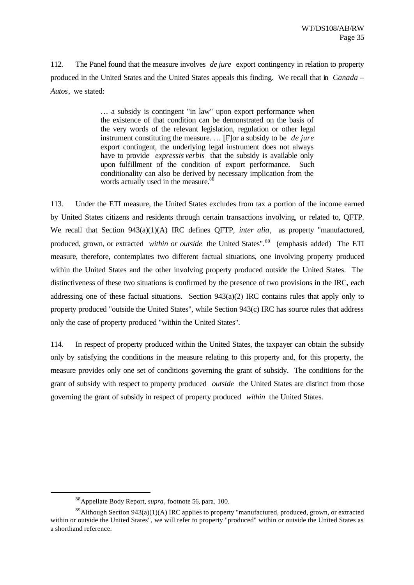112. The Panel found that the measure involves *de jure* export contingency in relation to property produced in the United States and the United States appeals this finding. We recall that in *Canada – Autos*, we stated:

> … a subsidy is contingent "in law" upon export performance when the existence of that condition can be demonstrated on the basis of the very words of the relevant legislation, regulation or other legal instrument constituting the measure. … [F]or a subsidy to be *de jure* export contingent, the underlying legal instrument does not always have to provide *expressis verbis* that the subsidy is available only upon fulfillment of the condition of export performance. Such conditionality can also be derived by necessary implication from the words actually used in the measure.<sup>8</sup>

113. Under the ETI measure, the United States excludes from tax a portion of the income earned by United States citizens and residents through certain transactions involving, or related to, QFTP. We recall that Section 943(a)(1)(A) IRC defines QFTP, *inter alia*, as property "manufactured, produced, grown, or extracted *within or outside* the United States".<sup>89</sup> (emphasis added) The ETI measure, therefore, contemplates two different factual situations, one involving property produced within the United States and the other involving property produced outside the United States. The distinctiveness of these two situations is confirmed by the presence of two provisions in the IRC, each addressing one of these factual situations. Section  $943(a)(2)$  IRC contains rules that apply only to property produced "outside the United States", while Section 943(c) IRC has source rules that address only the case of property produced "within the United States".

114. In respect of property produced within the United States, the taxpayer can obtain the subsidy only by satisfying the conditions in the measure relating to this property and, for this property, the measure provides only one set of conditions governing the grant of subsidy. The conditions for the grant of subsidy with respect to property produced *outside* the United States are distinct from those governing the grant of subsidy in respect of property produced *within* the United States.

<sup>88</sup>Appellate Body Report, *supra*, footnote 56, para. 100.

<sup>&</sup>lt;sup>89</sup>Although Section 943(a)(1)(A) IRC applies to property "manufactured, produced, grown, or extracted within or outside the United States", we will refer to property "produced" within or outside the United States as a shorthand reference.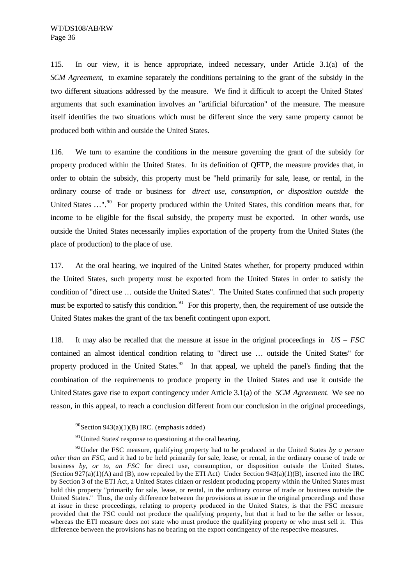115. In our view, it is hence appropriate, indeed necessary, under Article 3.1(a) of the *SCM Agreement*, to examine separately the conditions pertaining to the grant of the subsidy in the two different situations addressed by the measure. We find it difficult to accept the United States' arguments that such examination involves an "artificial bifurcation" of the measure. The measure itself identifies the two situations which must be different since the very same property cannot be produced both within and outside the United States.

116. We turn to examine the conditions in the measure governing the grant of the subsidy for property produced within the United States. In its definition of QFTP, the measure provides that, in order to obtain the subsidy, this property must be "held primarily for sale, lease, or rental, in the ordinary course of trade or business for *direct use, consumption, or disposition outside* the United States ...".<sup>90</sup> For property produced within the United States, this condition means that, for income to be eligible for the fiscal subsidy, the property must be exported. In other words, use outside the United States necessarily implies exportation of the property from the United States (the place of production) to the place of use.

117. At the oral hearing, we inquired of the United States whether, for property produced within the United States, such property must be exported from the United States in order to satisfy the condition of "direct use … outside the United States". The United States confirmed that such property must be exported to satisfy this condition.<sup>91</sup> For this property, then, the requirement of use outside the United States makes the grant of the tax benefit contingent upon export.

118. It may also be recalled that the measure at issue in the original proceedings in *US – FSC* contained an almost identical condition relating to "direct use … outside the United States" for property produced in the United States.<sup>92</sup> In that appeal, we upheld the panel's finding that the combination of the requirements to produce property in the United States and use it outside the United States gave rise to export contingency under Article 3.1(a) of the *SCM Agreement*. We see no reason, in this appeal, to reach a conclusion different from our conclusion in the original proceedings,

 $90$ Section 943(a)(1)(B) IRC. (emphasis added)

 $91$ United States' response to questioning at the oral hearing.

<sup>92</sup>Under the FSC measure, qualifying property had to be produced in the United States *by a person other than an FSC*, and it had to be held primarily for sale, lease, or rental, in the ordinary course of trade or business *by, or to, an FSC* for direct use, consumption, or disposition outside the United States. (Section  $927(a)(1)(A)$  and (B), now repealed by the ETI Act) Under Section  $943(a)(1)(B)$ , inserted into the IRC by Section 3 of the ETI Act, a United States citizen or resident producing property within the United States must hold this property "primarily for sale, lease, or rental, in the ordinary course of trade or business outside the United States." Thus, the only difference between the provisions at issue in the original proceedings and those at issue in these proceedings, relating to property produced in the United States, is that the FSC measure provided that the FSC could not produce the qualifying property, but that it had to be the seller or lessor, whereas the ETI measure does not state who must produce the qualifying property or who must sell it. This difference between the provisions has no bearing on the export contingency of the respective measures.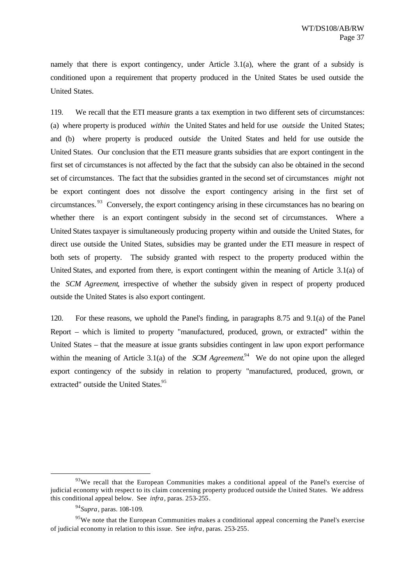namely that there is export contingency, under Article 3.1(a), where the grant of a subsidy is conditioned upon a requirement that property produced in the United States be used outside the United States.

119. We recall that the ETI measure grants a tax exemption in two different sets of circumstances: (a) where property is produced *within* the United States and held for use *outside* the United States; and (b) where property is produced *outside* the United States and held for use outside the United States. Our conclusion that the ETI measure grants subsidies that are export contingent in the first set of circumstances is not affected by the fact that the subsidy can also be obtained in the second set of circumstances. The fact that the subsidies granted in the second set of circumstances *might* not be export contingent does not dissolve the export contingency arising in the first set of circumstances. <sup>93</sup> Conversely, the export contingency arising in these circumstances has no bearing on whether there is an export contingent subsidy in the second set of circumstances. Where a United States taxpayer is simultaneously producing property within and outside the United States, for direct use outside the United States, subsidies may be granted under the ETI measure in respect of both sets of property. The subsidy granted with respect to the property produced within the United States, and exported from there, is export contingent within the meaning of Article 3.1(a) of the *SCM Agreement*, irrespective of whether the subsidy given in respect of property produced outside the United States is also export contingent.

120. For these reasons, we uphold the Panel's finding, in paragraphs 8.75 and 9.1(a) of the Panel Report – which is limited to property "manufactured, produced, grown, or extracted" within the United States – that the measure at issue grants subsidies contingent in law upon export performance within the meaning of Article 3.1(a) of the *SCM Agreement*.<sup>94</sup> We do not opine upon the alleged export contingency of the subsidy in relation to property "manufactured, produced, grown, or extracted" outside the United States.<sup>95</sup>

<sup>&</sup>lt;sup>93</sup>We recall that the European Communities makes a conditional appeal of the Panel's exercise of judicial economy with respect to its claim concerning property produced outside the United States. We address this conditional appeal below. See *infra*, paras. 253-255.

<sup>94</sup>*Supra*, paras. 108-109.

<sup>&</sup>lt;sup>95</sup>We note that the European Communities makes a conditional appeal concerning the Panel's exercise of judicial economy in relation to this issue. See *infra*, paras. 253-255.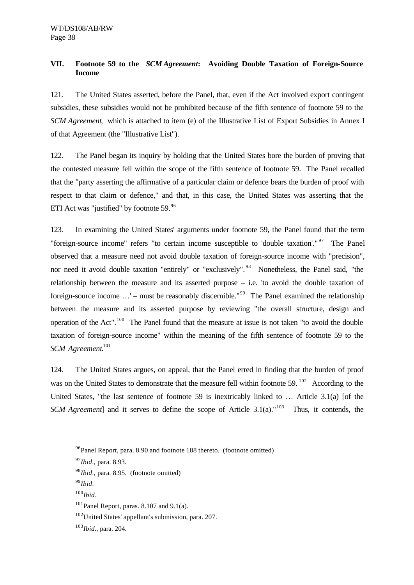## **VII. Footnote 59 to the** *SCM Agreement***: Avoiding Double Taxation of Foreign-Source Income**

121. The United States asserted, before the Panel, that, even if the Act involved export contingent subsidies, these subsidies would not be prohibited because of the fifth sentence of footnote 59 to the *SCM Agreement*, which is attached to item (e) of the Illustrative List of Export Subsidies in Annex I of that Agreement (the "Illustrative List").

122. The Panel began its inquiry by holding that the United States bore the burden of proving that the contested measure fell within the scope of the fifth sentence of footnote 59. The Panel recalled that the "party asserting the affirmative of a particular claim or defence bears the burden of proof with respect to that claim or defence," and that, in this case, the United States was asserting that the ETI Act was "justified" by footnote  $59.^{96}$ 

123. In examining the United States' arguments under footnote 59, the Panel found that the term "foreign-source income" refers "to certain income susceptible to 'double taxation'." <sup>97</sup> The Panel observed that a measure need not avoid double taxation of foreign-source income with "precision", nor need it avoid double taxation "entirely" or "exclusively".<sup>98</sup> Nonetheless, the Panel said, "the relationship between the measure and its asserted purpose – i.e. 'to avoid the double taxation of foreign-source income  $\ldots$  – must be reasonably discernible."<sup>99</sup> The Panel examined the relationship between the measure and its asserted purpose by reviewing "the overall structure, design and operation of the Act".<sup>100</sup> The Panel found that the measure at issue is not taken "to avoid the double taxation of foreign-source income" within the meaning of the fifth sentence of footnote 59 to the *SCM Agreement*. 101

124. The United States argues, on appeal, that the Panel erred in finding that the burden of proof was on the United States to demonstrate that the measure fell within footnote 59.<sup>102</sup> According to the United States, "the last sentence of footnote 59 is inextricably linked to … Article 3.1(a) [of the *SCM Agreement*] and it serves to define the scope of Article 3.1(a)."<sup>103</sup> Thus, it contends, the

<sup>96</sup>Panel Report, para. 8.90 and footnote 188 thereto. (footnote omitted)

<sup>97</sup>*Ibid*., para. 8.93.

<sup>98</sup>*Ibid*., para. 8.95. (footnote omitted)

<sup>99</sup>*Ibid*.

<sup>100</sup>*Ibid*.

 $101$ Panel Report, paras. 8.107 and 9.1(a).

<sup>&</sup>lt;sup>102</sup>United States' appellant's submission, para. 207.

<sup>103</sup>*Ibid*., para. 204.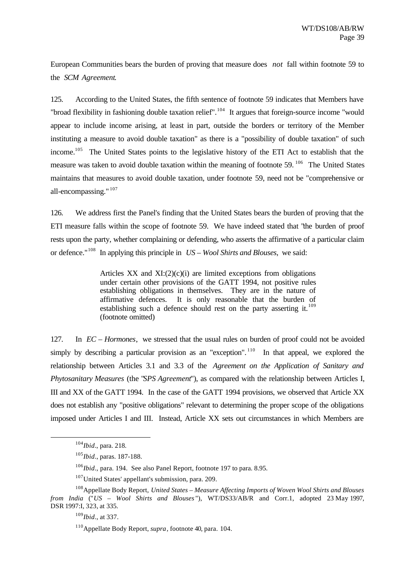European Communities bears the burden of proving that measure does *not* fall within footnote 59 to the *SCM Agreement*.

125. According to the United States, the fifth sentence of footnote 59 indicates that Members have "broad flexibility in fashioning double taxation relief".<sup>104</sup> It argues that foreign-source income "would" appear to include income arising, at least in part, outside the borders or territory of the Member instituting a measure to avoid double taxation" as there is a "possibility of double taxation" of such income.<sup>105</sup> The United States points to the legislative history of the ETI Act to establish that the measure was taken to avoid double taxation within the meaning of footnote 59.<sup>106</sup> The United States maintains that measures to avoid double taxation, under footnote 59, need not be "comprehensive or all-encompassing." <sup>107</sup>

126. We address first the Panel's finding that the United States bears the burden of proving that the ETI measure falls within the scope of footnote 59. We have indeed stated that "the burden of proof rests upon the party, whether complaining or defending, who asserts the affirmative of a particular claim or defence."<sup>108</sup> In applying this principle in *US – Wool Shirts and Blouses*, we said:

> Articles  $XX$  and  $XI:(2)(c)(i)$  are limited exceptions from obligations under certain other provisions of the GATT 1994, not positive rules establishing obligations in themselves. They are in the nature of affirmative defences. It is only reasonable that the burden of establishing such a defence should rest on the party asserting it.<sup>109</sup> (footnote omitted)

127. In *EC – Hormones*, we stressed that the usual rules on burden of proof could not be avoided simply by describing a particular provision as an "exception".<sup>110</sup> In that appeal, we explored the relationship between Articles 3.1 and 3.3 of the *Agreement on the Application of Sanitary and Phytosanitary Measures* (the "*SPS Agreement*"), as compared with the relationship between Articles I, III and XX of the GATT 1994. In the case of the GATT 1994 provisions, we observed that Article XX does not establish any "positive obligations" relevant to determining the proper scope of the obligations imposed under Articles I and III. Instead, Article XX sets out circumstances in which Members are

l

<sup>109</sup>*Ibid*., at 337.

<sup>104</sup>*Ibid*., para. 218.

<sup>105</sup>*Ibid*., paras. 187-188.

<sup>106</sup>*Ibid*., para. 194. See also Panel Report, footnote 197 to para. 8.95.

<sup>107</sup>United States' appellant's submission, para. 209.

<sup>108</sup>Appellate Body Report, *United States – Measure Affecting Imports of Woven Wool Shirts and Blouses from India* ("*US – Wool Shirts and Blouses* "), WT/DS33/AB/R and Corr.1, adopted 23 May 1997, DSR 1997:I, 323, at 335.

<sup>110</sup>Appellate Body Report, *supra*, footnote 40, para. 104.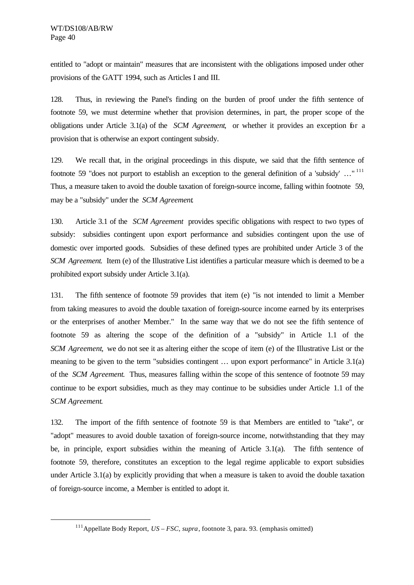l

entitled to "adopt or maintain" measures that are inconsistent with the obligations imposed under other provisions of the GATT 1994, such as Articles I and III.

128. Thus, in reviewing the Panel's finding on the burden of proof under the fifth sentence of footnote 59, we must determine whether that provision determines, in part, the proper scope of the obligations under Article 3.1(a) of the *SCM Agreement*, or whether it provides an exception for a provision that is otherwise an export contingent subsidy.

129. We recall that, in the original proceedings in this dispute, we said that the fifth sentence of footnote 59 "does not purport to establish an exception to the general definition of a 'subsidy' ..."<sup>111</sup> Thus, a measure taken to avoid the double taxation of foreign-source income, falling within footnote 59, may be a "subsidy" under the *SCM Agreement*.

130. Article 3.1 of the *SCM Agreement* provides specific obligations with respect to two types of subsidy: subsidies contingent upon export performance and subsidies contingent upon the use of domestic over imported goods. Subsidies of these defined types are prohibited under Article 3 of the *SCM Agreement*. Item (e) of the Illustrative List identifies a particular measure which is deemed to be a prohibited export subsidy under Article 3.1(a).

131. The fifth sentence of footnote 59 provides that item (e) "is not intended to limit a Member from taking measures to avoid the double taxation of foreign-source income earned by its enterprises or the enterprises of another Member." In the same way that we do not see the fifth sentence of footnote 59 as altering the scope of the definition of a "subsidy" in Article 1.1 of the *SCM Agreement*, we do not see it as altering either the scope of item (e) of the Illustrative List or the meaning to be given to the term "subsidies contingent … upon export performance" in Article 3.1(a) of the *SCM Agreement*. Thus, measures falling within the scope of this sentence of footnote 59 may continue to be export subsidies, much as they may continue to be subsidies under Article 1.1 of the *SCM Agreement*.

132. The import of the fifth sentence of footnote 59 is that Members are entitled to "take", or "adopt" measures to avoid double taxation of foreign-source income, notwithstanding that they may be, in principle, export subsidies within the meaning of Article 3.1(a). The fifth sentence of footnote 59, therefore, constitutes an exception to the legal regime applicable to export subsidies under Article 3.1(a) by explicitly providing that when a measure is taken to avoid the double taxation of foreign-source income, a Member is entitled to adopt it.

<sup>111</sup>Appellate Body Report, *US – FSC*, *supra*, footnote 3, para. 93. (emphasis omitted)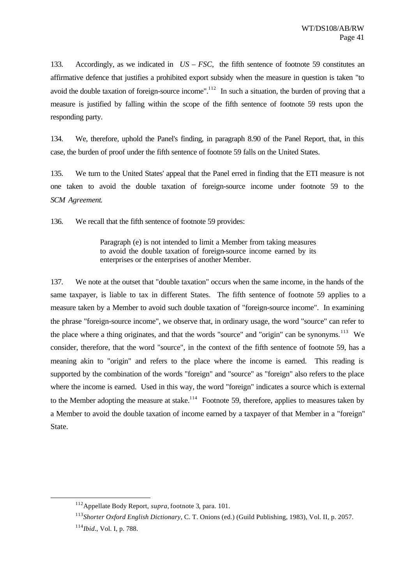133. Accordingly, as we indicated in *US – FSC*, the fifth sentence of footnote 59 constitutes an affirmative defence that justifies a prohibited export subsidy when the measure in question is taken "to avoid the double taxation of foreign-source income".<sup>112</sup> In such a situation, the burden of proving that a measure is justified by falling within the scope of the fifth sentence of footnote 59 rests upon the responding party.

134. We, therefore, uphold the Panel's finding, in paragraph 8.90 of the Panel Report, that, in this case, the burden of proof under the fifth sentence of footnote 59 falls on the United States.

135. We turn to the United States' appeal that the Panel erred in finding that the ETI measure is not one taken to avoid the double taxation of foreign-source income under footnote 59 to the *SCM Agreement*.

136. We recall that the fifth sentence of footnote 59 provides:

Paragraph (e) is not intended to limit a Member from taking measures to avoid the double taxation of foreign-source income earned by its enterprises or the enterprises of another Member.

137. We note at the outset that "double taxation" occurs when the same income, in the hands of the same taxpayer, is liable to tax in different States. The fifth sentence of footnote 59 applies to a measure taken by a Member to avoid such double taxation of "foreign-source income". In examining the phrase "foreign-source income", we observe that, in ordinary usage, the word "source" can refer to the place where a thing originates, and that the words "source" and "origin" can be synonyms.<sup>113</sup> We consider, therefore, that the word "source", in the context of the fifth sentence of footnote 59, has a meaning akin to "origin" and refers to the place where the income is earned. This reading is supported by the combination of the words "foreign" and "source" as "foreign" also refers to the place where the income is earned. Used in this way, the word "foreign" indicates a source which is external to the Member adopting the measure at stake.<sup>114</sup> Footnote 59, therefore, applies to measures taken by a Member to avoid the double taxation of income earned by a taxpayer of that Member in a "foreign" State.

<sup>112</sup>Appellate Body Report, *supra,* footnote 3, para. 101.

<sup>113</sup>*Shorter Oxford English Dictionary*, C. T. Onions (ed.) (Guild Publishing, 1983), Vol. II, p. 2057.

<sup>114</sup>*Ibid*., Vol. I, p. 788.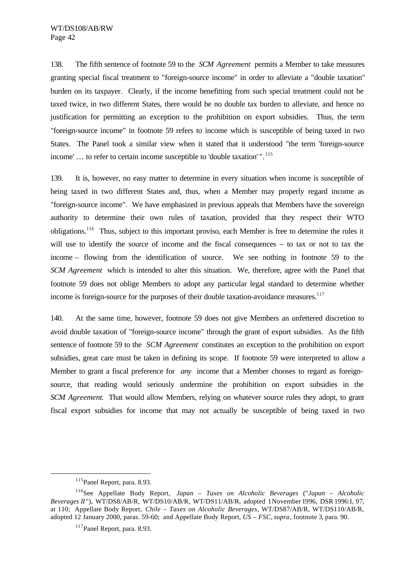138. The fifth sentence of footnote 59 to the *SCM Agreement* permits a Member to take measures granting special fiscal treatment to "foreign-source income" in order to alleviate a "double taxation" burden on its taxpayer. Clearly, if the income benefitting from such special treatment could not be taxed twice, in two different States, there would be no double tax burden to alleviate, and hence no justification for permitting an exception to the prohibition on export subsidies. Thus, the term "foreign-source income" in footnote 59 refers to income which is susceptible of being taxed in two States. The Panel took a similar view when it stated that it understood "the term 'foreign-source income' ... to refer to certain income susceptible to 'double taxation'".<sup>115</sup>

139. It is, however, no easy matter to determine in every situation when income is susceptible of being taxed in two different States and, thus, when a Member may properly regard income as "foreign-source income". We have emphasized in previous appeals that Members have the sovereign authority to determine their own rules of taxation, provided that they respect their WTO obligations.<sup>116</sup> Thus, subject to this important proviso, each Member is free to determine the rules it will use to identify the source of income and the fiscal consequences – to tax or not to tax the income – flowing from the identification of source. We see nothing in footnote 59 to the *SCM Agreement* which is intended to alter this situation. We, therefore, agree with the Panel that footnote 59 does not oblige Members to adopt any particular legal standard to determine whether income is foreign-source for the purposes of their double taxation-avoidance measures.<sup>117</sup>

140. At the same time, however, footnote 59 does not give Members an unfettered discretion to avoid double taxation of "foreign-source income" through the grant of export subsidies. As the fifth sentence of footnote 59 to the *SCM Agreement* constitutes an exception to the prohibition on export subsidies, great care must be taken in defining its scope. If footnote 59 were interpreted to allow a Member to grant a fiscal preference for *any* income that a Member chooses to regard as foreignsource, that reading would seriously undermine the prohibition on export subsidies in the *SCM Agreement*. That would allow Members, relying on whatever source rules they adopt, to grant fiscal export subsidies for income that may not actually be susceptible of being taxed in two

<sup>115</sup>Panel Report, para. 8.93.

<sup>116</sup>See Appellate Body Report, *Japan – Taxes on Alcoholic Beverages* ("*Japan – Alcoholic Beverages II* "), WT/DS8/AB/R, WT/DS10/AB/R, WT/DS11/AB/R, adopted 1 November 1996, DSR 1996:I, 97, at 110; Appellate Body Report, *Chile – Taxes on Alcoholic Beverages*, WT/DS87/AB/R, WT/DS110/AB/R, adopted 12 January 2000, paras. 59-60; and Appellate Body Report, *US – FSC*, *supra*, footnote 3, para. 90.

 $117$ Panel Report, para. 8.93.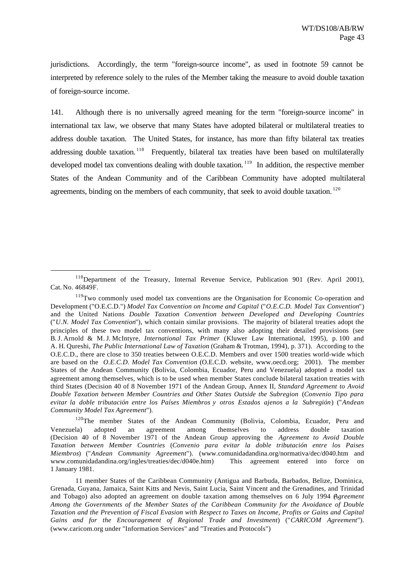jurisdictions. Accordingly, the term "foreign-source income", as used in footnote 59 cannot be interpreted by reference solely to the rules of the Member taking the measure to avoid double taxation of foreign-source income.

141. Although there is no universally agreed meaning for the term "foreign-source income" in international tax law, we observe that many States have adopted bilateral or multilateral treaties to address double taxation. The United States, for instance, has more than fifty bilateral tax treaties addressing double taxation.<sup>118</sup> Frequently, bilateral tax treaties have been based on multilaterally developed model tax conventions dealing with double taxation.<sup>119</sup> In addition, the respective member States of the Andean Community and of the Caribbean Community have adopted multilateral agreements, binding on the members of each community, that seek to avoid double taxation.<sup>120</sup>

l

<sup>120</sup>The member States of the Andean Community (Bolivia, Colombia, Ecuador, Peru and Venezuela) adopted an agreement among themselves to address double taxation (Decision 40 of 8 November 1971 of the Andean Group approving the *Agreement to Avoid Double Taxation between Member Countries* (*Convenio para evitar la doble tributación entre los Paises Miembros*) ("*Andean Community Agreement*"). (www.comunidadandina.org/normativa/dec/d040.htm and www.comunidadandina.org/ingles/treaties/dec/d040e.htm) This agreement entered into force on 1 January 1981.

<sup>&</sup>lt;sup>118</sup>Department of the Treasury, Internal Revenue Service, Publication 901 (Rev. April 2001), Cat. No. 46849F.

<sup>&</sup>lt;sup>119</sup>Two commonly used model tax conventions are the Organisation for Economic Co-operation and Development ("O.E.C.D.") *Model Tax Convention on Income and Capital* ("*O.E.C.D. Model Tax Convention*") and the United Nations *Double Taxation Convention between Developed and Developing Countries* ("*U.N. Model Tax Convention*"), which contain similar provisions. The majority of bilateral treaties adopt the principles of these two model tax conventions, with many also adopting their detailed provisions (see B. J. Arnold & M. J. McIntyre, *International Tax Primer* (Kluwer Law International, 1995), p. 100 and A. H. Qureshi, *The Public International Law of Taxation* (Graham & Trotman, 1994), p. 371). According to the O.E.C.D., there are close to 350 treaties between O.E.C.D. Members and over 1500 treaties world-wide which are based on the *O.E.C.D. Model Tax Convention* (O.E.C.D. website, www.oecd.org; 2001). The member States of the Andean Community (Bolivia, Colombia, Ecuador, Peru and Venezuela) adopted a model tax agreement among themselves, which is to be used when member States conclude bilateral taxation treaties with third States (Decision 40 of 8 November 1971 of the Andean Group, Annex II, *Standard Agreement to Avoid Double Taxation between Member Countries and Other States Outside the Subregion* (*Convenio Tipo para evitar la doble tributación entre los Países Miembros y otros Estados ajenos a la Subregión*) ("*Andean Community Model Tax Agreement*").

<sup>11</sup> member States of the Caribbean Community (Antigua and Barbuda, Barbados, Belize, Dominica, Grenada, Guyana, Jamaica, Saint Kitts and Nevis, Saint Lucia, Saint Vincent and the Grenadines, and Trinidad and Tobago) also adopted an agreement on double taxation among themselves on 6 July 1994 (*Agreement Among the Governments of the Member States of the Caribbean Community for the Avoidance of Double Taxation and the Prevention of Fiscal Evasion with Respect to Taxes on Income, Profits or Gains and Capital Gains and for the Encouragement of Regional Trade and Investment*) ("*CARICOM Agreement*"). (www.caricom.org under "Information Services" and "Treaties and Protocols")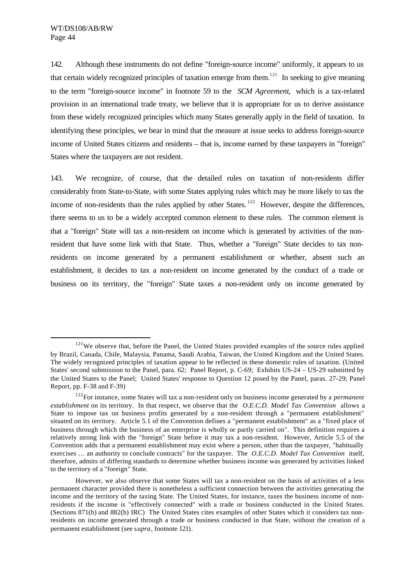l

142. Although these instruments do not define "foreign-source income" uniformly, it appears to us that certain widely recognized principles of taxation emerge from them.<sup>121</sup> In seeking to give meaning to the term "foreign-source income" in footnote 59 to the *SCM Agreement*, which is a tax-related provision in an international trade treaty, we believe that it is appropriate for us to derive assistance from these widely recognized principles which many States generally apply in the field of taxation. In identifying these principles, we bear in mind that the measure at issue seeks to address foreign-source income of United States citizens and residents – that is, income earned by these taxpayers in "foreign" States where the taxpayers are not resident.

143. We recognize, of course, that the detailed rules on taxation of non-residents differ considerably from State-to-State, with some States applying rules which may be more likely to tax the income of non-residents than the rules applied by other States.<sup>122</sup> However, despite the differences, there seems to us to be a widely accepted common element to these rules. The common element is that a "foreign" State will tax a non-resident on income which is generated by activities of the nonresident that have some link with that State. Thus, whether a "foreign" State decides to tax nonresidents on income generated by a permanent establishment or whether, absent such an establishment, it decides to tax a non-resident on income generated by the conduct of a trade or business on its territory, the "foreign" State taxes a non-resident only on income generated by

 $121$ We observe that, before the Panel, the United States provided examples of the source rules applied by Brazil, Canada, Chile, Malaysia, Panama, Saudi Arabia, Taiwan, the United Kingdom and the United States. The widely recognized principles of taxation appear to be reflected in these domestic rules of taxation. (United States' second submission to the Panel, para. 62; Panel Report, p. C-69; Exhibits US-24 – US-29 submitted by the United States to the Panel; United States' response to Question 12 posed by the Panel, paras. 27-29; Panel Report, pp. F-38 and F-39)

<sup>122</sup>For instance, some States will tax a non-resident only on business income generated by a *permanent establishment* on its territory. In that respect, we observe that the *O.E.C.D. Model Tax Convention* allows a State to impose tax on business profits generated by a non-resident through a "permanent establishment" situated on its territory. Article 5.1 of the Convention defines a "permanent establishment" as a "fixed place of business through which the business of an enterprise is wholly or partly carried on". This definition requires a relatively strong link with the "foreign" State before it may tax a non-resident. However, Article 5.5 of the Convention adds that a permanent establishment may exist where a person, other than the taxpayer, "habitually exercises … an authority to conclude contracts" for the taxpayer. The *O.E.C.D. Model Tax Convention* itself, therefore, admits of differing standards to determine whether business income was generated by activities linked to the territory of a "foreign" State.

However, we also observe that some States will tax a non-resident on the basis of activities of a less permanent character provided there is nonetheless a sufficient connection between the activities generating the income and the territory of the taxing State. The United States, for instance, taxes the business income of nonresidents if the income is "effectively connected" with a trade or business conducted in the United States. (Sections 871(b) and 882(b) IRC) The United States cites examples of other States which it considers tax nonresidents on income generated through a trade or business conducted in that State, without the creation of a permanent establishment (see s*upra*, footnote 121).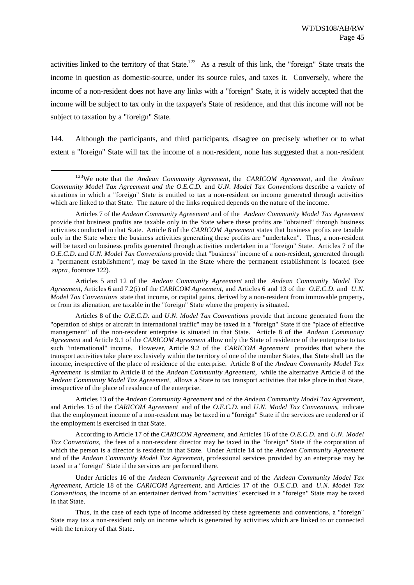activities linked to the territory of that State.<sup>123</sup> As a result of this link, the "foreign" State treats the income in question as domestic-source, under its source rules, and taxes it. Conversely, where the income of a non-resident does not have any links with a "foreign" State, it is widely accepted that the income will be subject to tax only in the taxpayer's State of residence, and that this income will not be subject to taxation by a "foreign" State.

144. Although the participants, and third participants, disagree on precisely whether or to what extent a "foreign" State will tax the income of a non-resident, none has suggested that a non-resident

l

Articles 5 and 12 of the *Andean Community Agreement* and the *Andean Community Model Tax Agreement*, Articles 6 and 7.2(i) of the *CARICOM Agreement*, and Articles 6 and 13 of the *O.E.C.D.* and *U.N. Model Tax Conventions* state that income, or capital gains, derived by a non-resident from immovable property, or from its alienation, are taxable in the "foreign" State where the property is situated.

Articles 13 of the *Andean Community Agreement* and of the *Andean Community Model Tax Agreement*, and Articles 15 of the *CARICOM Agreement* and of the *O.E.C.D.* and *U.N. Model Tax Conventions*, indicate that the employment income of a non-resident may be taxed in a "foreign" State if the services are rendered or if the employment is exercised in that State.

According to Article 17 of the *CARICOM Agreement*, and Articles 16 of the *O.E.C.D.* and *U.N. Model Tax Conventions*, the fees of a non-resident director may be taxed in the "foreign" State if the corporation of which the person is a director is resident in that State. Under Article 14 of the *Andean Community Agreement* and of the *Andean Community Model Tax Agreement*, professional services provided by an enterprise may be taxed in a "foreign" State if the services are performed there.

Under Articles 16 of the *Andean Community Agreement* and of the *Andean Community Model Tax Agreement*, Article 18 of the *CARICOM Agreement*, and Articles 17 of the *O.E.C.D.* and *U.N. Model Tax Conventions*, the income of an entertainer derived from "activities" exercised in a "foreign" State may be taxed in that State.

Thus, in the case of each type of income addressed by these agreements and conventions, a "foreign" State may tax a non-resident only on income which is generated by activities which are linked to or connected with the territory of that State.

<sup>123</sup>We note that the *Andean Community Agreement*, the *CARICOM Agreement*, and the *Andean Community Model Tax Agreement and the O.E.C.D.* and *U.N. Model Tax Conventions* describe a variety of situations in which a "foreign" State is entitled to tax a non-resident on income generated through activities which are linked to that State. The nature of the links required depends on the nature of the income.

Articles 7 of the *Andean Community Agreement* and of the *Andean Community Model Tax Agreement* provide that business profits are taxable only in the State where these profits are "obtained" through business activities conducted in that State. Article 8 of the *CARICOM Agreement* states that business profits are taxable only in the State where the business activities generating these profits are "undertaken". Thus, a non-resident will be taxed on business profits generated through activities undertaken in a "foreign" State. Articles 7 of the *O.E.C.D.* and *U.N. Model Tax Conventions* provide that "business" income of a non-resident, generated through a "permanent establishment", may be taxed in the State where the permanent establishment is located (see *supra*, footnote 122).

Articles 8 of the *O.E.C.D.* and *U.N. Model Tax Conventions* provide that income generated from the "operation of ships or aircraft in international traffic" may be taxed in a "foreign" State if the "place of effective management" of the non-resident enterprise is situated in that State. Article 8 of the *Andean Community Agreement* and Article 9.1 of the *CARICOM Agreement* allow only the State of residence of the enterprise to tax such "international" income. However, Article 9.2 of the *CARICOM Agreement* provides that where the transport activities take place exclusively within the territory of one of the member States, that State shall tax the income, irrespective of the place of residence of the enterprise. Article 8 of the *Andean Community Model Tax Agreement* is similar to Article 8 of the *Andean Community Agreement*, while the alternative Article 8 of the *Andean Community Model Tax Agreement*, allows a State to tax transport activities that take place in that State, irrespective of the place of residence of the enterprise.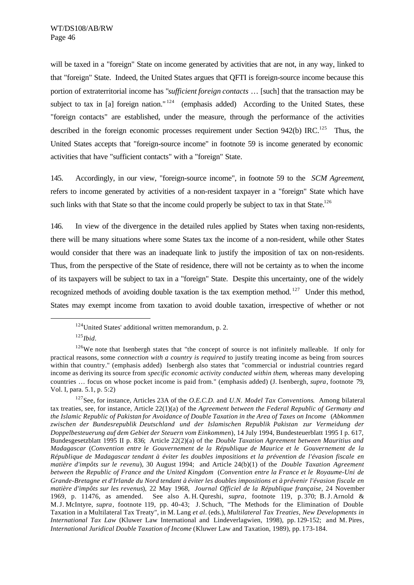will be taxed in a "foreign" State on income generated by activities that are not, in any way, linked to that "foreign" State. Indeed, the United States argues that QFTI is foreign-source income because this portion of extraterritorial income has "*sufficient foreign contacts* … [such] that the transaction may be subject to tax in [a] foreign nation."<sup>124</sup> (emphasis added) According to the United States, these "foreign contacts" are established, under the measure, through the performance of the activities described in the foreign economic processes requirement under Section 942(b) IRC.<sup>125</sup> Thus, the United States accepts that "foreign-source income" in footnote 59 is income generated by economic activities that have "sufficient contacts" with a "foreign" State.

145. Accordingly, in our view, "foreign-source income", in footnote 59 to the *SCM Agreement*, refers to income generated by activities of a non-resident taxpayer in a "foreign" State which have such links with that State so that the income could properly be subject to tax in that State.<sup>126</sup>

146. In view of the divergence in the detailed rules applied by States when taxing non-residents, there will be many situations where some States tax the income of a non-resident, while other States would consider that there was an inadequate link to justify the imposition of tax on non-residents. Thus, from the perspective of the State of residence, there will not be certainty as to when the income of its taxpayers will be subject to tax in a "foreign" State. Despite this uncertainty, one of the widely recognized methods of avoiding double taxation is the tax exemption method.<sup>127</sup> Under this method, States may exempt income from taxation to avoid double taxation, irrespective of whether or not

<sup>125</sup>*Ibid*.

<sup>&</sup>lt;sup>124</sup>United States' additional written memorandum, p. 2.

 $126$ We note that Isenbergh states that "the concept of source is not infinitely malleable. If only for practical reasons, some *connection with a country is required* to justify treating income as being from sources within that country." (emphasis added) Isenbergh also states that "commercial or industrial countries regard income as deriving its source from *specific economic activity conducted within them*, whereas many developing countries … focus on whose pocket income is paid from." (emphasis added) (J. Isenbergh, *supra*, footnote 79, Vol. I, para. 5.1, p. 5:2)

<sup>127</sup>See, for instance, Articles 23A of the *O.E.C.D.* and *U.N. Model Tax Conventions*. Among bilateral tax treaties, see, for instance, Article 22(1)(a) of the *Agreement between the Federal Republic of Germany and the Islamic Republic of Pakistan for Avoidance of Double Taxation in the Area of Taxes on Income* (*Abkommen zwischen der Bundesrepublik Deutschland und der Islamischen Republik Pakistan zur Vermeidung der Doppelbesteuerung auf dem Gebiet der Steuern vom Einkommen*), 14 July 1994, Bundesteuerblatt 1995 I p. 617, Bundesgesetzblatt 1995 II p. 836; Article 22(2)(a) of the *Double Taxation Agreement between Mauritius and Madagascar* (*Convention entre le Gouvernement de la République de Maurice et le Gouvernement de la République de Madagascar tendant à éviter les doubles impositions et la prévention de l'évasion fiscale en matière d'impôts sur le revenu*), 30 August 1994; and Article 24(b)(1) of the *Double Taxation Agreement between the Republic of France and the United Kingdom* (*Convention entre la France et le Royaume-Uni de Grande-Bretagne et d'Irlande du Nord tendant à éviter les doubles impositions et à prévenir l'évasion fiscale en matière d'impôts sur les revenus*), 22 May 1968, *Journal Officiel de la République française*, 24 November 1969, p. 11476, as amended. See also A. H. Qureshi, *supra*, footnote 119, p. 370; B. J. Arnold & M. J. McIntyre, *supra*, footnote 119, pp. 40-43; J. Schuch, "The Methods for the Elimination of Double Taxation in a Multilateral Tax Treaty", in M. Lang *et al*. (eds.), *Multilateral Tax Treaties, New Developments in International Tax Law* (Kluwer Law International and Lindeverlagwien, 1998), pp. 129-152; and M. Pires, *International Juridical Double Taxation of Income* (Kluwer Law and Taxation, 1989), pp. 173-184.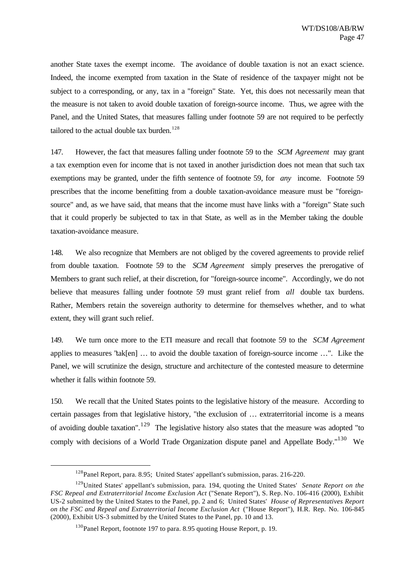another State taxes the exempt income. The avoidance of double taxation is not an exact science. Indeed, the income exempted from taxation in the State of residence of the taxpayer might not be subject to a corresponding, or any, tax in a "foreign" State. Yet, this does not necessarily mean that the measure is not taken to avoid double taxation of foreign-source income. Thus, we agree with the Panel, and the United States, that measures falling under footnote 59 are not required to be perfectly tailored to the actual double tax burden.<sup>128</sup>

147. However, the fact that measures falling under footnote 59 to the *SCM Agreement* may grant a tax exemption even for income that is not taxed in another jurisdiction does not mean that such tax exemptions may be granted, under the fifth sentence of footnote 59, for *any* income. Footnote 59 prescribes that the income benefitting from a double taxation-avoidance measure must be "foreignsource" and, as we have said, that means that the income must have links with a "foreign" State such that it could properly be subjected to tax in that State, as well as in the Member taking the double taxation-avoidance measure.

148. We also recognize that Members are not obliged by the covered agreements to provide relief from double taxation. Footnote 59 to the *SCM Agreement* simply preserves the prerogative of Members to grant such relief, at their discretion, for "foreign-source income". Accordingly, we do not believe that measures falling under footnote 59 must grant relief from *all* double tax burdens. Rather, Members retain the sovereign authority to determine for themselves whether, and to what extent, they will grant such relief.

149. We turn once more to the ETI measure and recall that footnote 59 to the *SCM Agreement* applies to measures "tak[en] … to avoid the double taxation of foreign-source income …". Like the Panel, we will scrutinize the design, structure and architecture of the contested measure to determine whether it falls within footnote 59.

150. We recall that the United States points to the legislative history of the measure. According to certain passages from that legislative history, "the exclusion of … extraterritorial income is a means of avoiding double taxation".<sup>129</sup> The legislative history also states that the measure was adopted "to comply with decisions of a World Trade Organization dispute panel and Appellate Body."<sup>130</sup> We

<sup>&</sup>lt;sup>128</sup>Panel Report, para. 8.95; United States' appellant's submission, paras. 216-220.

<sup>129</sup>United States' appellant's submission, para. 194, quoting the United States' *Senate Report on the FSC Repeal and Extraterritorial Income Exclusion Act* ("Senate Report"), S. Rep. No. 106-416 (2000), Exhibit US-2 submitted by the United States to the Panel, pp. 2 and 6; United States' *House of Representatives Report on the FSC and Repeal and Extraterritorial Income Exclusion Act* ("House Report"), H.R. Rep. No. 106-845 (2000), Exhibit US-3 submitted by the United States to the Panel, pp. 10 and 13.

<sup>&</sup>lt;sup>130</sup>Panel Report, footnote 197 to para. 8.95 quoting House Report, p. 19.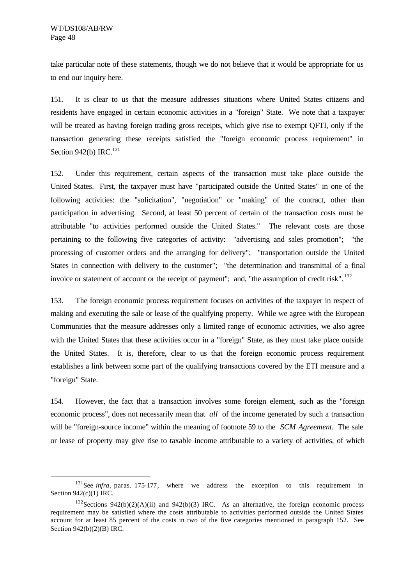l

take particular note of these statements, though we do not believe that it would be appropriate for us to end our inquiry here.

151. It is clear to us that the measure addresses situations where United States citizens and residents have engaged in certain economic activities in a "foreign" State. We note that a taxpayer will be treated as having foreign trading gross receipts, which give rise to exempt QFTI, only if the transaction generating these receipts satisfied the "foreign economic process requirement" in Section 942(b) IRC. $^{131}$ 

152. Under this requirement, certain aspects of the transaction must take place outside the United States. First, the taxpayer must have "participated outside the United States" in one of the following activities: the "solicitation", "negotiation" or "making" of the contract, other than participation in advertising. Second, at least 50 percent of certain of the transaction costs must be attributable "to activities performed outside the United States." The relevant costs are those pertaining to the following five categories of activity: "advertising and sales promotion"; "the processing of customer orders and the arranging for delivery"; "transportation outside the United States in connection with delivery to the customer"; "the determination and transmittal of a final invoice or statement of account or the receipt of payment"; and, "the assumption of credit risk". <sup>132</sup>

153. The foreign economic process requirement focuses on activities of the taxpayer in respect of making and executing the sale or lease of the qualifying property. While we agree with the European Communities that the measure addresses only a limited range of economic activities, we also agree with the United States that these activities occur in a "foreign" State, as they must take place outside the United States. It is, therefore, clear to us that the foreign economic process requirement establishes a link between some part of the qualifying transactions covered by the ETI measure and a "foreign" State.

154. However, the fact that a transaction involves some foreign element, such as the "foreign economic process", does not necessarily mean that *all* of the income generated by such a transaction will be "foreign-source income" within the meaning of footnote 59 to the *SCM Agreement*. The sale or lease of property may give rise to taxable income attributable to a variety of activities, of which

<sup>&</sup>lt;sup>131</sup>See *infra*, paras. 175-177, where we address the exception to this requirement in Section 942(c)(1) IRC.

 $132$ Sections 942(b)(2)(A)(ii) and 942(b)(3) IRC. As an alternative, the foreign economic process requirement may be satisfied where the costs attributable to activities performed outside the United States account for at least 85 percent of the costs in two of the five categories mentioned in paragraph 152. See Section 942(b)(2)(B) IRC.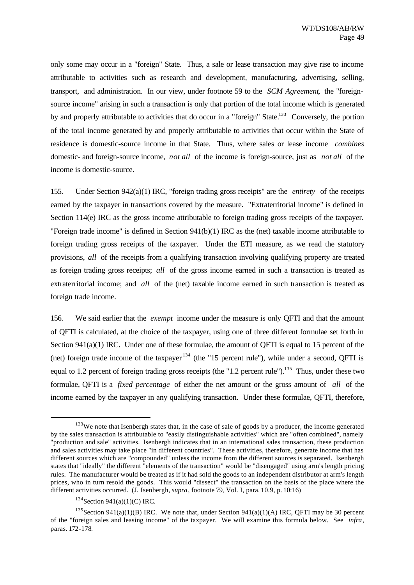only some may occur in a "foreign" State. Thus, a sale or lease transaction may give rise to income attributable to activities such as research and development, manufacturing, advertising, selling, transport, and administration. In our view, under footnote 59 to the *SCM Agreement*, the "foreignsource income" arising in such a transaction is only that portion of the total income which is generated by and properly attributable to activities that do occur in a "foreign" State.<sup>133</sup> Conversely, the portion of the total income generated by and properly attributable to activities that occur within the State of residence is domestic-source income in that State. Thus, where sales or lease income *combines* domestic- and foreign-source income, *not all* of the income is foreign-source, just as *not all* of the income is domestic-source.

155. Under Section 942(a)(1) IRC, "foreign trading gross receipts" are the *entirety* of the receipts earned by the taxpayer in transactions covered by the measure. "Extraterritorial income" is defined in Section 114(e) IRC as the gross income attributable to foreign trading gross receipts of the taxpayer. "Foreign trade income" is defined in Section 941(b)(1) IRC as the (net) taxable income attributable to foreign trading gross receipts of the taxpayer. Under the ETI measure, as we read the statutory provisions, *all* of the receipts from a qualifying transaction involving qualifying property are treated as foreign trading gross receipts; *all* of the gross income earned in such a transaction is treated as extraterritorial income; and *all* of the (net) taxable income earned in such transaction is treated as foreign trade income.

156. We said earlier that the *exempt* income under the measure is only QFTI and that the amount of QFTI is calculated, at the choice of the taxpayer, using one of three different formulae set forth in Section 941(a)(1) IRC. Under one of these formulae, the amount of QFTI is equal to 15 percent of the (net) foreign trade income of the taxpayer  $134$  (the "15 percent rule"), while under a second, QFTI is equal to 1.2 percent of foreign trading gross receipts (the "1.2 percent rule").<sup>135</sup> Thus, under these two formulae, QFTI is a *fixed percentage* of either the net amount or the gross amount of *all* of the income earned by the taxpayer in any qualifying transaction. Under these formulae, QFTI, therefore,

 $133$ We note that Isenbergh states that, in the case of sale of goods by a producer, the income generated by the sales transaction is attributable to "easily distinguishable activities" which are "often combined", namely "production and sale" activities. Isenbergh indicates that in an international sales transaction, these production and sales activities may take place "in different countries". These activities, therefore, generate income that has different sources which are "compounded" unless the income from the different sources is separated. Isenbergh states that "ideally" the different "elements of the transaction" would be "disengaged" using arm's length pricing rules. The manufacturer would be treated as if it had sold the goods to an independent distributor at arm's length prices, who in turn resold the goods. This would "dissect" the transaction on the basis of the place where the different activities occurred. (J. Isenbergh, *supra*, footnote 79, Vol. I, para. 10.9, p. 10:16)

 $134$ Section 941(a)(1)(C) IRC.

<sup>&</sup>lt;sup>135</sup>Section 941(a)(1)(B) IRC. We note that, under Section 941(a)(1)(A) IRC, QFTI may be 30 percent of the "foreign sales and leasing income" of the taxpayer. We will examine this formula below. See *infra*, paras. 172-178.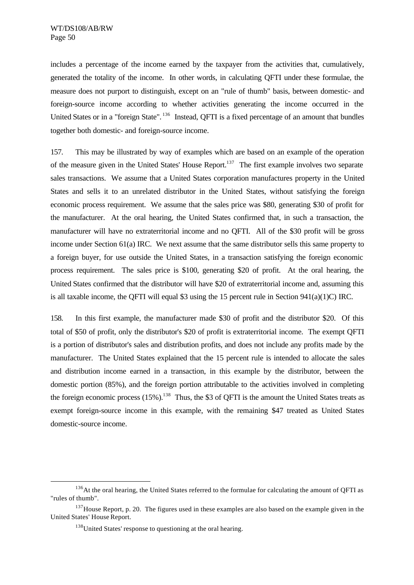includes a percentage of the income earned by the taxpayer from the activities that, cumulatively, generated the totality of the income. In other words, in calculating QFTI under these formulae, the measure does not purport to distinguish, except on an "rule of thumb" basis, between domestic- and foreign-source income according to whether activities generating the income occurred in the United States or in a "foreign State".<sup>136</sup> Instead, QFTI is a fixed percentage of an amount that bundles together both domestic- and foreign-source income.

157. This may be illustrated by way of examples which are based on an example of the operation of the measure given in the United States' House Report.<sup>137</sup> The first example involves two separate sales transactions. We assume that a United States corporation manufactures property in the United States and sells it to an unrelated distributor in the United States, without satisfying the foreign economic process requirement. We assume that the sales price was \$80, generating \$30 of profit for the manufacturer. At the oral hearing, the United States confirmed that, in such a transaction, the manufacturer will have no extraterritorial income and no QFTI. All of the \$30 profit will be gross income under Section 61(a) IRC. We next assume that the same distributor sells this same property to a foreign buyer, for use outside the United States, in a transaction satisfying the foreign economic process requirement. The sales price is \$100, generating \$20 of profit. At the oral hearing, the United States confirmed that the distributor will have \$20 of extraterritorial income and, assuming this is all taxable income, the QFTI will equal \$3 using the 15 percent rule in Section 941(a)(1)C) IRC.

158. In this first example, the manufacturer made \$30 of profit and the distributor \$20. Of this total of \$50 of profit, only the distributor's \$20 of profit is extraterritorial income. The exempt QFTI is a portion of distributor's sales and distribution profits, and does not include any profits made by the manufacturer. The United States explained that the 15 percent rule is intended to allocate the sales and distribution income earned in a transaction, in this example by the distributor, between the domestic portion (85%), and the foreign portion attributable to the activities involved in completing the foreign economic process  $(15\%)$ .<sup>138</sup> Thus, the \$3 of QFTI is the amount the United States treats as exempt foreign-source income in this example, with the remaining \$47 treated as United States domestic-source income.

<sup>&</sup>lt;sup>136</sup>At the oral hearing, the United States referred to the formulae for calculating the amount of QFTI as "rules of thumb".

<sup>&</sup>lt;sup>137</sup>House Report, p. 20. The figures used in these examples are also based on the example given in the United States' House Report.

 $138$ United States' response to questioning at the oral hearing.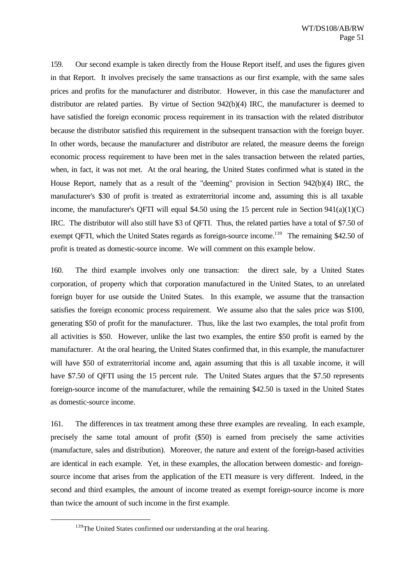159. Our second example is taken directly from the House Report itself, and uses the figures given in that Report. It involves precisely the same transactions as our first example, with the same sales prices and profits for the manufacturer and distributor. However, in this case the manufacturer and distributor are related parties. By virtue of Section 942(b)(4) IRC, the manufacturer is deemed to have satisfied the foreign economic process requirement in its transaction with the related distributor because the distributor satisfied this requirement in the subsequent transaction with the foreign buyer. In other words, because the manufacturer and distributor are related, the measure deems the foreign economic process requirement to have been met in the sales transaction between the related parties, when, in fact, it was not met. At the oral hearing, the United States confirmed what is stated in the House Report, namely that as a result of the "deeming" provision in Section 942(b)(4) IRC, the manufacturer's \$30 of profit is treated as extraterritorial income and, assuming this is all taxable income, the manufacturer's QFTI will equal \$4.50 using the 15 percent rule in Section  $941(a)(1)(C)$ IRC. The distributor will also still have \$3 of QFTI. Thus, the related parties have a total of \$7.50 of exempt OFTI, which the United States regards as foreign-source income.<sup>139</sup> The remaining \$42.50 of profit is treated as domestic-source income. We will comment on this example below.

160. The third example involves only one transaction: the direct sale, by a United States corporation, of property which that corporation manufactured in the United States, to an unrelated foreign buyer for use outside the United States. In this example, we assume that the transaction satisfies the foreign economic process requirement. We assume also that the sales price was \$100, generating \$50 of profit for the manufacturer. Thus, like the last two examples, the total profit from all activities is \$50. However, unlike the last two examples, the entire \$50 profit is earned by the manufacturer. At the oral hearing, the United States confirmed that, in this example, the manufacturer will have \$50 of extraterritorial income and, again assuming that this is all taxable income, it will have \$7.50 of QFTI using the 15 percent rule. The United States argues that the \$7.50 represents foreign-source income of the manufacturer, while the remaining \$42.50 is taxed in the United States as domestic-source income.

161. The differences in tax treatment among these three examples are revealing. In each example, precisely the same total amount of profit (\$50) is earned from precisely the same activities (manufacture, sales and distribution). Moreover, the nature and extent of the foreign-based activities are identical in each example. Yet, in these examples, the allocation between domestic- and foreignsource income that arises from the application of the ETI measure is very different. Indeed, in the second and third examples, the amount of income treated as exempt foreign-source income is more than twice the amount of such income in the first example.

<sup>&</sup>lt;sup>139</sup>The United States confirmed our understanding at the oral hearing.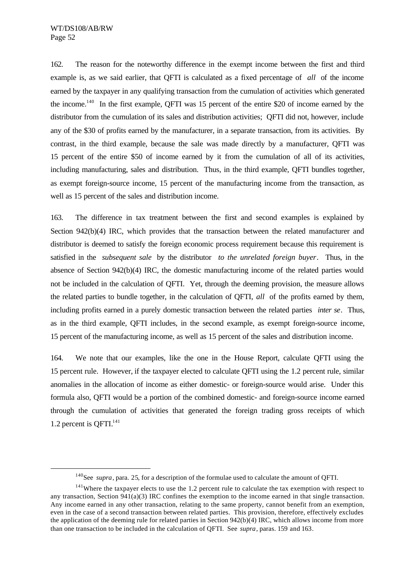l

162. The reason for the noteworthy difference in the exempt income between the first and third example is, as we said earlier, that QFTI is calculated as a fixed percentage of *all* of the income earned by the taxpayer in any qualifying transaction from the cumulation of activities which generated the income.<sup>140</sup> In the first example, QFTI was 15 percent of the entire \$20 of income earned by the distributor from the cumulation of its sales and distribution activities; QFTI did not, however, include any of the \$30 of profits earned by the manufacturer, in a separate transaction, from its activities. By contrast, in the third example, because the sale was made directly by a manufacturer, QFTI was 15 percent of the entire \$50 of income earned by it from the cumulation of all of its activities, including manufacturing, sales and distribution. Thus, in the third example, QFTI bundles together, as exempt foreign-source income, 15 percent of the manufacturing income from the transaction, as well as 15 percent of the sales and distribution income.

163. The difference in tax treatment between the first and second examples is explained by Section 942(b)(4) IRC, which provides that the transaction between the related manufacturer and distributor is deemed to satisfy the foreign economic process requirement because this requirement is satisfied in the *subsequent sale* by the distributor *to the unrelated foreign buyer*. Thus, in the absence of Section 942(b)(4) IRC, the domestic manufacturing income of the related parties would not be included in the calculation of QFTI. Yet, through the deeming provision, the measure allows the related parties to bundle together, in the calculation of QFTI, *all* of the profits earned by them, including profits earned in a purely domestic transaction between the related parties *inter se*. Thus, as in the third example, QFTI includes, in the second example, as exempt foreign-source income, 15 percent of the manufacturing income, as well as 15 percent of the sales and distribution income.

164. We note that our examples, like the one in the House Report, calculate QFTI using the 15 percent rule. However, if the taxpayer elected to calculate QFTI using the 1.2 percent rule, similar anomalies in the allocation of income as either domestic- or foreign-source would arise. Under this formula also, QFTI would be a portion of the combined domestic- and foreign-source income earned through the cumulation of activities that generated the foreign trading gross receipts of which 1.2 percent is  $QFTI<sub>141</sub>$ 

<sup>&</sup>lt;sup>140</sup>See *supra*, para. 25, for a description of the formulae used to calculate the amount of QFTI.

<sup>&</sup>lt;sup>141</sup>Where the taxpayer elects to use the 1.2 percent rule to calculate the tax exemption with respect to any transaction, Section 941(a)(3) IRC confines the exemption to the income earned in that single transaction. Any income earned in any other transaction, relating to the same property, cannot benefit from an exemption, even in the case of a second transaction between related parties. This provision, therefore, effectively excludes the application of the deeming rule for related parties in Section 942(b)(4) IRC, which allows income from more than one transaction to be included in the calculation of QFTI. See *supra*, paras. 159 and 163.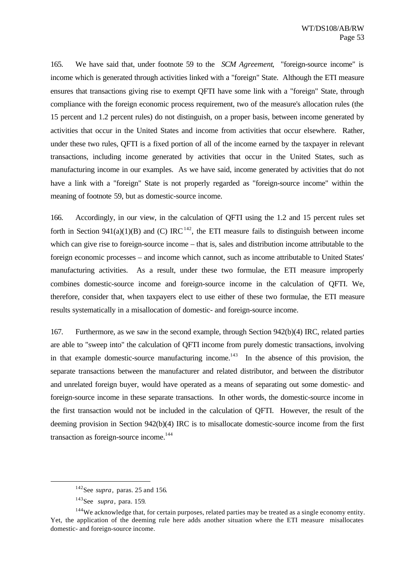165. We have said that, under footnote 59 to the *SCM Agreement*, "foreign-source income" is income which is generated through activities linked with a "foreign" State. Although the ETI measure ensures that transactions giving rise to exempt QFTI have some link with a "foreign" State, through compliance with the foreign economic process requirement, two of the measure's allocation rules (the 15 percent and 1.2 percent rules) do not distinguish, on a proper basis, between income generated by activities that occur in the United States and income from activities that occur elsewhere. Rather, under these two rules, QFTI is a fixed portion of all of the income earned by the taxpayer in relevant transactions, including income generated by activities that occur in the United States, such as manufacturing income in our examples. As we have said, income generated by activities that do not have a link with a "foreign" State is not properly regarded as "foreign-source income" within the meaning of footnote 59, but as domestic-source income.

166. Accordingly, in our view, in the calculation of QFTI using the 1.2 and 15 percent rules set forth in Section 941(a)(1)(B) and (C) IRC<sup>142</sup>, the ETI measure fails to distinguish between income which can give rise to foreign-source income – that is, sales and distribution income attributable to the foreign economic processes – and income which cannot, such as income attributable to United States' manufacturing activities. As a result, under these two formulae, the ETI measure improperly combines domestic-source income and foreign-source income in the calculation of QFTI. We, therefore, consider that, when taxpayers elect to use either of these two formulae, the ETI measure results systematically in a misallocation of domestic- and foreign-source income.

167. Furthermore, as we saw in the second example, through Section 942(b)(4) IRC, related parties are able to "sweep into" the calculation of QFTI income from purely domestic transactions, involving in that example domestic-source manufacturing income.<sup>143</sup> In the absence of this provision, the separate transactions between the manufacturer and related distributor, and between the distributor and unrelated foreign buyer, would have operated as a means of separating out some domestic- and foreign-source income in these separate transactions. In other words, the domestic-source income in the first transaction would not be included in the calculation of QFTI. However, the result of the deeming provision in Section 942(b)(4) IRC is to misallocate domestic-source income from the first transaction as foreign-source income.<sup>144</sup>

<sup>142</sup>See *supra*, paras. 25 and 156.

<sup>143</sup>See *supra*, para. 159.

<sup>&</sup>lt;sup>144</sup>We acknowledge that, for certain purposes, related parties may be treated as a single economy entity. Yet, the application of the deeming rule here adds another situation where the ETI measure misallocates domestic- and foreign-source income.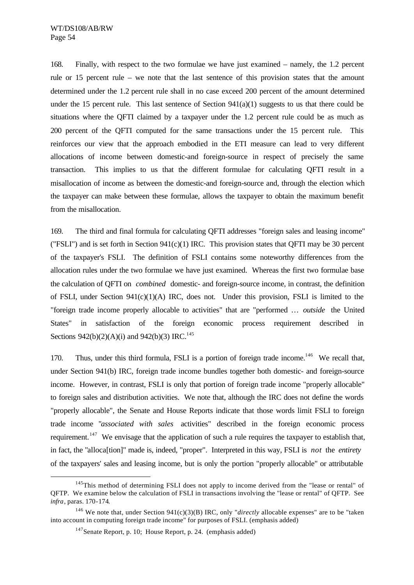l

168. Finally, with respect to the two formulae we have just examined – namely, the 1.2 percent rule or 15 percent rule – we note that the last sentence of this provision states that the amount determined under the 1.2 percent rule shall in no case exceed 200 percent of the amount determined under the 15 percent rule. This last sentence of Section  $941(a)(1)$  suggests to us that there could be situations where the QFTI claimed by a taxpayer under the 1.2 percent rule could be as much as 200 percent of the QFTI computed for the same transactions under the 15 percent rule. This reinforces our view that the approach embodied in the ETI measure can lead to very different allocations of income between domestic-and foreign-source in respect of precisely the same transaction. This implies to us that the different formulae for calculating QFTI result in a misallocation of income as between the domestic-and foreign-source and, through the election which the taxpayer can make between these formulae, allows the taxpayer to obtain the maximum benefit from the misallocation.

169. The third and final formula for calculating QFTI addresses "foreign sales and leasing income" ("FSLI") and is set forth in Section 941(c)(1) IRC. This provision states that QFTI may be 30 percent of the taxpayer's FSLI. The definition of FSLI contains some noteworthy differences from the allocation rules under the two formulae we have just examined. Whereas the first two formulae base the calculation of QFTI on *combined* domestic- and foreign-source income, in contrast, the definition of FSLI, under Section 941(c)(1)(A) IRC, does not. Under this provision, FSLI is limited to the "foreign trade income properly allocable to activities" that are "performed … *outside* the United States" in satisfaction of the foreign economic process requirement described in Sections  $942(b)(2)(A)(i)$  and  $942(b)(3)$  IRC.<sup>145</sup>

170. Thus, under this third formula, FSLI is a portion of foreign trade income.<sup>146</sup> We recall that, under Section 941(b) IRC, foreign trade income bundles together both domestic- and foreign-source income. However, in contrast, FSLI is only that portion of foreign trade income "properly allocable" to foreign sales and distribution activities. We note that, although the IRC does not define the words "properly allocable", the Senate and House Reports indicate that those words limit FSLI to foreign trade income "*associated with sales* activities" described in the foreign economic process requirement.<sup>147</sup> We envisage that the application of such a rule requires the taxpayer to establish that, in fact, the "alloca[tion]" made is, indeed, "proper". Interpreted in this way, FSLI is *not* the *entirety* of the taxpayers' sales and leasing income, but is only the portion "properly allocable" or attributable

<sup>&</sup>lt;sup>145</sup>This method of determining FSLI does not apply to income derived from the "lease or rental" of QFTP. We examine below the calculation of FSLI in transactions involving the "lease or rental" of QFTP. See *infra*, paras. 170-174.

<sup>146</sup> We note that, under Section 941(c)(3)(B) IRC, only "*directly* allocable expenses" are to be "taken into account in computing foreign trade income" for purposes of FSLI. (emphasis added)

 $147$ Senate Report, p. 10; House Report, p. 24. (emphasis added)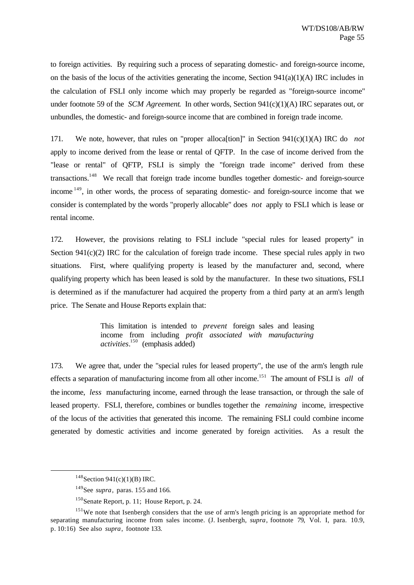to foreign activities. By requiring such a process of separating domestic- and foreign-source income, on the basis of the locus of the activities generating the income, Section  $941(a)(1)(A)$  IRC includes in the calculation of FSLI only income which may properly be regarded as "foreign-source income" under footnote 59 of the *SCM Agreement*. In other words, Section 941(c)(1)(A) IRC separates out, or unbundles, the domestic- and foreign-source income that are combined in foreign trade income.

171. We note, however, that rules on "proper alloca[tion]" in Section 941(c)(1)(A) IRC do *not* apply to income derived from the lease or rental of QFTP. In the case of income derived from the "lease or rental" of QFTP, FSLI is simply the "foreign trade income" derived from these transactions.<sup>148</sup> We recall that foreign trade income bundles together domestic- and foreign-source income <sup>149</sup>, in other words, the process of separating domestic- and foreign-source income that we consider is contemplated by the words "properly allocable" does *not* apply to FSLI which is lease or rental income.

172. However, the provisions relating to FSLI include "special rules for leased property" in Section 941(c)(2) IRC for the calculation of foreign trade income. These special rules apply in two situations. First, where qualifying property is leased by the manufacturer and, second, where qualifying property which has been leased is sold by the manufacturer. In these two situations, FSLI is determined as if the manufacturer had acquired the property from a third party at an arm's length price. The Senate and House Reports explain that:

> This limitation is intended to *prevent* foreign sales and leasing income from including *profit associated with manufacturing activities*. <sup>150</sup> (emphasis added)

173. We agree that, under the "special rules for leased property", the use of the arm's length rule effects a separation of manufacturing income from all other income.<sup>151</sup> The amount of FSLI is *all* of the income, *less* manufacturing income, earned through the lease transaction, or through the sale of leased property. FSLI, therefore, combines or bundles together the *remaining* income, irrespective of the locus of the activities that generated this income. The remaining FSLI could combine income generated by domestic activities and income generated by foreign activities. As a result the

 $148$ Section 941(c)(1)(B) IRC.

<sup>149</sup>See *supra*, paras. 155 and 166.

<sup>&</sup>lt;sup>150</sup>Senate Report, p. 11; House Report, p. 24.

<sup>&</sup>lt;sup>151</sup>We note that Isenbergh considers that the use of arm's length pricing is an appropriate method for separating manufacturing income from sales income. (J. Isenbergh, *supra*, footnote 79, Vol. I, para. 10.9, p. 10:16) See also *supra*, footnote 133.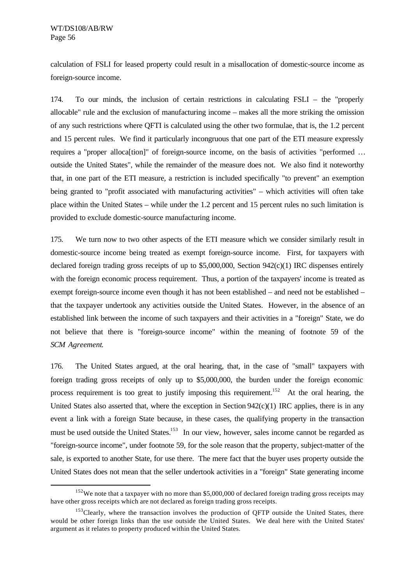l

calculation of FSLI for leased property could result in a misallocation of domestic-source income as foreign-source income.

174. To our minds, the inclusion of certain restrictions in calculating FSLI – the "properly allocable" rule and the exclusion of manufacturing income – makes all the more striking the omission of any such restrictions where QFTI is calculated using the other two formulae, that is, the 1.2 percent and 15 percent rules. We find it particularly incongruous that one part of the ETI measure expressly requires a "proper allocaltion]" of foreign-source income, on the basis of activities "performed ... outside the United States", while the remainder of the measure does not. We also find it noteworthy that, in one part of the ETI measure, a restriction is included specifically "to prevent" an exemption being granted to "profit associated with manufacturing activities" – which activities will often take place within the United States – while under the 1.2 percent and 15 percent rules no such limitation is provided to exclude domestic-source manufacturing income.

175. We turn now to two other aspects of the ETI measure which we consider similarly result in domestic-source income being treated as exempt foreign-source income. First, for taxpayers with declared foreign trading gross receipts of up to \$5,000,000, Section 942(c)(1) IRC dispenses entirely with the foreign economic process requirement. Thus, a portion of the taxpayers' income is treated as exempt foreign-source income even though it has not been established – and need not be established – that the taxpayer undertook any activities outside the United States. However, in the absence of an established link between the income of such taxpayers and their activities in a "foreign" State, we do not believe that there is "foreign-source income" within the meaning of footnote 59 of the *SCM Agreement*.

176. The United States argued, at the oral hearing, that, in the case of "small" taxpayers with foreign trading gross receipts of only up to \$5,000,000, the burden under the foreign economic process requirement is too great to justify imposing this requirement.<sup>152</sup> At the oral hearing, the United States also asserted that, where the exception in Section  $942(c)(1)$  IRC applies, there is in any event a link with a foreign State because, in these cases, the qualifying property in the transaction must be used outside the United States.<sup>153</sup> In our view, however, sales income cannot be regarded as "foreign-source income", under footnote 59, for the sole reason that the property, subject-matter of the sale, is exported to another State, for use there. The mere fact that the buyer uses property outside the United States does not mean that the seller undertook activities in a "foreign" State generating income

<sup>&</sup>lt;sup>152</sup>We note that a taxpayer with no more than \$5,000,000 of declared foreign trading gross receipts may have other gross receipts which are not declared as foreign trading gross receipts.

<sup>&</sup>lt;sup>153</sup>Clearly, where the transaction involves the production of OFTP outside the United States, there would be other foreign links than the use outside the United States. We deal here with the United States' argument as it relates to property produced within the United States.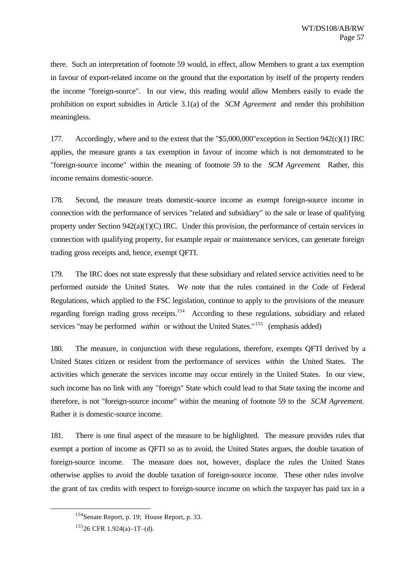there. Such an interpretation of footnote 59 would, in effect, allow Members to grant a tax exemption in favour of export-related income on the ground that the exportation by itself of the property renders the income "foreign-source". In our view, this reading would allow Members easily to evade the prohibition on export subsidies in Article 3.1(a) of the *SCM Agreement* and render this prohibition meaningless.

177. Accordingly, where and to the extent that the "\$5,000,000"exception in Section 942(c)(1) IRC applies, the measure grants a tax exemption in favour of income which is not demonstrated to be "foreign-source income" within the meaning of footnote 59 to the *SCM Agreement*. Rather, this income remains domestic-source.

178. Second, the measure treats domestic-source income as exempt foreign-source income in connection with the performance of services "related and subsidiary" to the sale or lease of qualifying property under Section  $942(a)(1)(C)$  IRC. Under this provision, the performance of certain services in connection with qualifying property, for example repair or maintenance services, can generate foreign trading gross receipts and, hence, exempt QFTI.

179. The IRC does not state expressly that these subsidiary and related service activities need to be performed outside the United States. We note that the rules contained in the Code of Federal Regulations, which applied to the FSC legislation, continue to apply to the provisions of the measure regarding foreign trading gross receipts.<sup>154</sup> According to these regulations, subsidiary and related services "may be performed *within* or without the United States."<sup>155</sup> (emphasis added)

180. The measure, in conjunction with these regulations, therefore, exempts QFTI derived by a United States citizen or resident from the performance of services *within* the United States. The activities which generate the services income may occur entirely in the United States. In our view, such income has no link with any "foreign" State which could lead to that State taxing the income and therefore, is not "foreign-source income" within the meaning of footnote 59 to the *SCM Agreement.* Rather it is domestic-source income.

181. There is one final aspect of the measure to be highlighted. The measure provides rules that exempt a portion of income as QFTI so as to avoid, the United States argues, the double taxation of foreign-source income. The measure does not, however, displace the rules the United States otherwise applies to avoid the double taxation of foreign-source income. These other rules involve the grant of tax credits with respect to foreign-source income on which the taxpayer has paid tax in a

<sup>&</sup>lt;sup>154</sup>Senate Report, p. 19; House Report, p. 33.

 $15526$  CFR 1.924(a)-1T-(d).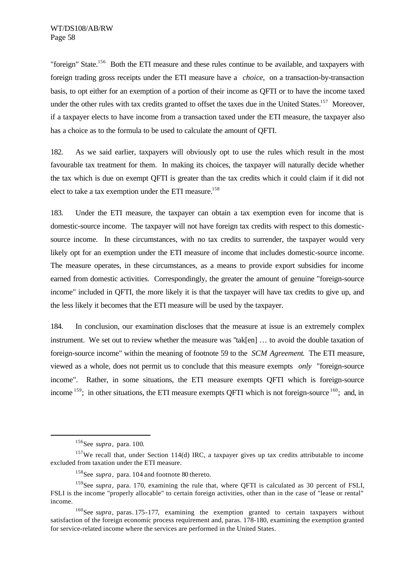"foreign" State.<sup>156</sup> Both the ETI measure and these rules continue to be available, and taxpayers with foreign trading gross receipts under the ETI measure have a *choice*, on a transaction-by-transaction basis, to opt either for an exemption of a portion of their income as QFTI or to have the income taxed under the other rules with tax credits granted to offset the taxes due in the United States.<sup>157</sup> Moreover, if a taxpayer elects to have income from a transaction taxed under the ETI measure, the taxpayer also has a choice as to the formula to be used to calculate the amount of QFTI.

182. As we said earlier, taxpayers will obviously opt to use the rules which result in the most favourable tax treatment for them. In making its choices, the taxpayer will naturally decide whether the tax which is due on exempt QFTI is greater than the tax credits which it could claim if it did not elect to take a tax exemption under the ETI measure.<sup>158</sup>

183. Under the ETI measure, the taxpayer can obtain a tax exemption even for income that is domestic-source income. The taxpayer will not have foreign tax credits with respect to this domesticsource income. In these circumstances, with no tax credits to surrender, the taxpayer would very likely opt for an exemption under the ETI measure of income that includes domestic-source income. The measure operates, in these circumstances, as a means to provide export subsidies for income earned from domestic activities. Correspondingly, the greater the amount of genuine "foreign-source income" included in QFTI, the more likely it is that the taxpayer will have tax credits to give up, and the less likely it becomes that the ETI measure will be used by the taxpayer.

184. In conclusion, our examination discloses that the measure at issue is an extremely complex instrument. We set out to review whether the measure was "tak[en] ... to avoid the double taxation of foreign-source income" within the meaning of footnote 59 to the *SCM Agreement*. The ETI measure, viewed as a whole, does not permit us to conclude that this measure exempts *only* "foreign-source income". Rather, in some situations, the ETI measure exempts QFTI which is foreign-source income  $159$ ; in other situations, the ETI measure exempts OFTI which is not foreign-source  $160$ ; and, in

<sup>156</sup>See *supra*, para. 100.

 $157$ We recall that, under Section 114(d) IRC, a taxpayer gives up tax credits attributable to income excluded from taxation under the ETI measure.

<sup>158</sup>See *supra*, para. 104 and footnote 80 thereto.

<sup>&</sup>lt;sup>159</sup>See *supra*, para. 170, examining the rule that, where OFTI is calculated as 30 percent of FSLI, FSLI is the income "properly allocable" to certain foreign activities, other than in the case of "lease or rental" income.

<sup>&</sup>lt;sup>160</sup>See *supra*, paras. 175-177, examining the exemption granted to certain taxpayers without satisfaction of the foreign economic process requirement and, paras. 178-180, examining the exemption granted for service-related income where the services are performed in the United States.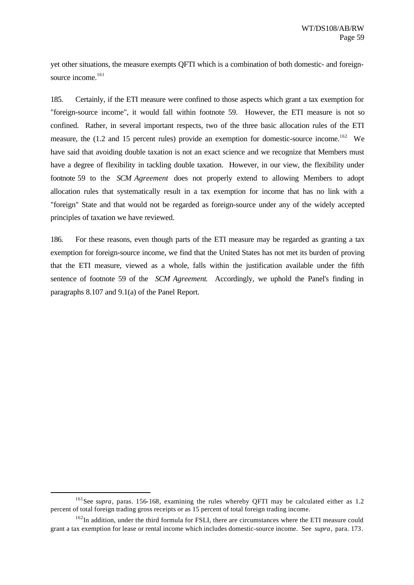yet other situations, the measure exempts QFTI which is a combination of both domestic- and foreignsource income.<sup>161</sup>

185. Certainly, if the ETI measure were confined to those aspects which grant a tax exemption for "foreign-source income", it would fall within footnote 59. However, the ETI measure is not so confined. Rather, in several important respects, two of the three basic allocation rules of the ETI measure, the  $(1.2 \text{ and } 15 \text{ percent rules})$  provide an exemption for domestic-source income.<sup>162</sup> We have said that avoiding double taxation is not an exact science and we recognize that Members must have a degree of flexibility in tackling double taxation. However, in our view, the flexibility under footnote 59 to the *SCM Agreement* does not properly extend to allowing Members to adopt allocation rules that systematically result in a tax exemption for income that has no link with a "foreign" State and that would not be regarded as foreign-source under any of the widely accepted principles of taxation we have reviewed.

186. For these reasons, even though parts of the ETI measure may be regarded as granting a tax exemption for foreign-source income, we find that the United States has not met its burden of proving that the ETI measure, viewed as a whole, falls within the justification available under the fifth sentence of footnote 59 of the *SCM Agreement*. Accordingly, we uphold the Panel's finding in paragraphs 8.107 and 9.1(a) of the Panel Report.

<sup>&</sup>lt;sup>161</sup>See *supra*, paras. 156-168, examining the rules whereby QFTI may be calculated either as 1.2 percent of total foreign trading gross receipts or as 15 percent of total foreign trading income.

 $162$ In addition, under the third formula for FSLI, there are circumstances where the ETI measure could grant a tax exemption for lease or rental income which includes domestic-source income. See *supra*, para. 173.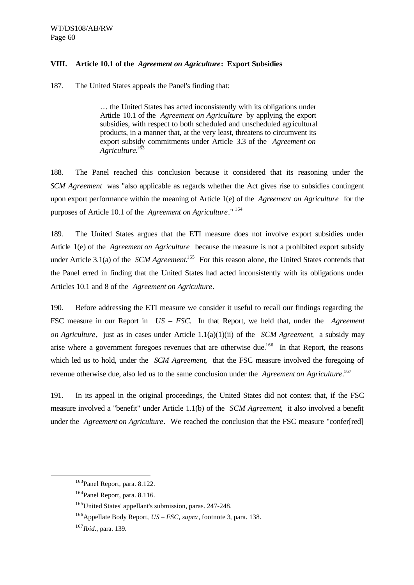#### **VIII. Article 10.1 of the** *Agreement on Agriculture***: Export Subsidies**

187. The United States appeals the Panel's finding that:

… the United States has acted inconsistently with its obligations under Article 10.1 of the *Agreement on Agriculture* by applying the export subsidies, with respect to both scheduled and unscheduled agricultural products, in a manner that, at the very least, threatens to circumvent its export subsidy commitments under Article 3.3 of the *Agreement on Agriculture*. 163

188. The Panel reached this conclusion because it considered that its reasoning under the *SCM Agreement* was "also applicable as regards whether the Act gives rise to subsidies contingent upon export performance within the meaning of Article 1(e) of the *Agreement on Agriculture* for the purposes of Article 10.1 of the *Agreement on Agriculture*." <sup>164</sup>

189. The United States argues that the ETI measure does not involve export subsidies under Article 1(e) of the *Agreement on Agriculture* because the measure is not a prohibited export subsidy under Article 3.1(a) of the *SCM Agreement*.<sup>165</sup> For this reason alone, the United States contends that the Panel erred in finding that the United States had acted inconsistently with its obligations under Articles 10.1 and 8 of the *Agreement on Agriculture*.

190. Before addressing the ETI measure we consider it useful to recall our findings regarding the FSC measure in our Report in *US – FSC*. In that Report, we held that, under the *Agreement on Agriculture*, just as in cases under Article 1.1(a)(1)(ii) of the *SCM Agreement*, a subsidy may arise where a government foregoes revenues that are otherwise due.<sup>166</sup> In that Report, the reasons which led us to hold, under the *SCM Agreement*, that the FSC measure involved the foregoing of revenue otherwise due, also led us to the same conclusion under the *Agreement on Agriculture*. 167

191. In its appeal in the original proceedings, the United States did not contest that, if the FSC measure involved a "benefit" under Article 1.1(b) of the *SCM Agreement*, it also involved a benefit under the *Agreement on Agriculture*. We reached the conclusion that the FSC measure "confer[red]

<sup>163</sup>Panel Report, para. 8.122.

<sup>164</sup>Panel Report, para. 8.116.

<sup>&</sup>lt;sup>165</sup>United States' appellant's submission, paras. 247-248.

<sup>&</sup>lt;sup>166</sup>Appellate Body Report,  $US - FSC$ , *supra*, footnote 3, para. 138.

<sup>167</sup>*Ibid*., para. 139.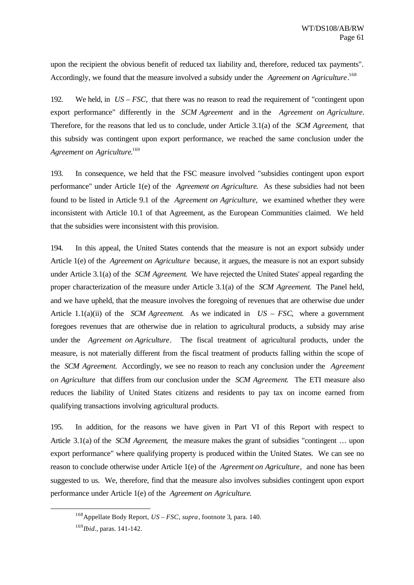upon the recipient the obvious benefit of reduced tax liability and, therefore, reduced tax payments". Accordingly, we found that the measure involved a subsidy under the *Agreement on Agriculture*. 168

192. We held, in *US – FSC*, that there was no reason to read the requirement of "contingent upon export performance" differently in the *SCM Agreement* and in the *Agreement on Agriculture*. Therefore, for the reasons that led us to conclude, under Article 3.1(a) of the *SCM Agreement*, that this subsidy was contingent upon export performance, we reached the same conclusion under the *Agreement on Agriculture*. 169

193. In consequence, we held that the FSC measure involved "subsidies contingent upon export performance" under Article 1(e) of the *Agreement on Agriculture*. As these subsidies had not been found to be listed in Article 9.1 of the *Agreement on Agriculture*, we examined whether they were inconsistent with Article 10.1 of that Agreement, as the European Communities claimed. We held that the subsidies were inconsistent with this provision.

194. In this appeal, the United States contends that the measure is not an export subsidy under Article 1(e) of the *Agreement on Agriculture* because, it argues, the measure is not an export subsidy under Article 3.1(a) of the *SCM Agreement*. We have rejected the United States' appeal regarding the proper characterization of the measure under Article 3.1(a) of the *SCM Agreement*. The Panel held, and we have upheld, that the measure involves the foregoing of revenues that are otherwise due under Article 1.1(a)(ii) of the *SCM Agreement*. As we indicated in *US – FSC*, where a government foregoes revenues that are otherwise due in relation to agricultural products, a subsidy may arise under the *Agreement on Agriculture*. The fiscal treatment of agricultural products, under the measure, is not materially different from the fiscal treatment of products falling within the scope of the *SCM Agreement*. Accordingly, we see no reason to reach any conclusion under the *Agreement on Agriculture* that differs from our conclusion under the *SCM Agreement*. The ETI measure also reduces the liability of United States citizens and residents to pay tax on income earned from qualifying transactions involving agricultural products.

195. In addition, for the reasons we have given in Part VI of this Report with respect to Article 3.1(a) of the *SCM Agreement*, the measure makes the grant of subsidies "contingent … upon export performance" where qualifying property is produced within the United States. We can see no reason to conclude otherwise under Article 1(e) of the *Agreement on Agriculture*, and none has been suggested to us. We, therefore, find that the measure also involves subsidies contingent upon export performance under Article 1(e) of the *Agreement on Agriculture*.

<sup>168</sup>Appellate Body Report, *US – FSC*, *supra*, footnote 3, para. 140.

<sup>169</sup>*Ibid*., paras. 141-142.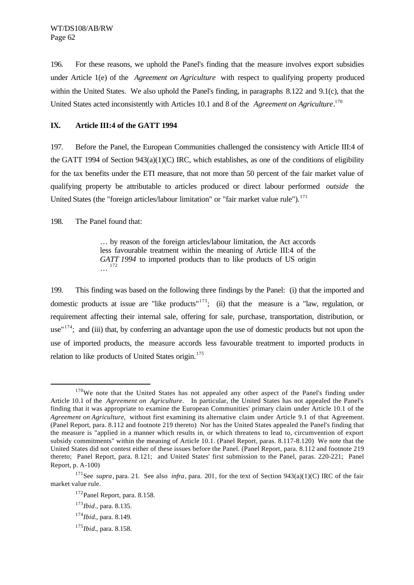196. For these reasons, we uphold the Panel's finding that the measure involves export subsidies under Article 1(e) of the *Agreement on Agriculture* with respect to qualifying property produced within the United States. We also uphold the Panel's finding, in paragraphs 8.122 and 9.1(c), that the United States acted inconsistently with Articles 10.1 and 8 of the *Agreement on Agriculture*. 170

#### **IX. Article III:4 of the GATT 1994**

197. Before the Panel, the European Communities challenged the consistency with Article III:4 of the GATT 1994 of Section 943(a)(1)(C) IRC, which establishes, as one of the conditions of eligibility for the tax benefits under the ETI measure, that not more than 50 percent of the fair market value of qualifying property be attributable to articles produced or direct labour performed *outside* the United States (the "foreign articles/labour limitation" or "fair market value rule").<sup>171</sup>

198. The Panel found that:

… by reason of the foreign articles/labour limitation, the Act accords less favourable treatment within the meaning of Article III:4 of the *GATT 1994* to imported products than to like products of US origin … <sup>172</sup>

199. This finding was based on the following three findings by the Panel: (i) that the imported and domestic products at issue are "like products"<sup>173</sup>; (ii) that the measure is a "law, regulation, or requirement affecting their internal sale, offering for sale, purchase, transportation, distribution, or use"<sup>174</sup>; and (iii) that, by conferring an advantage upon the use of domestic products but not upon the use of imported products, the measure accords less favourable treatment to imported products in relation to like products of United States origin.<sup>175</sup>

l

<sup>175</sup>*Ibid.*, para. 8.158.

 $170$ We note that the United States has not appealed any other aspect of the Panel's finding under Article 10.1 of the *Agreement on Agriculture*. In particular, the United States has not appealed the Panel's finding that it was appropriate to examine the European Communities' primary claim under Article 10.1 of the *Agreement on Agriculture*, without first examining its alternative claim under Article 9.1 of that Agreement. (Panel Report, para. 8.112 and footnote 219 thereto) Nor has the United States appealed the Panel's finding that the measure is "applied in a manner which results in, or which threatens to lead to, circumvention of export subsidy commitments" within the meaning of Article 10.1. (Panel Report, paras. 8.117-8.120) We note that the United States did not contest either of these issues before the Panel. (Panel Report, para. 8.112 and footnote 219 thereto; Panel Report, para. 8.121; and United States' first submission to the Panel, paras. 220-221; Panel Report, p. A-100)

<sup>171</sup>See *supra*, para. 21. See also *infra*, para. 201, for the text of Section 943(a)(1)(C) IRC of the fair market value rule.

<sup>172</sup>Panel Report, para. 8.158.

<sup>173</sup>*Ibid*., para. 8.135.

<sup>174</sup>*Ibid.*, para. 8.149.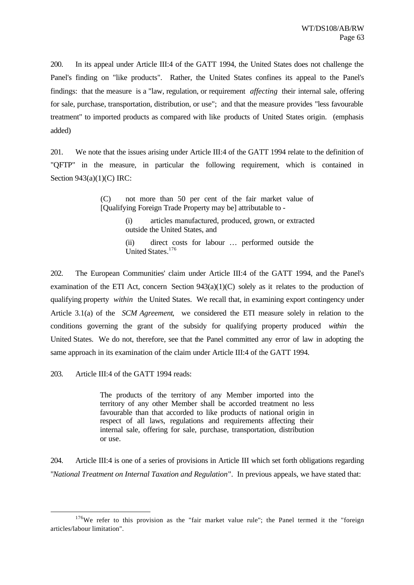200. In its appeal under Article III:4 of the GATT 1994, the United States does not challenge the Panel's finding on "like products". Rather, the United States confines its appeal to the Panel's findings: that the measure is a "law, regulation, or requirement *affecting* their internal sale, offering for sale, purchase, transportation, distribution, or use"; and that the measure provides "less favourable treatment" to imported products as compared with like products of United States origin. (emphasis added)

201. We note that the issues arising under Article III:4 of the GATT 1994 relate to the definition of "QFTP" in the measure, in particular the following requirement, which is contained in Section 943(a)(1)(C) IRC:

> (C) not more than 50 per cent of the fair market value of [Qualifying Foreign Trade Property may be] attributable to -

> > (i) articles manufactured, produced, grown, or extracted outside the United States, and

> > (ii) direct costs for labour … performed outside the United States.<sup>176</sup>

202. The European Communities' claim under Article III:4 of the GATT 1994, and the Panel's examination of the ETI Act, concern Section  $943(a)(1)(C)$  solely as it relates to the production of qualifying property *within* the United States. We recall that, in examining export contingency under Article 3.1(a) of the *SCM Agreement*, we considered the ETI measure solely in relation to the conditions governing the grant of the subsidy for qualifying property produced *within* the United States. We do not, therefore, see that the Panel committed any error of law in adopting the same approach in its examination of the claim under Article III:4 of the GATT 1994.

203. Article III:4 of the GATT 1994 reads:

l

The products of the territory of any Member imported into the territory of any other Member shall be accorded treatment no less favourable than that accorded to like products of national origin in respect of all laws, regulations and requirements affecting their internal sale, offering for sale, purchase, transportation, distribution or use.

204. Article III:4 is one of a series of provisions in Article III which set forth obligations regarding "*National Treatment on Internal Taxation and Regulation*". In previous appeals, we have stated that:

 $176$ We refer to this provision as the "fair market value rule"; the Panel termed it the "foreign articles/labour limitation".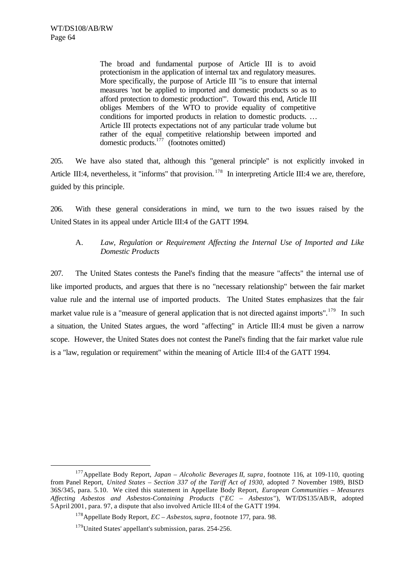The broad and fundamental purpose of Article III is to avoid protectionism in the application of internal tax and regulatory measures. More specifically, the purpose of Article III "is to ensure that internal measures 'not be applied to imported and domestic products so as to afford protection to domestic production'". Toward this end, Article III obliges Members of the WTO to provide equality of competitive conditions for imported products in relation to domestic products. … Article III protects expectations not of any particular trade volume but rather of the equal competitive relationship between imported and domestic products.<sup>177</sup> (footnotes omitted)

205. We have also stated that, although this "general principle" is not explicitly invoked in Article III:4, nevertheless, it "informs" that provision.  $178$  In interpreting Article III:4 we are, therefore, guided by this principle.

206. With these general considerations in mind, we turn to the two issues raised by the United States in its appeal under Article III:4 of the GATT 1994.

# A. *Law, Regulation or Requirement Affecting the Internal Use of Imported and Like Domestic Products*

207. The United States contests the Panel's finding that the measure "affects" the internal use of like imported products, and argues that there is no "necessary relationship" between the fair market value rule and the internal use of imported products. The United States emphasizes that the fair market value rule is a "measure of general application that is not directed against imports".<sup>179</sup> In such a situation, the United States argues, the word "affecting" in Article III:4 must be given a narrow scope. However, the United States does not contest the Panel's finding that the fair market value rule is a "law, regulation or requirement" within the meaning of Article III:4 of the GATT 1994.

<sup>177</sup>Appellate Body Report, *Japan – Alcoholic Beverages II*, *supra*, footnote 116, at 109-110, quoting from Panel Report, *United States – Section 337 of the Tariff Act of 1930*, adopted 7 November 1989, BISD 36S/345, para. 5.10. We cited this statement in Appellate Body Report, *European Communities – Measures Affecting Asbestos and Asbestos-Containing Products* ("*EC – Asbestos*"), WT/DS135/AB/R, adopted 5 April 2001, para. 97, a dispute that also involved Article III:4 of the GATT 1994.

<sup>178</sup>Appellate Body Report, *EC – Asbestos*, *supra*, footnote 177, para. 98.

<sup>&</sup>lt;sup>179</sup>United States' appellant's submission, paras. 254-256.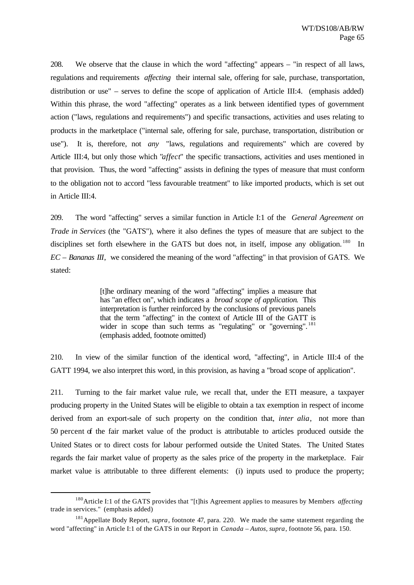208. We observe that the clause in which the word "affecting" appears – "in respect of all laws, regulations and requirements *affecting* their internal sale, offering for sale, purchase, transportation, distribution or use" – serves to define the scope of application of Article III:4. (emphasis added) Within this phrase, the word "affecting" operates as a link between identified types of government action ("laws, regulations and requirements") and specific transactions, activities and uses relating to products in the marketplace ("internal sale, offering for sale, purchase, transportation, distribution or use"). It is, therefore, not *any* "laws, regulations and requirements" which are covered by Article III:4, but only those which "*affect*" the specific transactions, activities and uses mentioned in that provision. Thus, the word "affecting" assists in defining the types of measure that must conform to the obligation not to accord "less favourable treatment" to like imported products, which is set out in Article III:4.

209. The word "affecting" serves a similar function in Article I:1 of the *General Agreement on Trade in Services* (the "GATS"), where it also defines the types of measure that are subject to the disciplines set forth elsewhere in the GATS but does not, in itself, impose any obligation.<sup>180</sup> In *EC – Bananas III*, we considered the meaning of the word "affecting" in that provision of GATS. We stated:

> [t]he ordinary meaning of the word "affecting" implies a measure that has "an effect on", which indicates a *broad scope of application*. This interpretation is further reinforced by the conclusions of previous panels that the term "affecting" in the context of Article III of the GATT is wider in scope than such terms as "regulating" or "governing".<sup>181</sup> (emphasis added, footnote omitted)

210. In view of the similar function of the identical word, "affecting", in Article III:4 of the GATT 1994, we also interpret this word, in this provision, as having a "broad scope of application".

211. Turning to the fair market value rule, we recall that, under the ETI measure, a taxpayer producing property in the United States will be eligible to obtain a tax exemption in respect of income derived from an export-sale of such property on the condition that, *inter alia*, not more than 50 percent of the fair market value of the product is attributable to articles produced outside the United States or to direct costs for labour performed outside the United States. The United States regards the fair market value of property as the sales price of the property in the marketplace. Fair market value is attributable to three different elements: (i) inputs used to produce the property;

<sup>180</sup>Article I:1 of the GATS provides that "[t]his Agreement applies to measures by Members *affecting* trade in services." (emphasis added)

<sup>181</sup>Appellate Body Report, *supra*, footnote 47, para. 220. We made the same statement regarding the word "affecting" in Article I:1 of the GATS in our Report in *Canada – Autos, supra*, footnote 56, para. 150.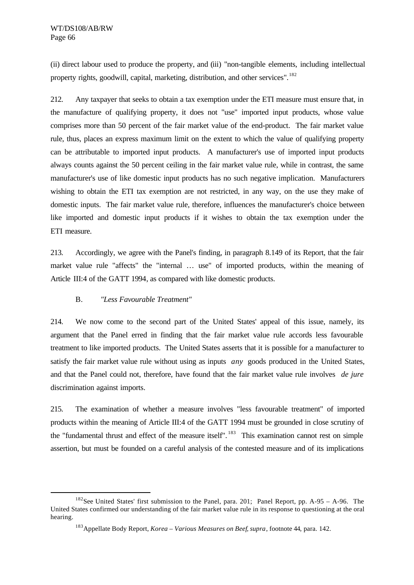(ii) direct labour used to produce the property, and (iii) "non-tangible elements, including intellectual property rights, goodwill, capital, marketing, distribution, and other services".<sup>182</sup>

212. Any taxpayer that seeks to obtain a tax exemption under the ETI measure must ensure that, in the manufacture of qualifying property, it does not "use" imported input products, whose value comprises more than 50 percent of the fair market value of the end-product. The fair market value rule, thus, places an express maximum limit on the extent to which the value of qualifying property can be attributable to imported input products. A manufacturer's use of imported input products always counts against the 50 percent ceiling in the fair market value rule, while in contrast, the same manufacturer's use of like domestic input products has no such negative implication. Manufacturers wishing to obtain the ETI tax exemption are not restricted, in any way, on the use they make of domestic inputs. The fair market value rule, therefore, influences the manufacturer's choice between like imported and domestic input products if it wishes to obtain the tax exemption under the ETI measure.

213. Accordingly, we agree with the Panel's finding, in paragraph 8.149 of its Report, that the fair market value rule "affects" the "internal … use" of imported products, within the meaning of Article III:4 of the GATT 1994, as compared with like domestic products.

# B. *"Less Favourable Treatment"*

l

214. We now come to the second part of the United States' appeal of this issue, namely, its argument that the Panel erred in finding that the fair market value rule accords less favourable treatment to like imported products. The United States asserts that it is possible for a manufacturer to satisfy the fair market value rule without using as inputs *any* goods produced in the United States, and that the Panel could not, therefore, have found that the fair market value rule involves *de jure* discrimination against imports.

215. The examination of whether a measure involves "less favourable treatment" of imported products within the meaning of Article III:4 of the GATT 1994 must be grounded in close scrutiny of the "fundamental thrust and effect of the measure itself".  $183$  This examination cannot rest on simple assertion, but must be founded on a careful analysis of the contested measure and of its implications

 $182$ See United States' first submission to the Panel, para. 201; Panel Report, pp. A-95 – A-96. The United States confirmed our understanding of the fair market value rule in its response to questioning at the oral hearing.

<sup>183</sup>Appellate Body Report, *Korea – Various Measures on Beef*, *supra*, footnote 44, para. 142.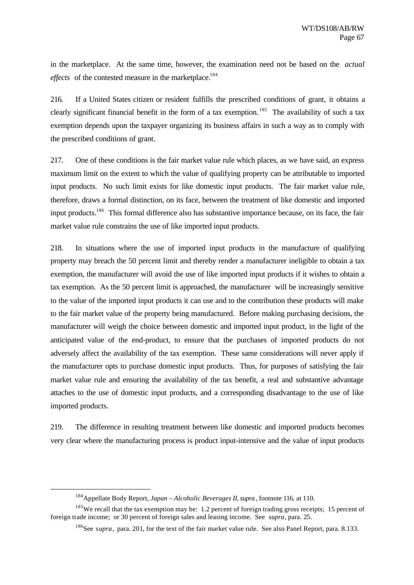in the marketplace. At the same time, however, the examination need not be based on the *actual effects* of the contested measure in the marketplace.<sup>184</sup>

216. If a United States citizen or resident fulfills the prescribed conditions of grant, it obtains a clearly significant financial benefit in the form of a tax exemption.<sup>185</sup> The availability of such a tax exemption depends upon the taxpayer organizing its business affairs in such a way as to comply with the prescribed conditions of grant.

217. One of these conditions is the fair market value rule which places, as we have said, an express maximum limit on the extent to which the value of qualifying property can be attributable to imported input products. No such limit exists for like domestic input products. The fair market value rule, therefore, draws a formal distinction, on its face, between the treatment of like domestic and imported input products.<sup>186</sup> This formal difference also has substantive importance because, on its face, the fair market value rule constrains the use of like imported input products.

218. In situations where the use of imported input products in the manufacture of qualifying property may breach the 50 percent limit and thereby render a manufacturer ineligible to obtain a tax exemption, the manufacturer will avoid the use of like imported input products if it wishes to obtain a tax exemption. As the 50 percent limit is approached, the manufacturer will be increasingly sensitive to the value of the imported input products it can use and to the contribution these products will make to the fair market value of the property being manufactured. Before making purchasing decisions, the manufacturer will weigh the choice between domestic and imported input product, in the light of the anticipated value of the end-product, to ensure that the purchases of imported products do not adversely affect the availability of the tax exemption. These same considerations will never apply if the manufacturer opts to purchase domestic input products. Thus, for purposes of satisfying the fair market value rule and ensuring the availability of the tax benefit, a real and substantive advantage attaches to the use of domestic input products, and a corresponding disadvantage to the use of like imported products.

219. The difference in resulting treatment between like domestic and imported products becomes very clear where the manufacturing process is product input-intensive and the value of input products

<sup>184</sup>Appellate Body Report, *Japan – Alcoholic Beverages II*, *supra* , footnote 116, at 110.

<sup>&</sup>lt;sup>185</sup>We recall that the tax exemption may be: 1.2 percent of foreign trading gross receipts; 15 percent of foreign trade income; or 30 percent of foreign sales and leasing income. See *supra*, para. 25.

<sup>&</sup>lt;sup>186</sup>See s*upra*, para. 201, for the text of the fair market value rule. See also Panel Report, para. 8.133.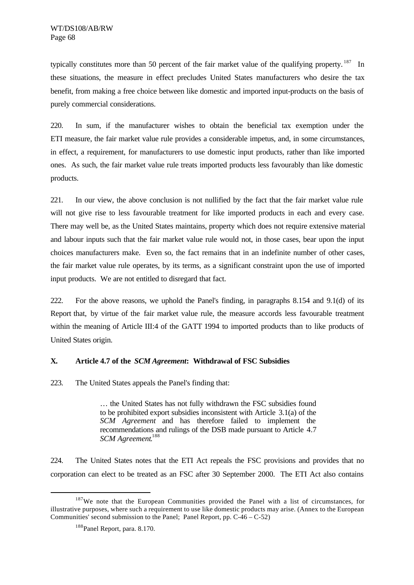typically constitutes more than 50 percent of the fair market value of the qualifying property.<sup>187</sup> In these situations, the measure in effect precludes United States manufacturers who desire the tax benefit, from making a free choice between like domestic and imported input-products on the basis of purely commercial considerations.

220. In sum, if the manufacturer wishes to obtain the beneficial tax exemption under the ETI measure, the fair market value rule provides a considerable impetus, and, in some circumstances, in effect, a requirement, for manufacturers to use domestic input products, rather than like imported ones. As such, the fair market value rule treats imported products less favourably than like domestic products.

221. In our view, the above conclusion is not nullified by the fact that the fair market value rule will not give rise to less favourable treatment for like imported products in each and every case. There may well be, as the United States maintains, property which does not require extensive material and labour inputs such that the fair market value rule would not, in those cases, bear upon the input choices manufacturers make. Even so, the fact remains that in an indefinite number of other cases, the fair market value rule operates, by its terms, as a significant constraint upon the use of imported input products. We are not entitled to disregard that fact.

222. For the above reasons, we uphold the Panel's finding, in paragraphs 8.154 and 9.1(d) of its Report that, by virtue of the fair market value rule, the measure accords less favourable treatment within the meaning of Article III:4 of the GATT 1994 to imported products than to like products of United States origin.

### **X. Article 4.7 of the** *SCM Agreement***: Withdrawal of FSC Subsidies**

223. The United States appeals the Panel's finding that:

… the United States has not fully withdrawn the FSC subsidies found to be prohibited export subsidies inconsistent with Article 3.1(a) of the *SCM Agreement* and has therefore failed to implement the recommendations and rulings of the DSB made pursuant to Article 4.7 *SCM Agreement*. 188

224. The United States notes that the ETI Act repeals the FSC provisions and provides that no corporation can elect to be treated as an FSC after 30 September 2000. The ETI Act also contains

 $187$ We note that the European Communities provided the Panel with a list of circumstances, for illustrative purposes, where such a requirement to use like domestic products may arise. (Annex to the European Communities' second submission to the Panel; Panel Report, pp. C-46 – C-52)

<sup>188</sup>Panel Report, para. 8.170.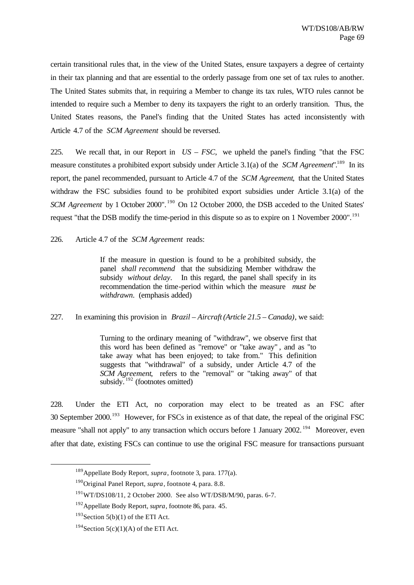certain transitional rules that, in the view of the United States, ensure taxpayers a degree of certainty in their tax planning and that are essential to the orderly passage from one set of tax rules to another. The United States submits that, in requiring a Member to change its tax rules, WTO rules cannot be intended to require such a Member to deny its taxpayers the right to an orderly transition. Thus, the United States reasons, the Panel's finding that the United States has acted inconsistently with Article 4.7 of the *SCM Agreement* should be reversed.

225. We recall that, in our Report in *US – FSC*, we upheld the panel's finding "that the FSC measure constitutes a prohibited export subsidy under Article 3.1(a) of the *SCM Agreement*".<sup>189</sup> In its report, the panel recommended, pursuant to Article 4.7 of the *SCM Agreement*, that the United States withdraw the FSC subsidies found to be prohibited export subsidies under Article 3.1(a) of the *SCM Agreement* by 1 October 2000".<sup>190</sup> On 12 October 2000, the DSB acceded to the United States' request "that the DSB modify the time-period in this dispute so as to expire on 1 November 2000".<sup>191</sup>

226. Article 4.7 of the *SCM Agreement* reads:

If the measure in question is found to be a prohibited subsidy, the panel *shall recommend* that the subsidizing Member withdraw the subsidy *without delay*. In this regard, the panel shall specify in its recommendation the time-period within which the measure *must be withdrawn*. (emphasis added)

227. In examining this provision in *Brazil – Aircraft (Article 21.5 – Canada)*, we said:

Turning to the ordinary meaning of "withdraw", we observe first that this word has been defined as "remove" or "take away" , and as "to take away what has been enjoyed; to take from." This definition suggests that "withdrawal" of a subsidy, under Article 4.7 of the *SCM Agreement*, refers to the "removal" or "taking away" of that subsidy.  $192$  (footnotes omitted)

228. Under the ETI Act, no corporation may elect to be treated as an FSC after 30 September 2000.<sup>193</sup> However, for FSCs in existence as of that date, the repeal of the original FSC measure "shall not apply" to any transaction which occurs before 1 January 2002.<sup>194</sup> Moreover, even after that date, existing FSCs can continue to use the original FSC measure for transactions pursuant

<sup>189</sup>Appellate Body Report, *supra*, footnote 3, para. 177(a).

<sup>190</sup>Original Panel Report, *supra*, footnote 4, para. 8.8.

 $191$ WT/DS108/11, 2 October 2000. See also WT/DSB/M/90, paras. 6-7.

<sup>192</sup>Appellate Body Report, *supra*, footnote 86, para. 45.

 $193$  Section 5(b)(1) of the ETI Act.

<sup>&</sup>lt;sup>194</sup>Section 5(c)(1)(A) of the ETI Act.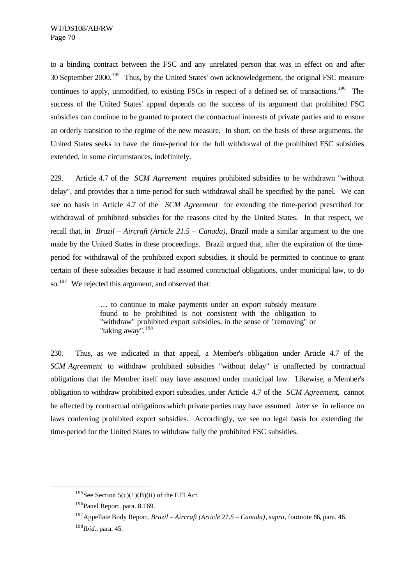to a binding contract between the FSC and any unrelated person that was in effect on and after 30 September 2000.<sup>195</sup> Thus, by the United States' own acknowledgement, the original FSC measure continues to apply, unmodified, to existing FSCs in respect of a defined set of transactions.<sup>196</sup> The success of the United States' appeal depends on the success of its argument that prohibited FSC subsidies can continue to be granted to protect the contractual interests of private parties and to ensure an orderly transition to the regime of the new measure. In short, on the basis of these arguments, the United States seeks to have the time-period for the full withdrawal of the prohibited FSC subsidies extended, in some circumstances, indefinitely.

229. Article 4.7 of the *SCM Agreement* requires prohibited subsidies to be withdrawn "without delay", and provides that a time-period for such withdrawal shall be specified by the panel. We can see no basis in Article 4.7 of the *SCM Agreement* for extending the time-period prescribed for withdrawal of prohibited subsidies for the reasons cited by the United States. In that respect, we recall that, in *Brazil – Aircraft (Article 21.5 – Canada)*, Brazil made a similar argument to the one made by the United States in these proceedings. Brazil argued that, after the expiration of the timeperiod for withdrawal of the prohibited export subsidies, it should be permitted to continue to grant certain of these subsidies because it had assumed contractual obligations, under municipal law, to do so.<sup>197</sup> We rejected this argument, and observed that:

> … to continue to make payments under an export subsidy measure found to be prohibited is not consistent with the obligation to "withdraw" prohibited export subsidies, in the sense of "removing" or "taking away".<sup>198</sup>

230. Thus, as we indicated in that appeal, a Member's obligation under Article 4.7 of the *SCM Agreement* to withdraw prohibited subsidies "without delay" is unaffected by contractual obligations that the Member itself may have assumed under municipal law. Likewise, a Member's obligation to withdraw prohibited export subsidies, under Article 4.7 of the *SCM Agreement*, cannot be affected by contractual obligations which private parties may have assumed *inter se* in reliance on laws conferring prohibited export subsidies. Accordingly, we see no legal basis for extending the time-period for the United States to withdraw fully the prohibited FSC subsidies.

<sup>&</sup>lt;sup>195</sup>See Section 5(c)(1)(B)(ii) of the ETI Act.

<sup>&</sup>lt;sup>196</sup>Panel Report, para. 8.169.

<sup>197</sup>Appellate Body Report, *Brazil – Aircraft (Article 21.5 – Canada)*, *supra*, footnote 86, para. 46.

<sup>198</sup>*Ibid*., para. 45.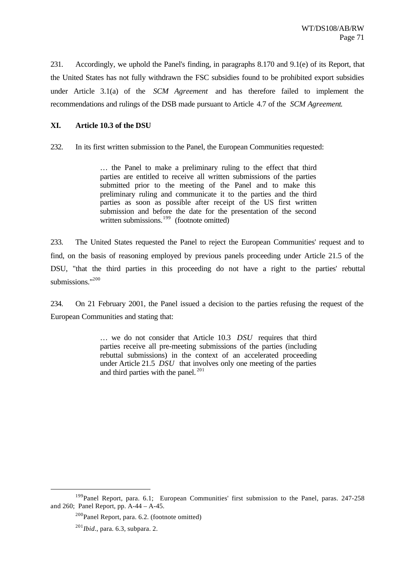231. Accordingly, we uphold the Panel's finding, in paragraphs 8.170 and 9.1(e) of its Report, that the United States has not fully withdrawn the FSC subsidies found to be prohibited export subsidies under Article 3.1(a) of the *SCM Agreement* and has therefore failed to implement the recommendations and rulings of the DSB made pursuant to Article 4.7 of the *SCM Agreement*.

## **XI. Article 10.3 of the DSU**

232. In its first written submission to the Panel, the European Communities requested:

… the Panel to make a preliminary ruling to the effect that third parties are entitled to receive all written submissions of the parties submitted prior to the meeting of the Panel and to make this preliminary ruling and communicate it to the parties and the third parties as soon as possible after receipt of the US first written submission and before the date for the presentation of the second written submissions. $199$  (footnote omitted)

233. The United States requested the Panel to reject the European Communities' request and to find, on the basis of reasoning employed by previous panels proceeding under Article 21.5 of the DSU, "that the third parties in this proceeding do not have a right to the parties' rebuttal submissions."<sup>200</sup>

234. On 21 February 2001, the Panel issued a decision to the parties refusing the request of the European Communities and stating that:

> … we do not consider that Article 10.3 *DSU* requires that third parties receive all pre-meeting submissions of the parties (including rebuttal submissions) in the context of an accelerated proceeding under Article 21.5 *DSU* that involves only one meeting of the parties and third parties with the panel. <sup>201</sup>

<sup>&</sup>lt;sup>199</sup>Panel Report, para. 6.1; European Communities' first submission to the Panel, paras. 247-258 and 260; Panel Report, pp.  $A-44 - A-45$ .

<sup>200</sup>Panel Report, para. 6.2. (footnote omitted)

<sup>201</sup>*Ibid*., para. 6.3, subpara. 2.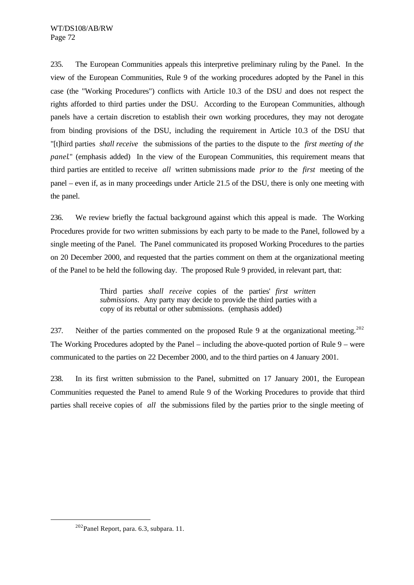235. The European Communities appeals this interpretive preliminary ruling by the Panel. In the view of the European Communities, Rule 9 of the working procedures adopted by the Panel in this case (the "Working Procedures") conflicts with Article 10.3 of the DSU and does not respect the rights afforded to third parties under the DSU. According to the European Communities, although panels have a certain discretion to establish their own working procedures, they may not derogate from binding provisions of the DSU, including the requirement in Article 10.3 of the DSU that "[t]hird parties *shall receive* the submissions of the parties to the dispute to the *first meeting of the panel.*" (emphasis added) In the view of the European Communities, this requirement means that third parties are entitled to receive *all* written submissions made *prior to* the *first* meeting of the panel – even if, as in many proceedings under Article 21.5 of the DSU, there is only one meeting with the panel.

236. We review briefly the factual background against which this appeal is made. The Working Procedures provide for two written submissions by each party to be made to the Panel, followed by a single meeting of the Panel. The Panel communicated its proposed Working Procedures to the parties on 20 December 2000, and requested that the parties comment on them at the organizational meeting of the Panel to be held the following day. The proposed Rule 9 provided, in relevant part, that:

> Third parties *shall receive* copies of the parties' *first written submissions*. Any party may decide to provide the third parties with a copy of its rebuttal or other submissions. (emphasis added)

237. Neither of the parties commented on the proposed Rule 9 at the organizational meeting.<sup>202</sup> The Working Procedures adopted by the Panel – including the above-quoted portion of Rule 9 – were communicated to the parties on 22 December 2000, and to the third parties on 4 January 2001.

238. In its first written submission to the Panel, submitted on 17 January 2001, the European Communities requested the Panel to amend Rule 9 of the Working Procedures to provide that third parties shall receive copies of *all* the submissions filed by the parties prior to the single meeting of

<sup>202</sup>Panel Report, para. 6.3, subpara. 11.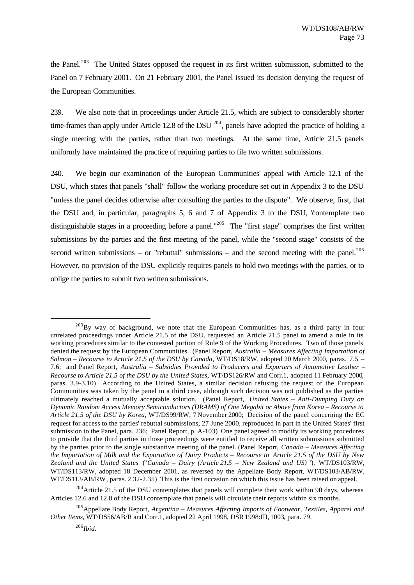the Panel.<sup>203</sup> The United States opposed the request in its first written submission, submitted to the Panel on 7 February 2001. On 21 February 2001, the Panel issued its decision denying the request of the European Communities.

239. We also note that in proceedings under Article 21.5, which are subject to considerably shorter time-frames than apply under Article 12.8 of the DSU  $^{204}$ , panels have adopted the practice of holding a single meeting with the parties, rather than two meetings. At the same time, Article 21.5 panels uniformly have maintained the practice of requiring parties to file two written submissions.

240. We begin our examination of the European Communities' appeal with Article 12.1 of the DSU, which states that panels "shall" follow the working procedure set out in Appendix 3 to the DSU "unless the panel decides otherwise after consulting the parties to the dispute". We observe, first, that the DSU and, in particular, paragraphs 5, 6 and 7 of Appendix 3 to the DSU, "contemplate two distinguishable stages in a proceeding before a panel."<sup>205</sup> The "first stage" comprises the first written submissions by the parties and the first meeting of the panel, while the "second stage" consists of the second written submissions – or "rebuttal" submissions – and the second meeting with the panel.<sup>206</sup> However, no provision of the DSU explicitly requires panels to hold two meetings with the parties, or to oblige the parties to submit two written submissions.

 $^{203}$ By way of background, we note that the European Communities has, as a third party in four unrelated proceedings under Article 21.5 of the DSU, requested an Article 21.5 panel to amend a rule in its working procedures similar to the contested portion of Rule 9 of the Working Procedures. Two of those panels denied the request by the European Communities. (Panel Report, *Australia – Measures Affecting Importation of Salmon – Recourse to Article 21.5 of the DSU by Canada*, WT/DS18/RW, adopted 20 March 2000, paras. 7.5 – 7.6; and Panel Report, *Australia – Subsidies Provided to Producers and Exporters of Automotive Leather – Recourse to Article 21.5 of the DSU by the United States*, WT/DS126/RW and Corr.1, adopted 11 February 2000, paras. 3.9-3.10) According to the United States, a similar decision refusing the request of the European Communities was taken by the panel in a third case, although such decision was not published as the parties ultimately reached a mutually acceptable solution. (Panel Report, *United States – Anti-Dumping Duty on Dynamic Random Access Memory Semiconductors (DRAMS) of One Megabit or Above from Korea – Recourse to Article 21.5 of the DSU by Korea*, WT/DS99/RW, 7 November 2000; Decision of the panel concerning the EC request for access to the parties' rebuttal submissions, 27 June 2000, reproduced in part in the United States' first submission to the Panel, para. 236; Panel Report, p. A-103) One panel agreed to modify its working procedures to provide that the third parties in those proceedings were entitled to receive all written submissions submitted by the parties prior to the single substantive meeting of the panel. (Panel Report, *Canada – Measures Affecting the Importation of Milk and the Exportation of Dairy Products – Recourse to Article 21.5 of the DSU by New Zealand and the United States* ("*Canada – Dairy (Article 21.5 – New Zealand and US)* "), WT/DS103/RW, WT/DS113/RW, adopted 18 December 2001, as reversed by the Appellate Body Report, WT/DS103/AB/RW, WT/DS113/AB/RW, paras. 2.32-2.35) This is the first occasion on which this issue has been raised on appeal.

 $204$ Article 21.5 of the DSU contemplates that panels will complete their work within 90 days, whereas Articles 12.6 and 12.8 of the DSU contemplate that panels will circulate their reports within six months.

<sup>205</sup>Appellate Body Report, *Argentina – Measures Affecting Imports of Footwear, Textiles, Apparel and Other Items*, WT/DS56/AB/R and Corr.1, adopted 22 April 1998, DSR 1998:III, 1003, para. 79.

<sup>206</sup>*Ibid*.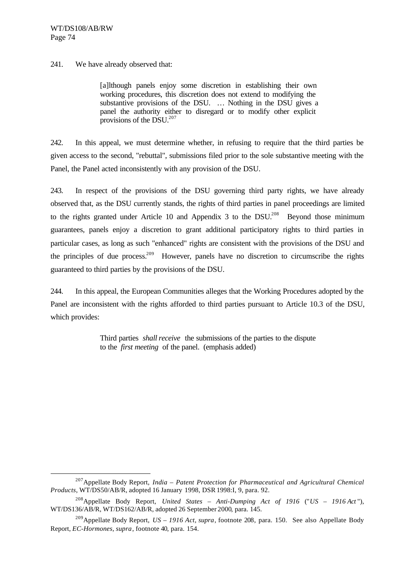l

241. We have already observed that:

[a]lthough panels enjoy some discretion in establishing their own working procedures, this discretion does not extend to modifying the substantive provisions of the DSU. … Nothing in the DSU gives a panel the authority either to disregard or to modify other explicit provisions of the DSU.<sup>207</sup>

242. In this appeal, we must determine whether, in refusing to require that the third parties be given access to the second, "rebuttal", submissions filed prior to the sole substantive meeting with the Panel, the Panel acted inconsistently with any provision of the DSU.

243. In respect of the provisions of the DSU governing third party rights, we have already observed that, as the DSU currently stands, the rights of third parties in panel proceedings are limited to the rights granted under Article 10 and Appendix 3 to the  $DSU<sup>208</sup>$  Beyond those minimum guarantees, panels enjoy a discretion to grant additional participatory rights to third parties in particular cases, as long as such "enhanced" rights are consistent with the provisions of the DSU and the principles of due process.<sup>209</sup> However, panels have no discretion to circumscribe the rights guaranteed to third parties by the provisions of the DSU.

244. In this appeal, the European Communities alleges that the Working Procedures adopted by the Panel are inconsistent with the rights afforded to third parties pursuant to Article 10.3 of the DSU, which provides:

> Third parties *shall receive* the submissions of the parties to the dispute to the *first meeting* of the panel. (emphasis added)

<sup>207</sup>Appellate Body Report, *India – Patent Protection for Pharmaceutical and Agricultural Chemical Products*, WT/DS50/AB/R, adopted 16 January 1998, DSR 1998:I, 9, para. 92.

<sup>208</sup>Appellate Body Report, *United States – Anti-Dumping Act of 1916* ("*US – 1916 Act* "), WT/DS136/AB/R, WT/DS162/AB/R, adopted 26 September 2000, para. 145.

<sup>209</sup>Appellate Body Report, *US – 1916 Act*, *supra*, footnote 208, para. 150. See also Appellate Body Report, *EC-Hormones, supra*, footnote 40, para. 154.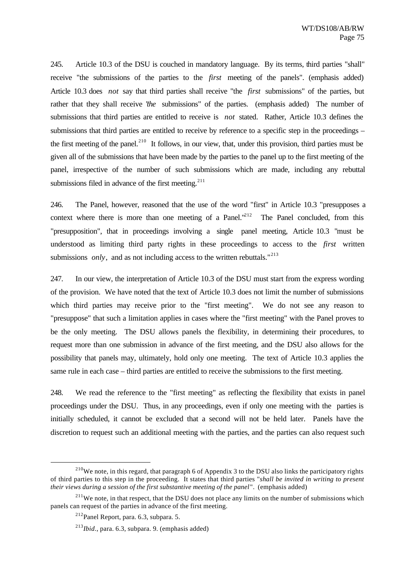245. Article 10.3 of the DSU is couched in mandatory language. By its terms, third parties "shall" receive "the submissions of the parties to the *first* meeting of the panels". (emphasis added) Article 10.3 does *not* say that third parties shall receive "the *first* submissions" of the parties, but rather that they shall receive "*the* submissions" of the parties. (emphasis added) The number of submissions that third parties are entitled to receive is *not* stated. Rather, Article 10.3 defines the submissions that third parties are entitled to receive by reference to a specific step in the proceedings – the first meeting of the panel.<sup>210</sup> It follows, in our view, that, under this provision, third parties must be given all of the submissions that have been made by the parties to the panel up to the first meeting of the panel, irrespective of the number of such submissions which are made, including any rebuttal submissions filed in advance of the first meeting. $211$ 

246. The Panel, however, reasoned that the use of the word "first" in Article 10.3 "presupposes a context where there is more than one meeting of a Panel."<sup>212</sup> The Panel concluded, from this "presupposition", that in proceedings involving a single panel meeting, Article 10.3 "must be understood as limiting third party rights in these proceedings to access to the *first* written submissions *only*, and as not including access to the written rebuttals."<sup>213</sup>

247. In our view, the interpretation of Article 10.3 of the DSU must start from the express wording of the provision. We have noted that the text of Article 10.3 does not limit the number of submissions which third parties may receive prior to the "first meeting". We do not see any reason to "presuppose" that such a limitation applies in cases where the "first meeting" with the Panel proves to be the only meeting. The DSU allows panels the flexibility, in determining their procedures, to request more than one submission in advance of the first meeting, and the DSU also allows for the possibility that panels may, ultimately, hold only one meeting. The text of Article 10.3 applies the same rule in each case – third parties are entitled to receive the submissions to the first meeting.

248. We read the reference to the "first meeting" as reflecting the flexibility that exists in panel proceedings under the DSU. Thus, in any proceedings, even if only one meeting with the parties is initially scheduled, it cannot be excluded that a second will not be held later. Panels have the discretion to request such an additional meeting with the parties, and the parties can also request such

 $^{210}$ We note, in this regard, that paragraph 6 of Appendix 3 to the DSU also links the participatory rights of third parties to this step in the proceeding. It states that third parties "*shall be invited in writing to present their views during a session of the first substantive meeting of the panel*". (emphasis added)

 $211$ We note, in that respect, that the DSU does not place any limits on the number of submissions which panels can request of the parties in advance of the first meeting.

 $^{212}$ Panel Report, para. 6.3, subpara. 5.

<sup>213</sup>*Ibid*., para. 6.3, subpara. 9. (emphasis added)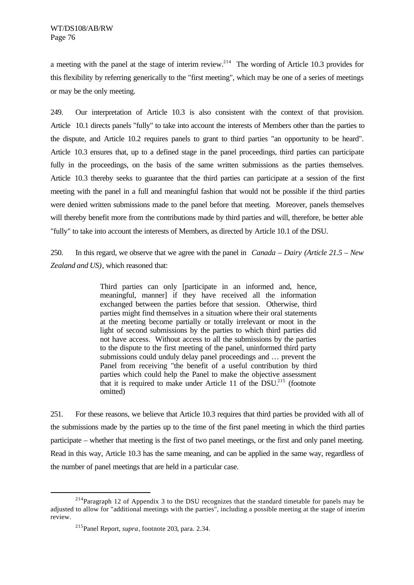a meeting with the panel at the stage of interim review.<sup>214</sup> The wording of Article 10.3 provides for this flexibility by referring generically to the "first meeting", which may be one of a series of meetings or may be the only meeting.

249. Our interpretation of Article 10.3 is also consistent with the context of that provision. Article 10.1 directs panels "fully" to take into account the interests of Members other than the parties to the dispute, and Article 10.2 requires panels to grant to third parties "an opportunity to be heard". Article 10.3 ensures that, up to a defined stage in the panel proceedings, third parties can participate fully in the proceedings, on the basis of the same written submissions as the parties themselves. Article 10.3 thereby seeks to guarantee that the third parties can participate at a session of the first meeting with the panel in a full and meaningful fashion that would not be possible if the third parties were denied written submissions made to the panel before that meeting. Moreover, panels themselves will thereby benefit more from the contributions made by third parties and will, therefore, be better able "fully" to take into account the interests of Members, as directed by Article 10.1 of the DSU.

250. In this regard, we observe that we agree with the panel in *Canada – Dairy (Article 21.5 – New Zealand and US)*, which reasoned that:

> Third parties can only [participate in an informed and, hence, meaningful, manner] if they have received all the information exchanged between the parties before that session. Otherwise, third parties might find themselves in a situation where their oral statements at the meeting become partially or totally irrelevant or moot in the light of second submissions by the parties to which third parties did not have access. Without access to all the submissions by the parties to the dispute to the first meeting of the panel, uninformed third party submissions could unduly delay panel proceedings and … prevent the Panel from receiving "the benefit of a useful contribution by third parties which could help the Panel to make the objective assessment that it is required to make under Article 11 of the DSU.<sup>215</sup> (footnote omitted)

251. For these reasons, we believe that Article 10.3 requires that third parties be provided with all of the submissions made by the parties up to the time of the first panel meeting in which the third parties participate – whether that meeting is the first of two panel meetings, or the first and only panel meeting. Read in this way, Article 10.3 has the same meaning, and can be applied in the same way, regardless of the number of panel meetings that are held in a particular case.

<sup>&</sup>lt;sup>214</sup>Paragraph 12 of Appendix 3 to the DSU recognizes that the standard timetable for panels may be adjusted to allow for "additional meetings with the parties", including a possible meeting at the stage of interim review.

<sup>215</sup>Panel Report, *supra*, footnote 203, para. 2.34.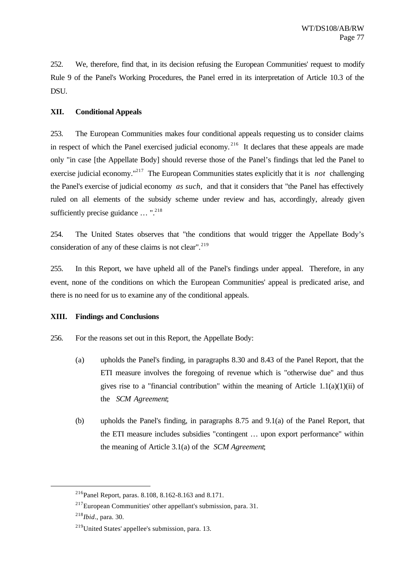252. We, therefore, find that, in its decision refusing the European Communities' request to modify Rule 9 of the Panel's Working Procedures, the Panel erred in its interpretation of Article 10.3 of the DSU.

## **XII. Conditional Appeals**

253. The European Communities makes four conditional appeals requesting us to consider claims in respect of which the Panel exercised judicial economy.<sup>216</sup> It declares that these appeals are made only "in case [the Appellate Body] should reverse those of the Panel's findings that led the Panel to exercise judicial economy."<sup>217</sup> The European Communities states explicitly that it is *not* challenging the Panel's exercise of judicial economy *as such*, and that it considers that "the Panel has effectively ruled on all elements of the subsidy scheme under review and has, accordingly, already given sufficiently precise guidance  $\ldots$  ".<sup>218</sup>

254. The United States observes that "the conditions that would trigger the Appellate Body's consideration of any of these claims is not clear".<sup>219</sup>

255. In this Report, we have upheld all of the Panel's findings under appeal. Therefore, in any event, none of the conditions on which the European Communities' appeal is predicated arise, and there is no need for us to examine any of the conditional appeals.

## **XIII. Findings and Conclusions**

256. For the reasons set out in this Report, the Appellate Body:

- (a) upholds the Panel's finding, in paragraphs 8.30 and 8.43 of the Panel Report, that the ETI measure involves the foregoing of revenue which is "otherwise due" and thus gives rise to a "financial contribution" within the meaning of Article  $1.1(a)(1)(ii)$  of the *SCM Agreement*;
- (b) upholds the Panel's finding, in paragraphs 8.75 and 9.1(a) of the Panel Report, that the ETI measure includes subsidies "contingent … upon export performance" within the meaning of Article 3.1(a) of the *SCM Agreement*;

<sup>216</sup>Panel Report, paras. 8.108, 8.162-8.163 and 8.171.

 $^{217}$ European Communities' other appellant's submission, para. 31.

<sup>218</sup>*Ibid*., para. 30.

<sup>219</sup>United States' appellee's submission, para. 13.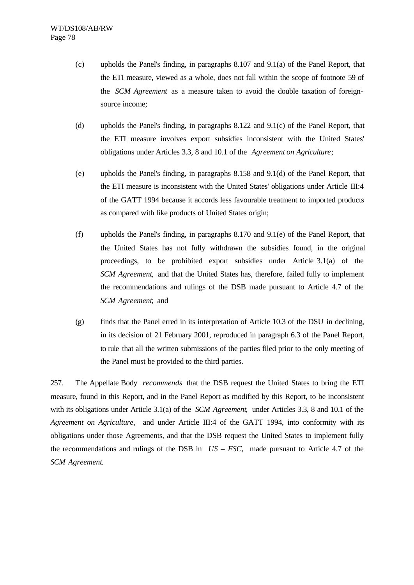- (c) upholds the Panel's finding, in paragraphs 8.107 and 9.1(a) of the Panel Report, that the ETI measure, viewed as a whole, does not fall within the scope of footnote 59 of the *SCM Agreement* as a measure taken to avoid the double taxation of foreignsource income;
- (d) upholds the Panel's finding, in paragraphs 8.122 and 9.1(c) of the Panel Report, that the ETI measure involves export subsidies inconsistent with the United States' obligations under Articles 3.3, 8 and 10.1 of the *Agreement on Agriculture*;
- (e) upholds the Panel's finding, in paragraphs 8.158 and 9.1(d) of the Panel Report, that the ETI measure is inconsistent with the United States' obligations under Article III:4 of the GATT 1994 because it accords less favourable treatment to imported products as compared with like products of United States origin;
- (f) upholds the Panel's finding, in paragraphs 8.170 and 9.1(e) of the Panel Report, that the United States has not fully withdrawn the subsidies found, in the original proceedings, to be prohibited export subsidies under Article 3.1(a) of the *SCM Agreement*, and that the United States has, therefore, failed fully to implement the recommendations and rulings of the DSB made pursuant to Article 4.7 of the *SCM Agreement*; and
- (g) finds that the Panel erred in its interpretation of Article 10.3 of the DSU in declining, in its decision of 21 February 2001, reproduced in paragraph 6.3 of the Panel Report, to rule that all the written submissions of the parties filed prior to the only meeting of the Panel must be provided to the third parties.

257. The Appellate Body *recommends* that the DSB request the United States to bring the ETI measure, found in this Report, and in the Panel Report as modified by this Report, to be inconsistent with its obligations under Article 3.1(a) of the *SCM Agreement*, under Articles 3.3, 8 and 10.1 of the *Agreement on Agriculture*, and under Article III:4 of the GATT 1994, into conformity with its obligations under those Agreements, and that the DSB request the United States to implement fully the recommendations and rulings of the DSB in *US – FSC*, made pursuant to Article 4.7 of the *SCM Agreement*.